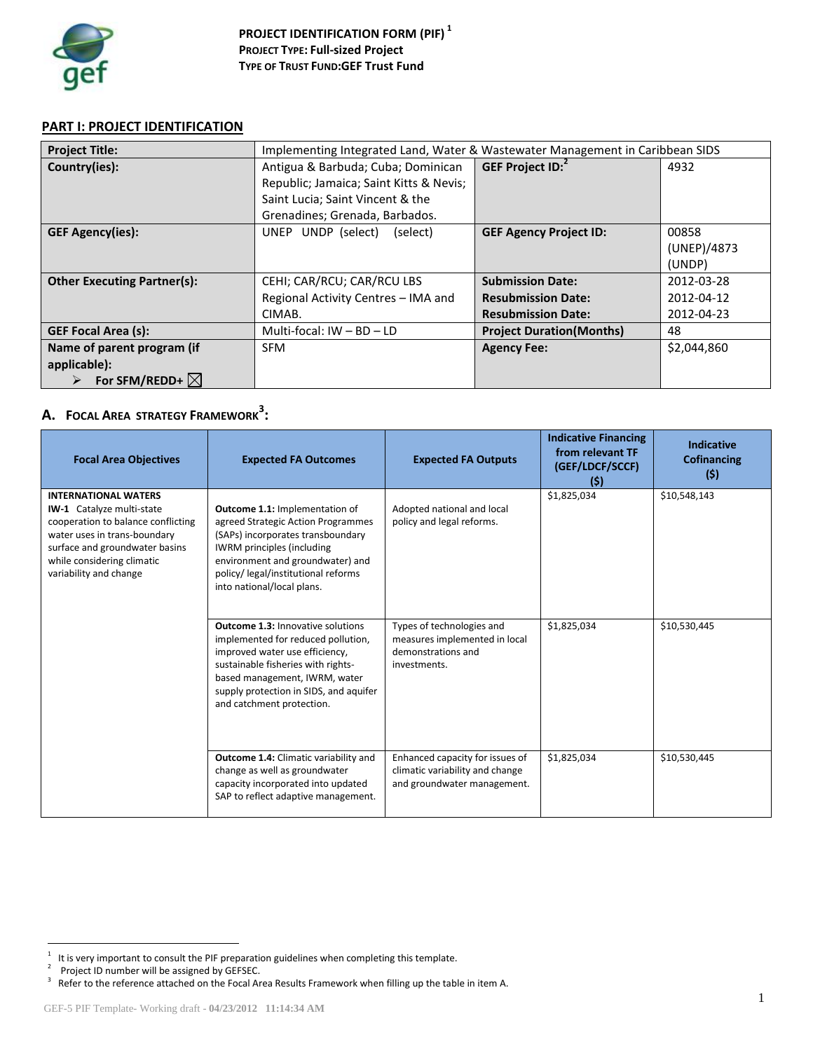

# **PART I: PROJECT IDENTIFICATION**

| <b>Project Title:</b>              | Implementing Integrated Land, Water & Wastewater Management in Caribbean SIDS |                                  |             |  |  |
|------------------------------------|-------------------------------------------------------------------------------|----------------------------------|-------------|--|--|
| Country(ies):                      | Antigua & Barbuda; Cuba; Dominican                                            | GEF Project ID: <sup>2</sup>     | 4932        |  |  |
|                                    | Republic; Jamaica; Saint Kitts & Nevis;                                       |                                  |             |  |  |
|                                    | Saint Lucia; Saint Vincent & the                                              |                                  |             |  |  |
|                                    | Grenadines; Grenada, Barbados.                                                |                                  |             |  |  |
| <b>GEF Agency(ies):</b>            | UNDP (select)<br>(select)<br>UNEP                                             | <b>GEF Agency Project ID:</b>    | 00858       |  |  |
|                                    |                                                                               |                                  | (UNEP)/4873 |  |  |
|                                    |                                                                               |                                  | (UNDP)      |  |  |
| <b>Other Executing Partner(s):</b> | CEHI; CAR/RCU; CAR/RCU LBS                                                    | <b>Submission Date:</b>          | 2012-03-28  |  |  |
|                                    | Regional Activity Centres - IMA and                                           | <b>Resubmission Date:</b>        | 2012-04-12  |  |  |
|                                    | CIMAB.                                                                        | <b>Resubmission Date:</b>        | 2012-04-23  |  |  |
| <b>GEF Focal Area (s):</b>         | Multi-focal: $IW - BD - LD$                                                   | <b>Project Duration (Months)</b> | 48          |  |  |
| Name of parent program (if         | SFM                                                                           | <b>Agency Fee:</b>               | \$2,044,860 |  |  |
| applicable):                       |                                                                               |                                  |             |  |  |
| For SFM/REDD+ $\boxtimes$          |                                                                               |                                  |             |  |  |

# **A. FOCAL AREA STRATEGY FRAMEWORK<sup>3</sup> :**

| <b>Focal Area Objectives</b>                                                                                                                                                                                             | <b>Expected FA Outcomes</b>                                                                                                                                                                                                                                    | <b>Expected FA Outputs</b>                                                                        | <b>Indicative Financing</b><br>from relevant TF<br>(GEF/LDCF/SCCF)<br>(5) | <b>Indicative</b><br><b>Cofinancing</b><br>(5) |
|--------------------------------------------------------------------------------------------------------------------------------------------------------------------------------------------------------------------------|----------------------------------------------------------------------------------------------------------------------------------------------------------------------------------------------------------------------------------------------------------------|---------------------------------------------------------------------------------------------------|---------------------------------------------------------------------------|------------------------------------------------|
| <b>INTERNATIONAL WATERS</b><br>IW-1 Catalyze multi-state<br>cooperation to balance conflicting<br>water uses in trans-boundary<br>surface and groundwater basins<br>while considering climatic<br>variability and change | <b>Outcome 1.1: Implementation of</b><br>agreed Strategic Action Programmes<br>(SAPs) incorporates transboundary<br><b>IWRM</b> principles (including<br>environment and groundwater) and<br>policy/ legal/institutional reforms<br>into national/local plans. | Adopted national and local<br>policy and legal reforms.                                           | \$1,825,034                                                               | \$10,548,143                                   |
|                                                                                                                                                                                                                          | <b>Outcome 1.3: Innovative solutions</b><br>implemented for reduced pollution,<br>improved water use efficiency,<br>sustainable fisheries with rights-<br>based management, IWRM, water<br>supply protection in SIDS, and aquifer<br>and catchment protection. | Types of technologies and<br>measures implemented in local<br>demonstrations and<br>investments.  | \$1,825,034                                                               | \$10,530,445                                   |
|                                                                                                                                                                                                                          | <b>Outcome 1.4: Climatic variability and</b><br>change as well as groundwater<br>capacity incorporated into updated<br>SAP to reflect adaptive management.                                                                                                     | Enhanced capacity for issues of<br>climatic variability and change<br>and groundwater management. | \$1,825,034                                                               | \$10,530,445                                   |

<sup>11.&</sup>lt;br><sup>1</sup> It is very important to consult the PIF preparation guidelines when completing this template.

<sup>&</sup>lt;sup>2</sup> Project ID number will be assigned by GEFSEC.

 $3$  Refer to the reference attached on the Focal Area Results Framework when filling up the table in item A.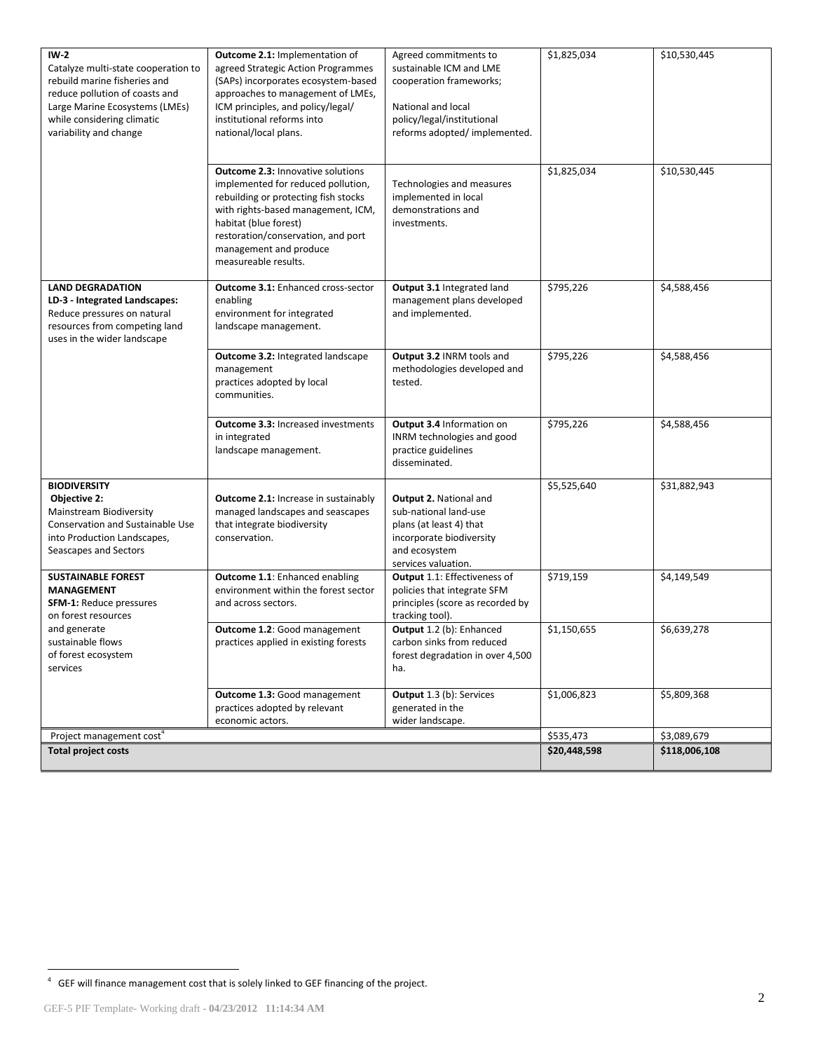| $IW-2$<br>Catalyze multi-state cooperation to<br>rebuild marine fisheries and<br>reduce pollution of coasts and<br>Large Marine Ecosystems (LMEs)<br>while considering climatic<br>variability and change | <b>Outcome 2.1: Implementation of</b><br>agreed Strategic Action Programmes<br>(SAPs) incorporates ecosystem-based<br>approaches to management of LMEs,<br>ICM principles, and policy/legal/<br>institutional reforms into<br>national/local plans.                           | Agreed commitments to<br>sustainable ICM and LME<br>cooperation frameworks;<br>National and local<br>policy/legal/institutional<br>reforms adopted/implemented. | \$1,825,034  | \$10,530,445  |
|-----------------------------------------------------------------------------------------------------------------------------------------------------------------------------------------------------------|-------------------------------------------------------------------------------------------------------------------------------------------------------------------------------------------------------------------------------------------------------------------------------|-----------------------------------------------------------------------------------------------------------------------------------------------------------------|--------------|---------------|
|                                                                                                                                                                                                           | <b>Outcome 2.3: Innovative solutions</b><br>implemented for reduced pollution,<br>rebuilding or protecting fish stocks<br>with rights-based management, ICM,<br>habitat (blue forest)<br>restoration/conservation, and port<br>management and produce<br>measureable results. | Technologies and measures<br>implemented in local<br>demonstrations and<br>investments.                                                                         | \$1,825,034  | \$10,530,445  |
| <b>LAND DEGRADATION</b><br>LD-3 - Integrated Landscapes:<br>Reduce pressures on natural<br>resources from competing land<br>uses in the wider landscape                                                   | <b>Outcome 3.1: Enhanced cross-sector</b><br>enabling<br>environment for integrated<br>landscape management.                                                                                                                                                                  | Output 3.1 Integrated land<br>management plans developed<br>and implemented.                                                                                    | \$795,226    | \$4,588,456   |
|                                                                                                                                                                                                           | Outcome 3.2: Integrated landscape<br>management<br>practices adopted by local<br>communities.                                                                                                                                                                                 | Output 3.2 INRM tools and<br>methodologies developed and<br>tested.                                                                                             | \$795,226    | \$4,588,456   |
|                                                                                                                                                                                                           | <b>Outcome 3.3: Increased investments</b><br>in integrated<br>landscape management.                                                                                                                                                                                           | Output 3.4 Information on<br>INRM technologies and good<br>practice guidelines<br>disseminated.                                                                 | \$795,226    | \$4,588,456   |
| <b>BIODIVERSITY</b><br>Objective 2:<br>Mainstream Biodiversity<br>Conservation and Sustainable Use<br>into Production Landscapes,<br>Seascapes and Sectors                                                | <b>Outcome 2.1:</b> Increase in sustainably<br>managed landscapes and seascapes<br>that integrate biodiversity<br>conservation.                                                                                                                                               | <b>Output 2. National and</b><br>sub-national land-use<br>plans (at least 4) that<br>incorporate biodiversity<br>and ecosystem<br>services valuation.           | \$5,525,640  | \$31,882,943  |
| <b>SUSTAINABLE FOREST</b><br><b>MANAGEMENT</b><br><b>SFM-1: Reduce pressures</b><br>on forest resources                                                                                                   | Outcome 1.1: Enhanced enabling<br>environment within the forest sector<br>and across sectors.                                                                                                                                                                                 | Output 1.1: Effectiveness of<br>policies that integrate SFM<br>principles (score as recorded by<br>tracking tool).                                              | \$719,159    | \$4,149,549   |
| and generate<br>sustainable flows<br>of forest ecosystem<br>services                                                                                                                                      | Outcome 1.2: Good management<br>practices applied in existing forests                                                                                                                                                                                                         | Output 1.2 (b): Enhanced<br>carbon sinks from reduced<br>forest degradation in over 4,500<br>ha.                                                                | \$1,150,655  | \$6,639,278   |
|                                                                                                                                                                                                           | Outcome 1.3: Good management<br>practices adopted by relevant<br>economic actors.                                                                                                                                                                                             | Output 1.3 (b): Services<br>generated in the<br>wider landscape.                                                                                                | \$1,006,823  | \$5,809,368   |
| Project management cost <sup>4</sup>                                                                                                                                                                      |                                                                                                                                                                                                                                                                               |                                                                                                                                                                 | \$535,473    | \$3,089,679   |
| <b>Total project costs</b>                                                                                                                                                                                |                                                                                                                                                                                                                                                                               |                                                                                                                                                                 | \$20,448,598 | \$118,006,108 |

 4 GEF will finance management cost that is solely linked to GEF financing of the project.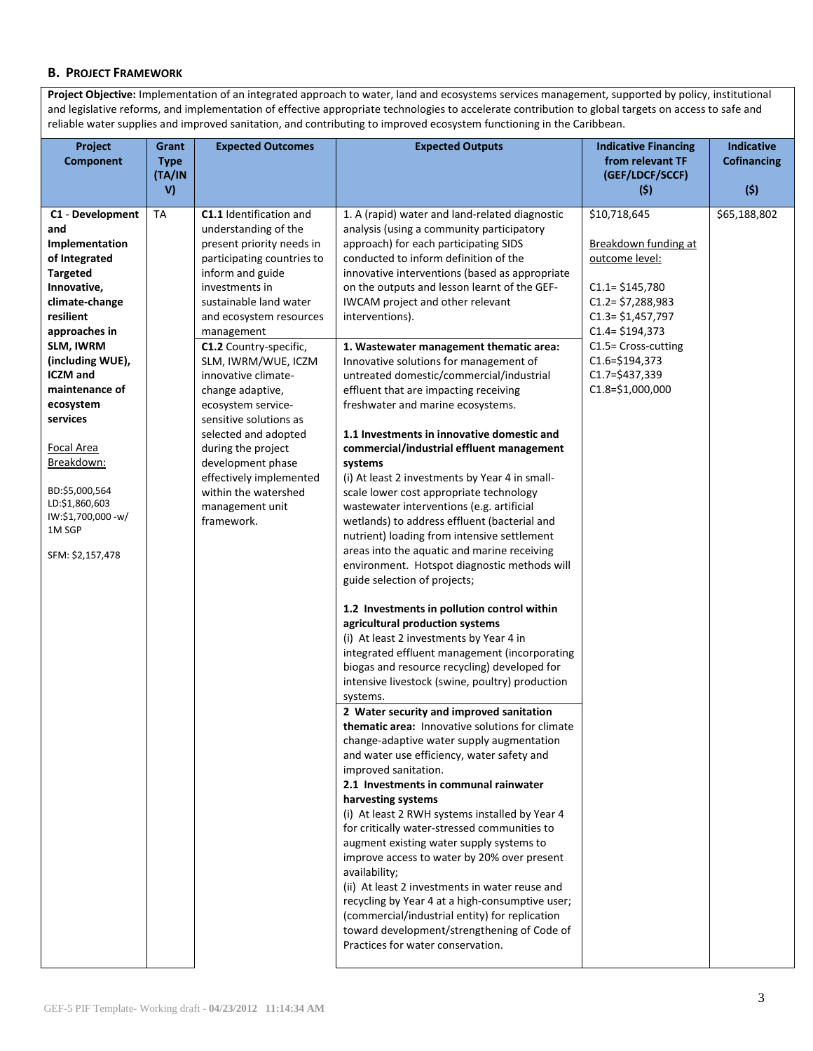## **B. PROJECT FRAMEWORK**

**Project Objective:** Implementation of an integrated approach to water, land and ecosystems services management, supported by policy, institutional and legislative reforms, and implementation of effective appropriate technologies to accelerate contribution to global targets on access to safe and reliable water supplies and improved sanitation, and contributing to improved ecosystem functioning in the Caribbean.

| Project                                                                                                                                                                                                                                                                                                                                                                                    | Grant                              | <b>Expected Outcomes</b>                                                                                                                                                                                                                                                                                                                                                                                                                                                                                               | <b>Expected Outputs</b>                                                                                                                                                                                                                                                                                                                                                                                                                                                                                                                                                                                                                                                                                                                                                                                                                                                                                                                                                                                                                                                                                                                                                                                                                                                                                                                                                                                                                                                                                                                                                                                                                                                                                                                                                                                                                                                                                                                                                                | <b>Indicative Financing</b>                                                                                                                                                                                                                                              | <b>Indicative</b>                  |
|--------------------------------------------------------------------------------------------------------------------------------------------------------------------------------------------------------------------------------------------------------------------------------------------------------------------------------------------------------------------------------------------|------------------------------------|------------------------------------------------------------------------------------------------------------------------------------------------------------------------------------------------------------------------------------------------------------------------------------------------------------------------------------------------------------------------------------------------------------------------------------------------------------------------------------------------------------------------|----------------------------------------------------------------------------------------------------------------------------------------------------------------------------------------------------------------------------------------------------------------------------------------------------------------------------------------------------------------------------------------------------------------------------------------------------------------------------------------------------------------------------------------------------------------------------------------------------------------------------------------------------------------------------------------------------------------------------------------------------------------------------------------------------------------------------------------------------------------------------------------------------------------------------------------------------------------------------------------------------------------------------------------------------------------------------------------------------------------------------------------------------------------------------------------------------------------------------------------------------------------------------------------------------------------------------------------------------------------------------------------------------------------------------------------------------------------------------------------------------------------------------------------------------------------------------------------------------------------------------------------------------------------------------------------------------------------------------------------------------------------------------------------------------------------------------------------------------------------------------------------------------------------------------------------------------------------------------------------|--------------------------------------------------------------------------------------------------------------------------------------------------------------------------------------------------------------------------------------------------------------------------|------------------------------------|
|                                                                                                                                                                                                                                                                                                                                                                                            |                                    |                                                                                                                                                                                                                                                                                                                                                                                                                                                                                                                        |                                                                                                                                                                                                                                                                                                                                                                                                                                                                                                                                                                                                                                                                                                                                                                                                                                                                                                                                                                                                                                                                                                                                                                                                                                                                                                                                                                                                                                                                                                                                                                                                                                                                                                                                                                                                                                                                                                                                                                                        |                                                                                                                                                                                                                                                                          |                                    |
|                                                                                                                                                                                                                                                                                                                                                                                            | V)                                 |                                                                                                                                                                                                                                                                                                                                                                                                                                                                                                                        |                                                                                                                                                                                                                                                                                                                                                                                                                                                                                                                                                                                                                                                                                                                                                                                                                                                                                                                                                                                                                                                                                                                                                                                                                                                                                                                                                                                                                                                                                                                                                                                                                                                                                                                                                                                                                                                                                                                                                                                        | (5)                                                                                                                                                                                                                                                                      | (5)                                |
| <b>Component</b><br>C1 - Development<br>and<br>Implementation<br>of Integrated<br><b>Targeted</b><br>Innovative,<br>climate-change<br>resilient<br>approaches in<br>SLM, IWRM<br>(including WUE),<br><b>ICZM</b> and<br>maintenance of<br>ecosystem<br>services<br><b>Focal Area</b><br>Breakdown:<br>BD:\$5,000,564<br>LD:\$1,860,603<br>IW:\$1,700,000 -w/<br>1M SGP<br>SFM: \$2,157,478 | <b>Type</b><br>(TA/IN<br><b>TA</b> | C1.1 Identification and<br>understanding of the<br>present priority needs in<br>participating countries to<br>inform and guide<br>investments in<br>sustainable land water<br>and ecosystem resources<br>management<br>C1.2 Country-specific,<br>SLM, IWRM/WUE, ICZM<br>innovative climate-<br>change adaptive,<br>ecosystem service-<br>sensitive solutions as<br>selected and adopted<br>during the project<br>development phase<br>effectively implemented<br>within the watershed<br>management unit<br>framework. | 1. A (rapid) water and land-related diagnostic<br>analysis (using a community participatory<br>approach) for each participating SIDS<br>conducted to inform definition of the<br>innovative interventions (based as appropriate<br>on the outputs and lesson learnt of the GEF-<br>IWCAM project and other relevant<br>interventions).<br>1. Wastewater management thematic area:<br>Innovative solutions for management of<br>untreated domestic/commercial/industrial<br>effluent that are impacting receiving<br>freshwater and marine ecosystems.<br>1.1 Investments in innovative domestic and<br>commercial/industrial effluent management<br>systems<br>(i) At least 2 investments by Year 4 in small-<br>scale lower cost appropriate technology<br>wastewater interventions (e.g. artificial<br>wetlands) to address effluent (bacterial and<br>nutrient) loading from intensive settlement<br>areas into the aquatic and marine receiving<br>environment. Hotspot diagnostic methods will<br>guide selection of projects;<br>1.2 Investments in pollution control within<br>agricultural production systems<br>(i) At least 2 investments by Year 4 in<br>integrated effluent management (incorporating<br>biogas and resource recycling) developed for<br>intensive livestock (swine, poultry) production<br>systems.<br>2 Water security and improved sanitation<br>thematic area: Innovative solutions for climate<br>change-adaptive water supply augmentation<br>and water use efficiency, water safety and<br>improved sanitation.<br>2.1 Investments in communal rainwater<br>harvesting systems<br>(i) At least 2 RWH systems installed by Year 4<br>for critically water-stressed communities to<br>augment existing water supply systems to<br>improve access to water by 20% over present<br>availability;<br>(ii) At least 2 investments in water reuse and<br>recycling by Year 4 at a high-consumptive user;<br>(commercial/industrial entity) for replication | from relevant TF<br>(GEF/LDCF/SCCF)<br>\$10,718,645<br>Breakdown funding at<br>outcome level:<br>$C1.1 = $145,780$<br>$C1.2 = $7,288,983$<br>$C1.3 = $1,457,797$<br>$C1.4 = $194,373$<br>C1.5= Cross-cutting<br>$C1.6 = $194,373$<br>C1.7=\$437,339<br>$C1.8=$1,000,000$ | <b>Cofinancing</b><br>\$65,188,802 |
|                                                                                                                                                                                                                                                                                                                                                                                            |                                    |                                                                                                                                                                                                                                                                                                                                                                                                                                                                                                                        | toward development/strengthening of Code of<br>Practices for water conservation.                                                                                                                                                                                                                                                                                                                                                                                                                                                                                                                                                                                                                                                                                                                                                                                                                                                                                                                                                                                                                                                                                                                                                                                                                                                                                                                                                                                                                                                                                                                                                                                                                                                                                                                                                                                                                                                                                                       |                                                                                                                                                                                                                                                                          |                                    |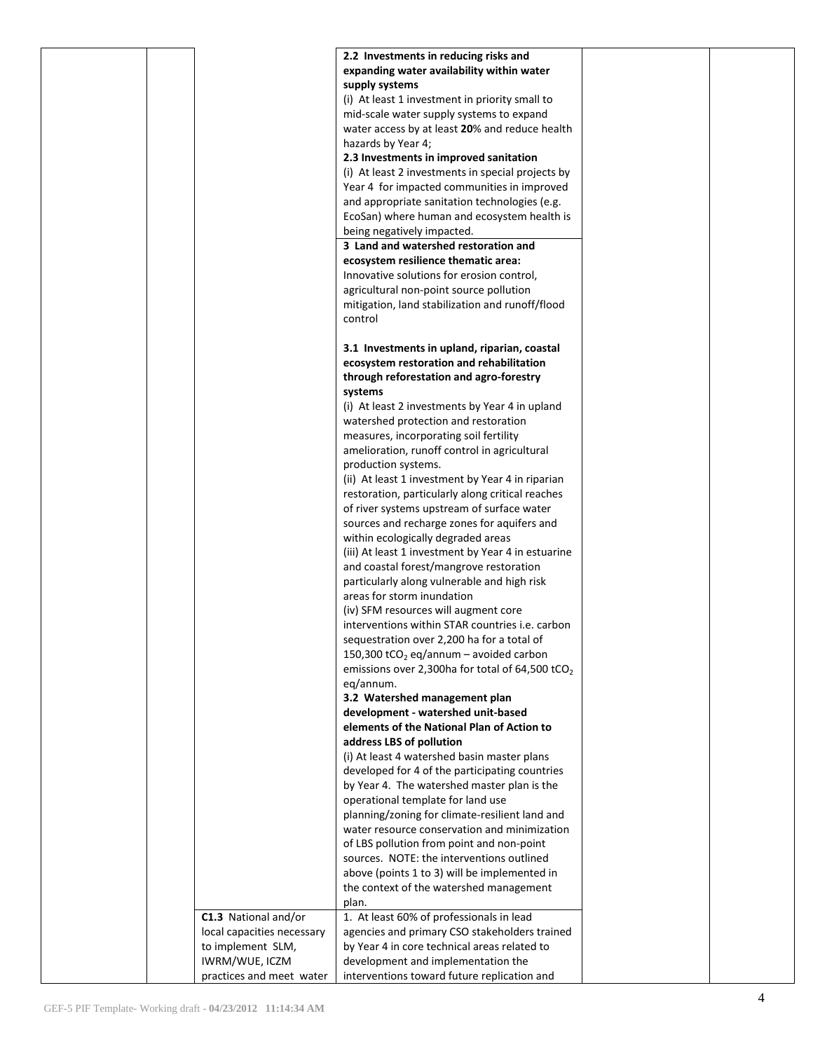|  |                            | 2.2 Investments in reducing risks and                                                        |  |
|--|----------------------------|----------------------------------------------------------------------------------------------|--|
|  |                            | expanding water availability within water                                                    |  |
|  |                            | supply systems                                                                               |  |
|  |                            | (i) At least 1 investment in priority small to                                               |  |
|  |                            | mid-scale water supply systems to expand                                                     |  |
|  |                            | water access by at least 20% and reduce health                                               |  |
|  |                            | hazards by Year 4;                                                                           |  |
|  |                            | 2.3 Investments in improved sanitation                                                       |  |
|  |                            | (i) At least 2 investments in special projects by                                            |  |
|  |                            | Year 4 for impacted communities in improved<br>and appropriate sanitation technologies (e.g. |  |
|  |                            | EcoSan) where human and ecosystem health is                                                  |  |
|  |                            | being negatively impacted.                                                                   |  |
|  |                            | 3 Land and watershed restoration and                                                         |  |
|  |                            | ecosystem resilience thematic area:                                                          |  |
|  |                            | Innovative solutions for erosion control,                                                    |  |
|  |                            | agricultural non-point source pollution                                                      |  |
|  |                            | mitigation, land stabilization and runoff/flood                                              |  |
|  |                            | control                                                                                      |  |
|  |                            |                                                                                              |  |
|  |                            | 3.1 Investments in upland, riparian, coastal                                                 |  |
|  |                            | ecosystem restoration and rehabilitation                                                     |  |
|  |                            | through reforestation and agro-forestry                                                      |  |
|  |                            | systems                                                                                      |  |
|  |                            | (i) At least 2 investments by Year 4 in upland<br>watershed protection and restoration       |  |
|  |                            | measures, incorporating soil fertility                                                       |  |
|  |                            | amelioration, runoff control in agricultural                                                 |  |
|  |                            | production systems.                                                                          |  |
|  |                            | (ii) At least 1 investment by Year 4 in riparian                                             |  |
|  |                            | restoration, particularly along critical reaches                                             |  |
|  |                            | of river systems upstream of surface water                                                   |  |
|  |                            | sources and recharge zones for aquifers and                                                  |  |
|  |                            | within ecologically degraded areas                                                           |  |
|  |                            | (iii) At least 1 investment by Year 4 in estuarine                                           |  |
|  |                            | and coastal forest/mangrove restoration                                                      |  |
|  |                            | particularly along vulnerable and high risk                                                  |  |
|  |                            | areas for storm inundation                                                                   |  |
|  |                            | (iv) SFM resources will augment core<br>interventions within STAR countries i.e. carbon      |  |
|  |                            | sequestration over 2,200 ha for a total of                                                   |  |
|  |                            | 150,300 tCO <sub>2</sub> eq/annum – avoided carbon                                           |  |
|  |                            | emissions over 2,300ha for total of 64,500 tCO <sub>2</sub>                                  |  |
|  |                            | eq/annum.                                                                                    |  |
|  |                            | 3.2 Watershed management plan                                                                |  |
|  |                            | development - watershed unit-based                                                           |  |
|  |                            | elements of the National Plan of Action to                                                   |  |
|  |                            | address LBS of pollution                                                                     |  |
|  |                            | (i) At least 4 watershed basin master plans                                                  |  |
|  |                            | developed for 4 of the participating countries                                               |  |
|  |                            | by Year 4. The watershed master plan is the                                                  |  |
|  |                            | operational template for land use<br>planning/zoning for climate-resilient land and          |  |
|  |                            | water resource conservation and minimization                                                 |  |
|  |                            | of LBS pollution from point and non-point                                                    |  |
|  |                            | sources. NOTE: the interventions outlined                                                    |  |
|  |                            | above (points 1 to 3) will be implemented in                                                 |  |
|  |                            | the context of the watershed management                                                      |  |
|  |                            | plan.                                                                                        |  |
|  | C1.3 National and/or       | 1. At least 60% of professionals in lead                                                     |  |
|  | local capacities necessary | agencies and primary CSO stakeholders trained                                                |  |
|  | to implement SLM,          | by Year 4 in core technical areas related to                                                 |  |
|  | IWRM/WUE, ICZM             | development and implementation the                                                           |  |
|  | practices and meet water   | interventions toward future replication and                                                  |  |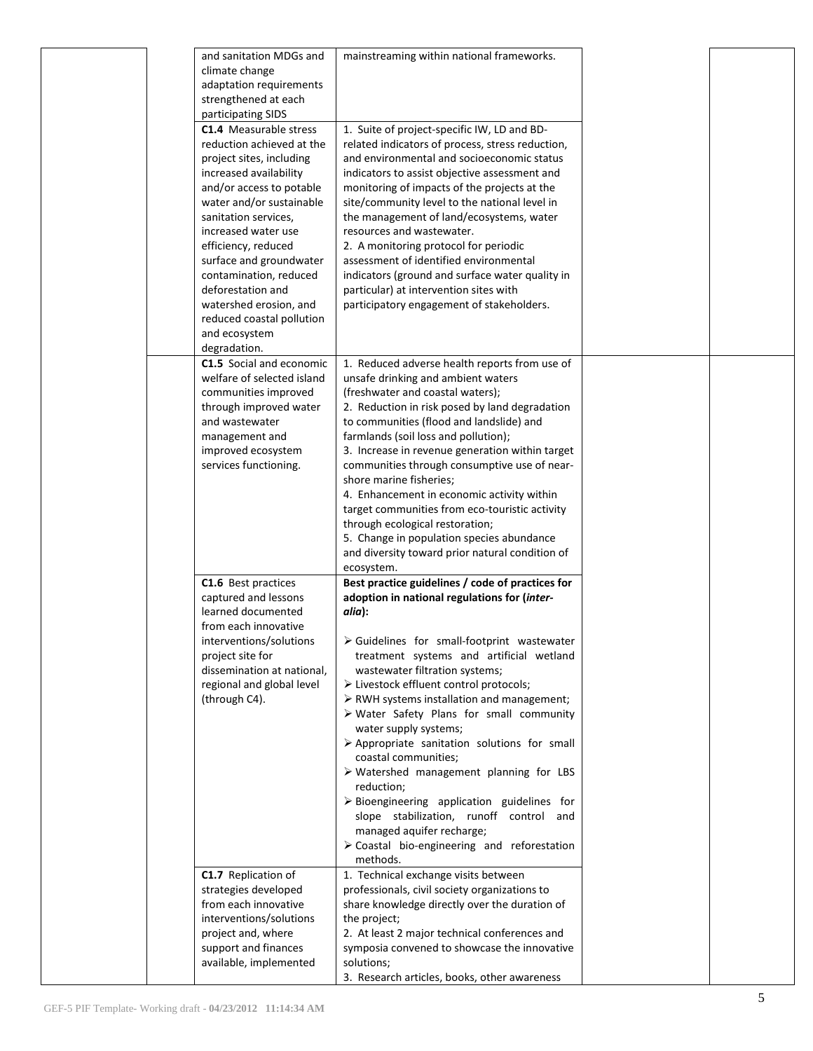|  | and sanitation MDGs and<br>climate change<br>adaptation requirements                                                                                                                                                                                                                                                                                                                                             | mainstreaming within national frameworks.                                                                                                                                                                                                                                                                                                                                                                                                                                                                                                                                                                                                                                                                                                                                            |  |
|--|------------------------------------------------------------------------------------------------------------------------------------------------------------------------------------------------------------------------------------------------------------------------------------------------------------------------------------------------------------------------------------------------------------------|--------------------------------------------------------------------------------------------------------------------------------------------------------------------------------------------------------------------------------------------------------------------------------------------------------------------------------------------------------------------------------------------------------------------------------------------------------------------------------------------------------------------------------------------------------------------------------------------------------------------------------------------------------------------------------------------------------------------------------------------------------------------------------------|--|
|  | strengthened at each<br>participating SIDS                                                                                                                                                                                                                                                                                                                                                                       |                                                                                                                                                                                                                                                                                                                                                                                                                                                                                                                                                                                                                                                                                                                                                                                      |  |
|  | <b>C1.4</b> Measurable stress<br>reduction achieved at the<br>project sites, including<br>increased availability<br>and/or access to potable<br>water and/or sustainable<br>sanitation services,<br>increased water use<br>efficiency, reduced<br>surface and groundwater<br>contamination, reduced<br>deforestation and<br>watershed erosion, and<br>reduced coastal pollution<br>and ecosystem<br>degradation. | 1. Suite of project-specific IW, LD and BD-<br>related indicators of process, stress reduction,<br>and environmental and socioeconomic status<br>indicators to assist objective assessment and<br>monitoring of impacts of the projects at the<br>site/community level to the national level in<br>the management of land/ecosystems, water<br>resources and wastewater.<br>2. A monitoring protocol for periodic<br>assessment of identified environmental<br>indicators (ground and surface water quality in<br>particular) at intervention sites with<br>participatory engagement of stakeholders.                                                                                                                                                                                |  |
|  | C1.5 Social and economic<br>welfare of selected island<br>communities improved<br>through improved water<br>and wastewater<br>management and<br>improved ecosystem<br>services functioning.                                                                                                                                                                                                                      | 1. Reduced adverse health reports from use of<br>unsafe drinking and ambient waters<br>(freshwater and coastal waters);<br>2. Reduction in risk posed by land degradation<br>to communities (flood and landslide) and<br>farmlands (soil loss and pollution);<br>3. Increase in revenue generation within target<br>communities through consumptive use of near-<br>shore marine fisheries;<br>4. Enhancement in economic activity within<br>target communities from eco-touristic activity<br>through ecological restoration;<br>5. Change in population species abundance<br>and diversity toward prior natural condition of<br>ecosystem.                                                                                                                                         |  |
|  | C1.6 Best practices<br>captured and lessons<br>learned documented<br>from each innovative<br>interventions/solutions<br>project site for<br>dissemination at national,<br>regional and global level<br>(through C4).                                                                                                                                                                                             | Best practice guidelines / code of practices for<br>adoption in national regulations for (inter-<br>alia):<br>$\triangleright$ Guidelines for small-footprint wastewater<br>treatment systems and artificial wetland<br>wastewater filtration systems;<br>> Livestock effluent control protocols;<br>$\triangleright$ RWH systems installation and management;<br>> Water Safety Plans for small community<br>water supply systems;<br>> Appropriate sanitation solutions for small<br>coastal communities;<br>$\triangleright$ Watershed management planning for LBS<br>reduction;<br>$\triangleright$ Bioengineering application guidelines for<br>slope stabilization, runoff control and<br>managed aquifer recharge;<br>> Coastal bio-engineering and reforestation<br>methods. |  |
|  | C1.7 Replication of<br>strategies developed<br>from each innovative<br>interventions/solutions<br>project and, where<br>support and finances<br>available, implemented                                                                                                                                                                                                                                           | 1. Technical exchange visits between<br>professionals, civil society organizations to<br>share knowledge directly over the duration of<br>the project;<br>2. At least 2 major technical conferences and<br>symposia convened to showcase the innovative<br>solutions;<br>3. Research articles, books, other awareness                                                                                                                                                                                                                                                                                                                                                                                                                                                                |  |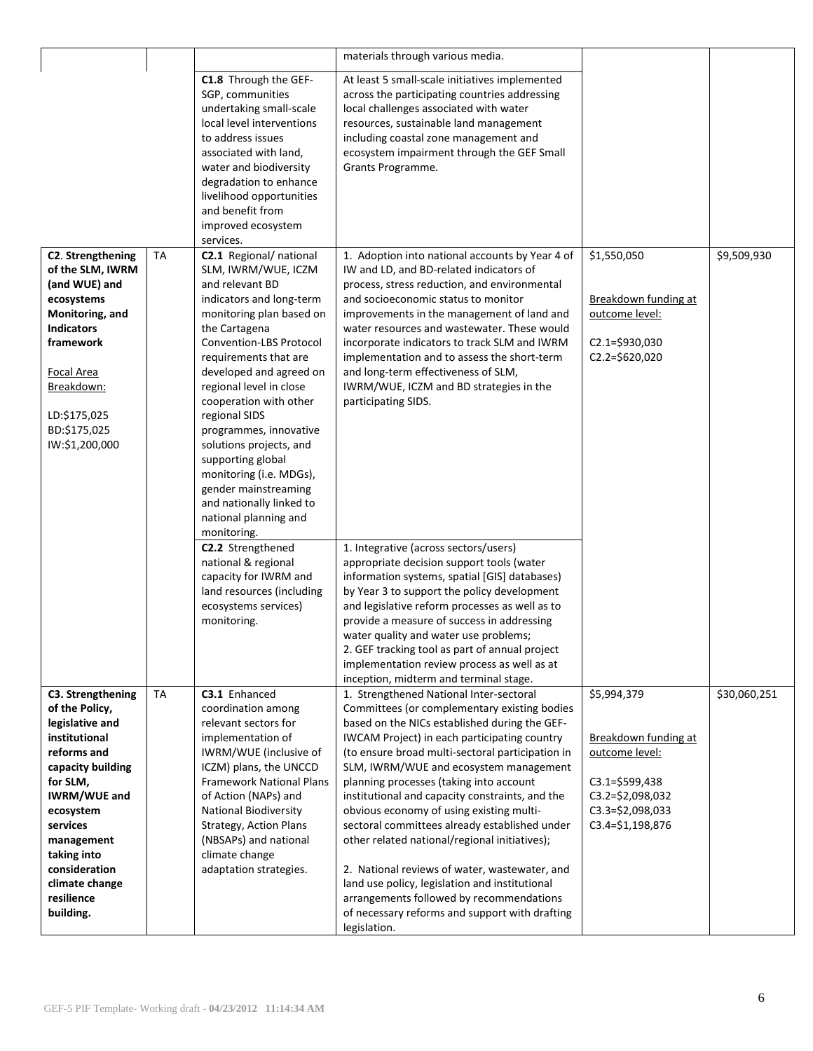|                                                                                                                                                                                                                                                                                                                                                                                                                                                                                                                                                                                                                                          | materials through various media.                                                                                                                                                                                                                                                                                                                                                                                                                                                                                                                                                                                                                                                                                                                                                                                      |                                                                                                                         |              |
|------------------------------------------------------------------------------------------------------------------------------------------------------------------------------------------------------------------------------------------------------------------------------------------------------------------------------------------------------------------------------------------------------------------------------------------------------------------------------------------------------------------------------------------------------------------------------------------------------------------------------------------|-----------------------------------------------------------------------------------------------------------------------------------------------------------------------------------------------------------------------------------------------------------------------------------------------------------------------------------------------------------------------------------------------------------------------------------------------------------------------------------------------------------------------------------------------------------------------------------------------------------------------------------------------------------------------------------------------------------------------------------------------------------------------------------------------------------------------|-------------------------------------------------------------------------------------------------------------------------|--------------|
| C1.8 Through the GEF-<br>SGP, communities<br>undertaking small-scale<br>local level interventions<br>to address issues<br>associated with land,<br>water and biodiversity<br>degradation to enhance<br>livelihood opportunities<br>and benefit from<br>improved ecosystem<br>services.                                                                                                                                                                                                                                                                                                                                                   | At least 5 small-scale initiatives implemented<br>across the participating countries addressing<br>local challenges associated with water<br>resources, sustainable land management<br>including coastal zone management and<br>ecosystem impairment through the GEF Small<br>Grants Programme.                                                                                                                                                                                                                                                                                                                                                                                                                                                                                                                       |                                                                                                                         |              |
| C2.1 Regional/national<br>SLM, IWRM/WUE, ICZM<br>and relevant BD<br>indicators and long-term<br>monitoring plan based on<br>the Cartagena<br>Convention-LBS Protocol<br>requirements that are<br>developed and agreed on<br>regional level in close<br>cooperation with other<br>regional SIDS<br>programmes, innovative<br>solutions projects, and<br>supporting global<br>monitoring (i.e. MDGs),<br>gender mainstreaming<br>and nationally linked to<br>national planning and<br>monitoring.<br>C2.2 Strengthened<br>national & regional<br>capacity for IWRM and<br>land resources (including<br>ecosystems services)<br>monitoring. | 1. Adoption into national accounts by Year 4 of<br>IW and LD, and BD-related indicators of<br>process, stress reduction, and environmental<br>and socioeconomic status to monitor<br>improvements in the management of land and<br>water resources and wastewater. These would<br>incorporate indicators to track SLM and IWRM<br>implementation and to assess the short-term<br>and long-term effectiveness of SLM,<br>IWRM/WUE, ICZM and BD strategies in the<br>participating SIDS.<br>1. Integrative (across sectors/users)<br>appropriate decision support tools (water<br>information systems, spatial [GIS] databases)<br>by Year 3 to support the policy development<br>and legislative reform processes as well as to<br>provide a measure of success in addressing<br>water quality and water use problems; | \$1,550,050<br>Breakdown funding at<br>outcome level:<br>$C2.1 = $930,030$<br>C2.2=\$620,020                            | \$9,509,930  |
|                                                                                                                                                                                                                                                                                                                                                                                                                                                                                                                                                                                                                                          | implementation review process as well as at<br>inception, midterm and terminal stage.                                                                                                                                                                                                                                                                                                                                                                                                                                                                                                                                                                                                                                                                                                                                 |                                                                                                                         |              |
| coordination among<br>relevant sectors for<br>implementation of<br>IWRM/WUE (inclusive of<br>ICZM) plans, the UNCCD<br><b>Framework National Plans</b><br>of Action (NAPs) and<br><b>National Biodiversity</b><br>Strategy, Action Plans<br>(NBSAPs) and national<br>climate change<br>adaptation strategies.                                                                                                                                                                                                                                                                                                                            | Committees (or complementary existing bodies<br>based on the NICs established during the GEF-<br>IWCAM Project) in each participating country<br>(to ensure broad multi-sectoral participation in<br>SLM, IWRM/WUE and ecosystem management<br>planning processes (taking into account<br>institutional and capacity constraints, and the<br>obvious economy of using existing multi-<br>sectoral committees already established under<br>other related national/regional initiatives);<br>2. National reviews of water, wastewater, and<br>land use policy, legislation and institutional<br>arrangements followed by recommendations<br>of necessary reforms and support with drafting                                                                                                                              | Breakdown funding at<br>outcome level:<br>$C3.1 = $599,438$<br>C3.2=\$2,098,032<br>C3.3=\$2,098,033<br>C3.4=\$1,198,876 | \$30,060,251 |
|                                                                                                                                                                                                                                                                                                                                                                                                                                                                                                                                                                                                                                          | C3.1 Enhanced                                                                                                                                                                                                                                                                                                                                                                                                                                                                                                                                                                                                                                                                                                                                                                                                         | 2. GEF tracking tool as part of annual project<br>1. Strengthened National Inter-sectoral<br>legislation.               | \$5,994,379  |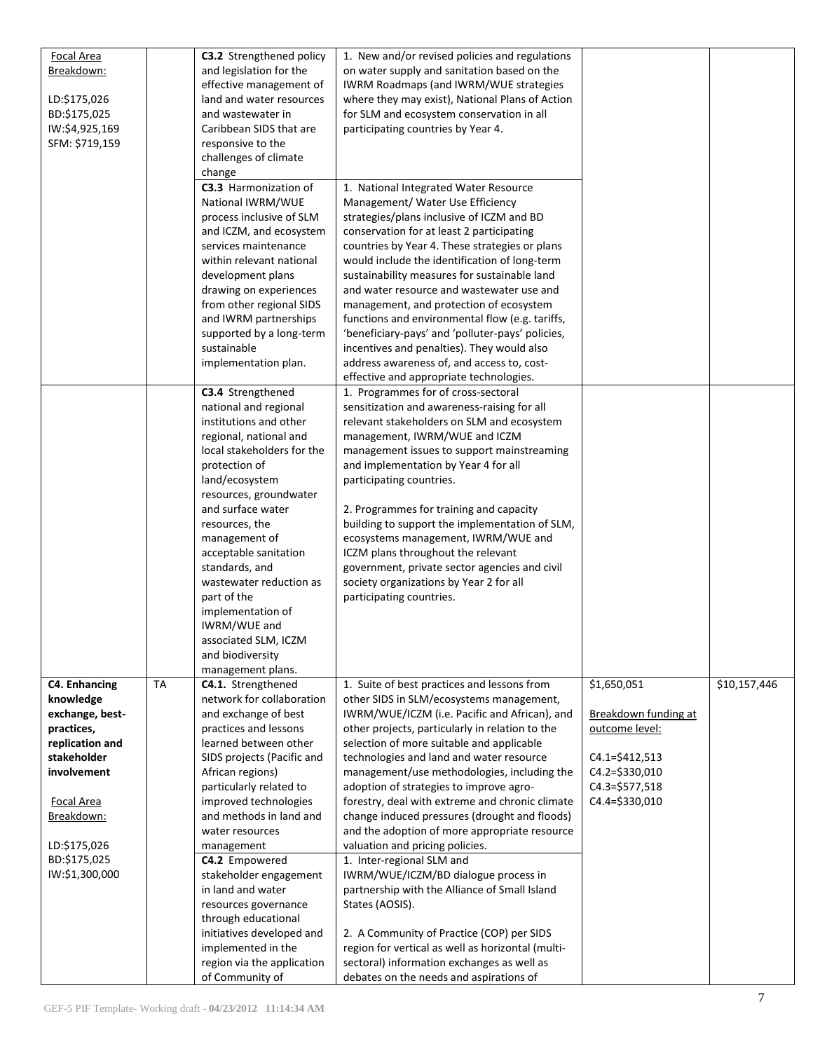| <b>Focal Area</b><br>Breakdown:<br>LD:\$175,026<br>BD:\$175,025<br>IW:\$4,925,169<br>SFM: \$719,159                                                                                                      |           | <b>C3.2</b> Strengthened policy<br>and legislation for the<br>effective management of<br>land and water resources<br>and wastewater in<br>Caribbean SIDS that are<br>responsive to the<br>challenges of climate<br>change<br>C3.3 Harmonization of<br>National IWRM/WUE<br>process inclusive of SLM<br>and ICZM, and ecosystem<br>services maintenance<br>within relevant national<br>development plans<br>drawing on experiences<br>from other regional SIDS<br>and IWRM partnerships<br>supported by a long-term<br>sustainable | 1. New and/or revised policies and regulations<br>on water supply and sanitation based on the<br>IWRM Roadmaps (and IWRM/WUE strategies<br>where they may exist), National Plans of Action<br>for SLM and ecosystem conservation in all<br>participating countries by Year 4.<br>1. National Integrated Water Resource<br>Management/ Water Use Efficiency<br>strategies/plans inclusive of ICZM and BD<br>conservation for at least 2 participating<br>countries by Year 4. These strategies or plans<br>would include the identification of long-term<br>sustainability measures for sustainable land<br>and water resource and wastewater use and<br>management, and protection of ecosystem<br>functions and environmental flow (e.g. tariffs,<br>'beneficiary-pays' and 'polluter-pays' policies,<br>incentives and penalties). They would also                                                       |                                                                                                                               |              |
|----------------------------------------------------------------------------------------------------------------------------------------------------------------------------------------------------------|-----------|-----------------------------------------------------------------------------------------------------------------------------------------------------------------------------------------------------------------------------------------------------------------------------------------------------------------------------------------------------------------------------------------------------------------------------------------------------------------------------------------------------------------------------------|------------------------------------------------------------------------------------------------------------------------------------------------------------------------------------------------------------------------------------------------------------------------------------------------------------------------------------------------------------------------------------------------------------------------------------------------------------------------------------------------------------------------------------------------------------------------------------------------------------------------------------------------------------------------------------------------------------------------------------------------------------------------------------------------------------------------------------------------------------------------------------------------------------|-------------------------------------------------------------------------------------------------------------------------------|--------------|
|                                                                                                                                                                                                          |           | implementation plan.<br>C3.4 Strengthened<br>national and regional<br>institutions and other<br>regional, national and<br>local stakeholders for the<br>protection of<br>land/ecosystem<br>resources, groundwater<br>and surface water<br>resources, the<br>management of<br>acceptable sanitation<br>standards, and<br>wastewater reduction as<br>part of the<br>implementation of<br>IWRM/WUE and<br>associated SLM, ICZM<br>and biodiversity<br>management plans.                                                              | address awareness of, and access to, cost-<br>effective and appropriate technologies.<br>1. Programmes for of cross-sectoral<br>sensitization and awareness-raising for all<br>relevant stakeholders on SLM and ecosystem<br>management, IWRM/WUE and ICZM<br>management issues to support mainstreaming<br>and implementation by Year 4 for all<br>participating countries.<br>2. Programmes for training and capacity<br>building to support the implementation of SLM,<br>ecosystems management, IWRM/WUE and<br>ICZM plans throughout the relevant<br>government, private sector agencies and civil<br>society organizations by Year 2 for all<br>participating countries.                                                                                                                                                                                                                             |                                                                                                                               |              |
| <b>C4. Enhancing</b><br>knowledge<br>exchange, best-<br>practices,<br>replication and<br>stakeholder<br>involvement<br><b>Focal Area</b><br>Breakdown:<br>LD:\$175,026<br>BD:\$175,025<br>IW:\$1,300,000 | <b>TA</b> | C4.1. Strengthened<br>network for collaboration<br>and exchange of best<br>practices and lessons<br>learned between other<br>SIDS projects (Pacific and<br>African regions)<br>particularly related to<br>improved technologies<br>and methods in land and<br>water resources<br>management<br>C4.2 Empowered<br>stakeholder engagement<br>in land and water<br>resources governance<br>through educational<br>initiatives developed and<br>implemented in the<br>region via the application<br>of Community of                   | 1. Suite of best practices and lessons from<br>other SIDS in SLM/ecosystems management,<br>IWRM/WUE/ICZM (i.e. Pacific and African), and<br>other projects, particularly in relation to the<br>selection of more suitable and applicable<br>technologies and land and water resource<br>management/use methodologies, including the<br>adoption of strategies to improve agro-<br>forestry, deal with extreme and chronic climate<br>change induced pressures (drought and floods)<br>and the adoption of more appropriate resource<br>valuation and pricing policies.<br>1. Inter-regional SLM and<br>IWRM/WUE/ICZM/BD dialogue process in<br>partnership with the Alliance of Small Island<br>States (AOSIS).<br>2. A Community of Practice (COP) per SIDS<br>region for vertical as well as horizontal (multi-<br>sectoral) information exchanges as well as<br>debates on the needs and aspirations of | \$1,650,051<br>Breakdown funding at<br>outcome level:<br>C4.1=\$412,513<br>C4.2=\$330,010<br>C4.3=\$577,518<br>C4.4=\$330,010 | \$10,157,446 |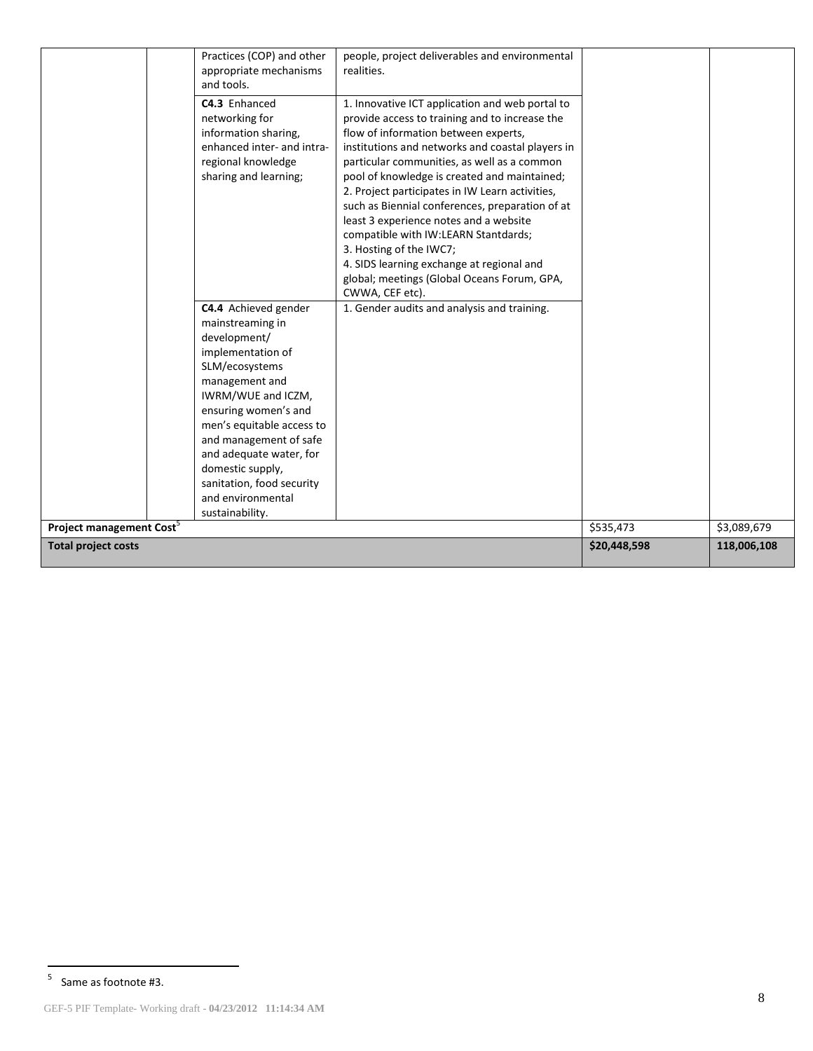|                                      | Practices (COP) and other<br>appropriate mechanisms<br>and tools.                                                                                                                                                                                                                                                                          | people, project deliverables and environmental<br>realities.                                                                                                                                                                                                                                                                                                                                                                                                                                                                                                                                                                   |              |             |
|--------------------------------------|--------------------------------------------------------------------------------------------------------------------------------------------------------------------------------------------------------------------------------------------------------------------------------------------------------------------------------------------|--------------------------------------------------------------------------------------------------------------------------------------------------------------------------------------------------------------------------------------------------------------------------------------------------------------------------------------------------------------------------------------------------------------------------------------------------------------------------------------------------------------------------------------------------------------------------------------------------------------------------------|--------------|-------------|
|                                      | C4.3 Enhanced<br>networking for<br>information sharing,<br>enhanced inter- and intra-<br>regional knowledge<br>sharing and learning;                                                                                                                                                                                                       | 1. Innovative ICT application and web portal to<br>provide access to training and to increase the<br>flow of information between experts,<br>institutions and networks and coastal players in<br>particular communities, as well as a common<br>pool of knowledge is created and maintained;<br>2. Project participates in IW Learn activities,<br>such as Biennial conferences, preparation of at<br>least 3 experience notes and a website<br>compatible with IW:LEARN Stantdards;<br>3. Hosting of the IWC7;<br>4. SIDS learning exchange at regional and<br>global; meetings (Global Oceans Forum, GPA,<br>CWWA, CEF etc). |              |             |
|                                      | C4.4 Achieved gender<br>mainstreaming in<br>development/<br>implementation of<br>SLM/ecosystems<br>management and<br>IWRM/WUE and ICZM,<br>ensuring women's and<br>men's equitable access to<br>and management of safe<br>and adequate water, for<br>domestic supply,<br>sanitation, food security<br>and environmental<br>sustainability. | 1. Gender audits and analysis and training.                                                                                                                                                                                                                                                                                                                                                                                                                                                                                                                                                                                    |              |             |
| Project management Cost <sup>3</sup> |                                                                                                                                                                                                                                                                                                                                            |                                                                                                                                                                                                                                                                                                                                                                                                                                                                                                                                                                                                                                | \$535,473    | \$3,089,679 |
| <b>Total project costs</b>           |                                                                                                                                                                                                                                                                                                                                            |                                                                                                                                                                                                                                                                                                                                                                                                                                                                                                                                                                                                                                | \$20,448,598 | 118,006,108 |

<sup>-&</sup>lt;br>5 Same as footnote #3.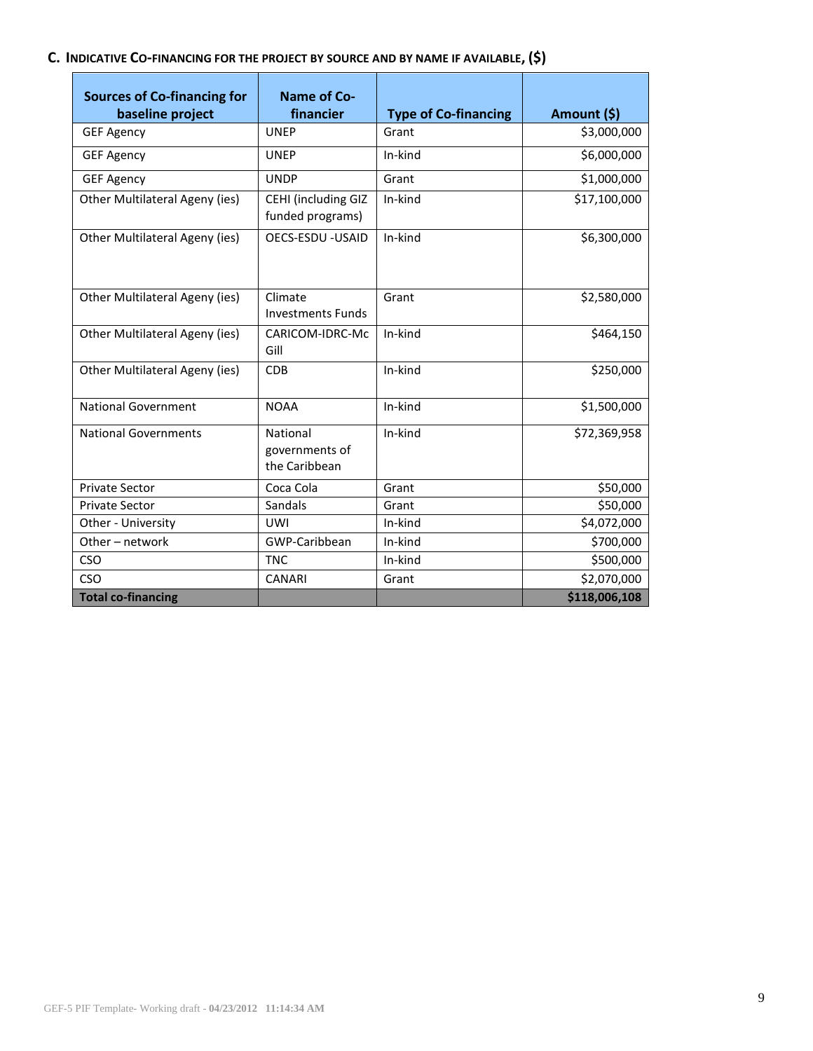# **C. INDICATIVE CO-[FINANCING](http://gefweb.org/Documents/Council_Documents/GEF_C21/C.20.6.Rev.1.pdf) FOR THE PROJECT BY SOURCE AND BY NAME IF AVAILABLE, (\$)**

| <b>Sources of Co-financing for</b><br>baseline project | <b>Name of Co-</b><br>financier             | <b>Type of Co-financing</b> | Amount (\$)   |
|--------------------------------------------------------|---------------------------------------------|-----------------------------|---------------|
| <b>GEF Agency</b>                                      | <b>UNEP</b>                                 | Grant                       | \$3,000,000   |
| <b>GEF Agency</b>                                      | <b>UNEP</b>                                 | In-kind                     | \$6,000,000   |
| <b>GEF Agency</b>                                      | <b>UNDP</b>                                 | Grant                       | \$1,000,000   |
| Other Multilateral Ageny (ies)                         | CEHI (including GIZ<br>funded programs)     | In-kind                     | \$17,100,000  |
| Other Multilateral Ageny (ies)                         | <b>OECS-ESDU -USAID</b>                     | In-kind                     | \$6,300,000   |
| Other Multilateral Ageny (ies)                         | Climate<br><b>Investments Funds</b>         | Grant                       | \$2,580,000   |
| Other Multilateral Ageny (ies)                         | CARICOM-IDRC-Mc<br>Gill                     | In-kind                     | \$464,150     |
| Other Multilateral Ageny (ies)                         | <b>CDB</b>                                  | In-kind                     | \$250,000     |
| <b>National Government</b>                             | <b>NOAA</b>                                 | In-kind                     | \$1,500,000   |
| <b>National Governments</b>                            | National<br>governments of<br>the Caribbean | In-kind                     | \$72,369,958  |
| <b>Private Sector</b>                                  | Coca Cola                                   | Grant                       | \$50,000      |
| <b>Private Sector</b>                                  | Sandals                                     | Grant                       | \$50,000      |
| Other - University                                     | <b>UWI</b>                                  | In-kind                     | \$4,072,000   |
| Other - network                                        | GWP-Caribbean                               | In-kind                     | \$700,000     |
| <b>CSO</b>                                             | <b>TNC</b>                                  | In-kind                     | \$500,000     |
| CSO                                                    | <b>CANARI</b>                               | Grant                       | \$2,070,000   |
| <b>Total co-financing</b>                              |                                             |                             | \$118,006,108 |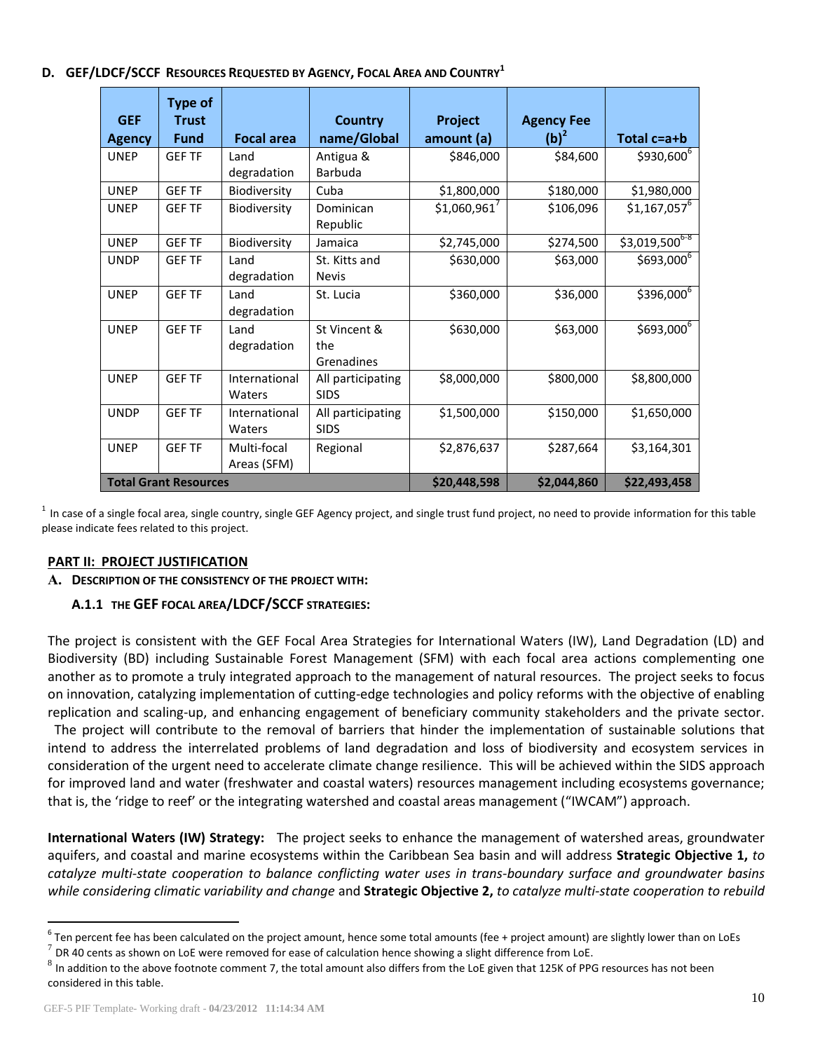### **D. GEF/LDCF/SCCF RESOURCES REQUESTED BY AGENCY, FOCAL AREA AND COUNTRY<sup>1</sup>**

| <b>GEF</b><br><b>Agency</b> | <b>Type of</b><br><b>Trust</b><br><b>Fund</b> | <b>Focal area</b>          | <b>Country</b><br>name/Global     | Project<br>amount (a) | <b>Agency Fee</b><br>$(b)^2$ | Total c=a+b                 |
|-----------------------------|-----------------------------------------------|----------------------------|-----------------------------------|-----------------------|------------------------------|-----------------------------|
| <b>UNEP</b>                 | <b>GEF TF</b>                                 | Land<br>degradation        | Antigua &<br>Barbuda              | \$846,000             | \$84,600                     | \$930,600 <sup>6</sup>      |
| <b>UNEP</b>                 | <b>GEF TF</b>                                 | Biodiversity               | Cuba                              | \$1,800,000           | \$180,000                    | \$1,980,000                 |
| <b>UNEP</b>                 | <b>GEF TF</b>                                 | Biodiversity               | Dominican<br>Republic             | \$1,060,961'          | \$106,096                    | $$1,167,057$ <sup>6</sup>   |
| <b>UNEP</b>                 | <b>GEF TF</b>                                 | Biodiversity               | Jamaica                           | \$2,745,000           | \$274,500                    | $$3,019,500$ <sup>6-8</sup> |
| <b>UNDP</b>                 | <b>GEF TF</b>                                 | Land<br>degradation        | St. Kitts and<br><b>Nevis</b>     | \$630,000             | \$63,000                     | $$693,000^6$                |
| <b>UNEP</b>                 | <b>GEF TF</b>                                 | Land<br>degradation        | St. Lucia                         | \$360,000             | \$36,000                     | $$396,000^6$                |
| <b>UNEP</b>                 | <b>GEF TF</b>                                 | Land<br>degradation        | St Vincent &<br>the<br>Grenadines | \$630,000             | \$63,000                     | $$693,000^6$                |
| <b>UNEP</b>                 | <b>GEF TF</b>                                 | International<br>Waters    | All participating<br><b>SIDS</b>  | \$8,000,000           | \$800,000                    | \$8,800,000                 |
| <b>UNDP</b>                 | <b>GEF TF</b>                                 | International<br>Waters    | All participating<br><b>SIDS</b>  | \$1,500,000           | \$150,000                    | \$1,650,000                 |
| <b>UNEP</b>                 | <b>GEF TF</b>                                 | Multi-focal<br>Areas (SFM) | Regional                          | \$2,876,637           | \$287,664                    | \$3,164,301                 |
|                             | <b>Total Grant Resources</b>                  |                            |                                   | \$20,448,598          | \$2,044,860                  | \$22,493,458                |

 $^1$  In case of a single focal area, single country, single GEF Agency project, and single trust fund project, no need to provide information for this table please indicate fees related to this project.

## **PART II: PROJECT JUSTIFICATION**

## **A. DESCRIPTION OF THE CONSISTENCY OF THE PROJECT WITH:**

# **A.1.1 THE GEF [FOCAL AREA](http://www.thegef.org/gef/sites/thegef.org/files/documents/GEF.R.5.19.Rev_.1.2009.pdf)/[LDCF/SCCF](http://www.thegef.org/gef/sites/thegef.org/files/documents/Program%20strategy%20V.2.pdf) STRATEGIES:**

The project is consistent with the GEF Focal Area Strategies for International Waters (IW), Land Degradation (LD) and Biodiversity (BD) including Sustainable Forest Management (SFM) with each focal area actions complementing one another as to promote a truly integrated approach to the management of natural resources. The project seeks to focus on innovation, catalyzing implementation of cutting-edge technologies and policy reforms with the objective of enabling replication and scaling-up, and enhancing engagement of beneficiary community stakeholders and the private sector.

 The project will contribute to the removal of barriers that hinder the implementation of sustainable solutions that intend to address the interrelated problems of land degradation and loss of biodiversity and ecosystem services in consideration of the urgent need to accelerate climate change resilience. This will be achieved within the SIDS approach for improved land and water (freshwater and coastal waters) resources management including ecosystems governance; that is, the 'ridge to reef' or the integrating watershed and coastal areas management ("IWCAM") approach.

**International Waters (IW) Strategy:** The project seeks to enhance the management of watershed areas, groundwater aquifers, and coastal and marine ecosystems within the Caribbean Sea basin and will address **Strategic Objective 1,** *to catalyze multi-state cooperation to balance conflicting water uses in trans-boundary surface and groundwater basins while considering climatic variability and change* and **Strategic Objective 2,** *to catalyze multi-state cooperation to rebuild* 

 $\overline{a}$ 

 $^6$  Ten percent fee has been calculated on the project amount, hence some total amounts (fee + project amount) are slightly lower than on LoEs

 $^7$  DR 40 cents as shown on LoE were removed for ease of calculation hence showing a slight difference from LoE.

 $^8$  In addition to the above footnote comment 7, the total amount also differs from the LoE given that 125K of PPG resources has not been considered in this table.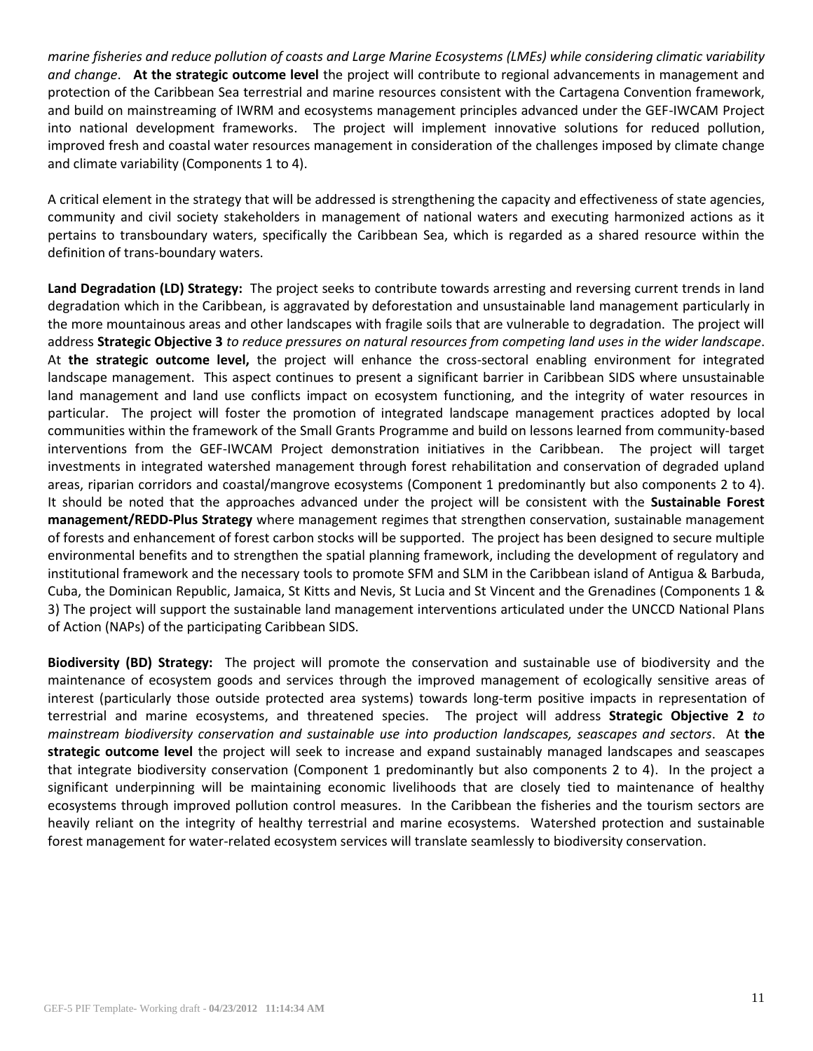*marine fisheries and reduce pollution of coasts and Large Marine Ecosystems (LMEs) while considering climatic variability and change*. **At the strategic outcome level** the project will contribute to regional advancements in management and protection of the Caribbean Sea terrestrial and marine resources consistent with the Cartagena Convention framework, and build on mainstreaming of IWRM and ecosystems management principles advanced under the GEF-IWCAM Project into national development frameworks. The project will implement innovative solutions for reduced pollution, improved fresh and coastal water resources management in consideration of the challenges imposed by climate change and climate variability (Components 1 to 4).

A critical element in the strategy that will be addressed is strengthening the capacity and effectiveness of state agencies, community and civil society stakeholders in management of national waters and executing harmonized actions as it pertains to transboundary waters, specifically the Caribbean Sea, which is regarded as a shared resource within the definition of trans-boundary waters.

**Land Degradation (LD) Strategy:** The project seeks to contribute towards arresting and reversing current trends in land degradation which in the Caribbean, is aggravated by deforestation and unsustainable land management particularly in the more mountainous areas and other landscapes with fragile soils that are vulnerable to degradation. The project will address **Strategic Objective 3** *to reduce pressures on natural resources from competing land uses in the wider landscape*. At **the strategic outcome level,** the project will enhance the cross-sectoral enabling environment for integrated landscape management. This aspect continues to present a significant barrier in Caribbean SIDS where unsustainable land management and land use conflicts impact on ecosystem functioning, and the integrity of water resources in particular. The project will foster the promotion of integrated landscape management practices adopted by local communities within the framework of the Small Grants Programme and build on lessons learned from community-based interventions from the GEF-IWCAM Project demonstration initiatives in the Caribbean. The project will target investments in integrated watershed management through forest rehabilitation and conservation of degraded upland areas, riparian corridors and coastal/mangrove ecosystems (Component 1 predominantly but also components 2 to 4). It should be noted that the approaches advanced under the project will be consistent with the **Sustainable Forest management/REDD-Plus Strategy** where management regimes that strengthen conservation, sustainable management of forests and enhancement of forest carbon stocks will be supported. The project has been designed to secure multiple environmental benefits and to strengthen the spatial planning framework, including the development of regulatory and institutional framework and the necessary tools to promote SFM and SLM in the Caribbean island of Antigua & Barbuda, Cuba, the Dominican Republic, Jamaica, St Kitts and Nevis, St Lucia and St Vincent and the Grenadines (Components 1 & 3) The project will support the sustainable land management interventions articulated under the UNCCD National Plans of Action (NAPs) of the participating Caribbean SIDS.

**Biodiversity (BD) Strategy:** The project will promote the conservation and sustainable use of biodiversity and the maintenance of ecosystem goods and services through the improved management of ecologically sensitive areas of interest (particularly those outside protected area systems) towards long-term positive impacts in representation of terrestrial and marine ecosystems, and threatened species. The project will address **Strategic Objective 2** *to mainstream biodiversity conservation and sustainable use into production landscapes, seascapes and sectors*. At **the strategic outcome level** the project will seek to increase and expand sustainably managed landscapes and seascapes that integrate biodiversity conservation (Component 1 predominantly but also components 2 to 4). In the project a significant underpinning will be maintaining economic livelihoods that are closely tied to maintenance of healthy ecosystems through improved pollution control measures. In the Caribbean the fisheries and the tourism sectors are heavily reliant on the integrity of healthy terrestrial and marine ecosystems. Watershed protection and sustainable forest management for water-related ecosystem services will translate seamlessly to biodiversity conservation.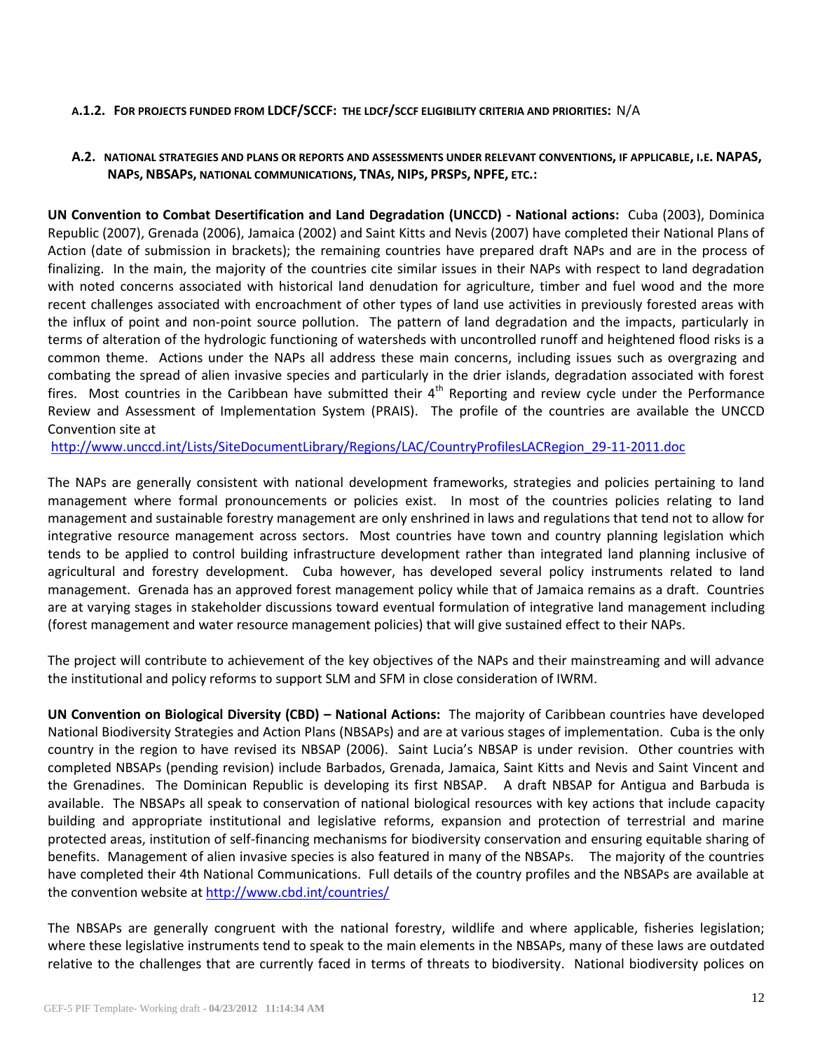### **A.1.2. FOR PROJECTS FUNDED FROM LDCF/SCCF: THE LDCF/SCCF ELIGIBILITY CRITERIA AND PRIORITIES:** N/A

## **A.2. NATIONAL STRATEGIES AND PLANS OR REPORTS AND ASSESSMENTS UNDER RELEVANT CONVENTIONS, IF APPLICABLE, I.E. NAPAS, NAPS, NBSAPS, NATIONAL COMMUNICATIONS, TNAS, NIPS, PRSPS, NPFE, ETC.:**

**UN Convention to Combat Desertification and Land Degradation (UNCCD) - National actions:** Cuba (2003), Dominica Republic (2007), Grenada (2006), Jamaica (2002) and Saint Kitts and Nevis (2007) have completed their National Plans of Action (date of submission in brackets); the remaining countries have prepared draft NAPs and are in the process of finalizing. In the main, the majority of the countries cite similar issues in their NAPs with respect to land degradation with noted concerns associated with historical land denudation for agriculture, timber and fuel wood and the more recent challenges associated with encroachment of other types of land use activities in previously forested areas with the influx of point and non-point source pollution. The pattern of land degradation and the impacts, particularly in terms of alteration of the hydrologic functioning of watersheds with uncontrolled runoff and heightened flood risks is a common theme. Actions under the NAPs all address these main concerns, including issues such as overgrazing and combating the spread of alien invasive species and particularly in the drier islands, degradation associated with forest fires. Most countries in the Caribbean have submitted their  $4<sup>th</sup>$  Reporting and review cycle under the Performance Review and Assessment of Implementation System (PRAIS). The profile of the countries are available the UNCCD Convention site at

[http://www.unccd.int/Lists/SiteDocumentLibrary/Regions/LAC/CountryProfilesLACRegion\\_29-11-2011.doc](http://www.unccd.int/Lists/SiteDocumentLibrary/Regions/LAC/CountryProfilesLACRegion_29-11-2011.doc)

The NAPs are generally consistent with national development frameworks, strategies and policies pertaining to land management where formal pronouncements or policies exist. In most of the countries policies relating to land management and sustainable forestry management are only enshrined in laws and regulations that tend not to allow for integrative resource management across sectors. Most countries have town and country planning legislation which tends to be applied to control building infrastructure development rather than integrated land planning inclusive of agricultural and forestry development. Cuba however, has developed several policy instruments related to land management. Grenada has an approved forest management policy while that of Jamaica remains as a draft. Countries are at varying stages in stakeholder discussions toward eventual formulation of integrative land management including (forest management and water resource management policies) that will give sustained effect to their NAPs.

The project will contribute to achievement of the key objectives of the NAPs and their mainstreaming and will advance the institutional and policy reforms to support SLM and SFM in close consideration of IWRM.

**UN Convention on Biological Diversity (CBD) – National Actions:** The majority of Caribbean countries have developed National Biodiversity Strategies and Action Plans (NBSAPs) and are at various stages of implementation. Cuba is the only country in the region to have revised its NBSAP (2006). Saint Lucia's NBSAP is under revision. Other countries with completed NBSAPs (pending revision) include Barbados, Grenada, Jamaica, Saint Kitts and Nevis and Saint Vincent and the Grenadines. The Dominican Republic is developing its first NBSAP. A draft NBSAP for Antigua and Barbuda is available. The NBSAPs all speak to conservation of national biological resources with key actions that include capacity building and appropriate institutional and legislative reforms, expansion and protection of terrestrial and marine protected areas, institution of self-financing mechanisms for biodiversity conservation and ensuring equitable sharing of benefits. Management of alien invasive species is also featured in many of the NBSAPs. The majority of the countries have completed their 4th National Communications. Full details of the country profiles and the NBSAPs are available at the convention website at <http://www.cbd.int/countries/>

The NBSAPs are generally congruent with the national forestry, wildlife and where applicable, fisheries legislation; where these legislative instruments tend to speak to the main elements in the NBSAPs, many of these laws are outdated relative to the challenges that are currently faced in terms of threats to biodiversity. National biodiversity polices on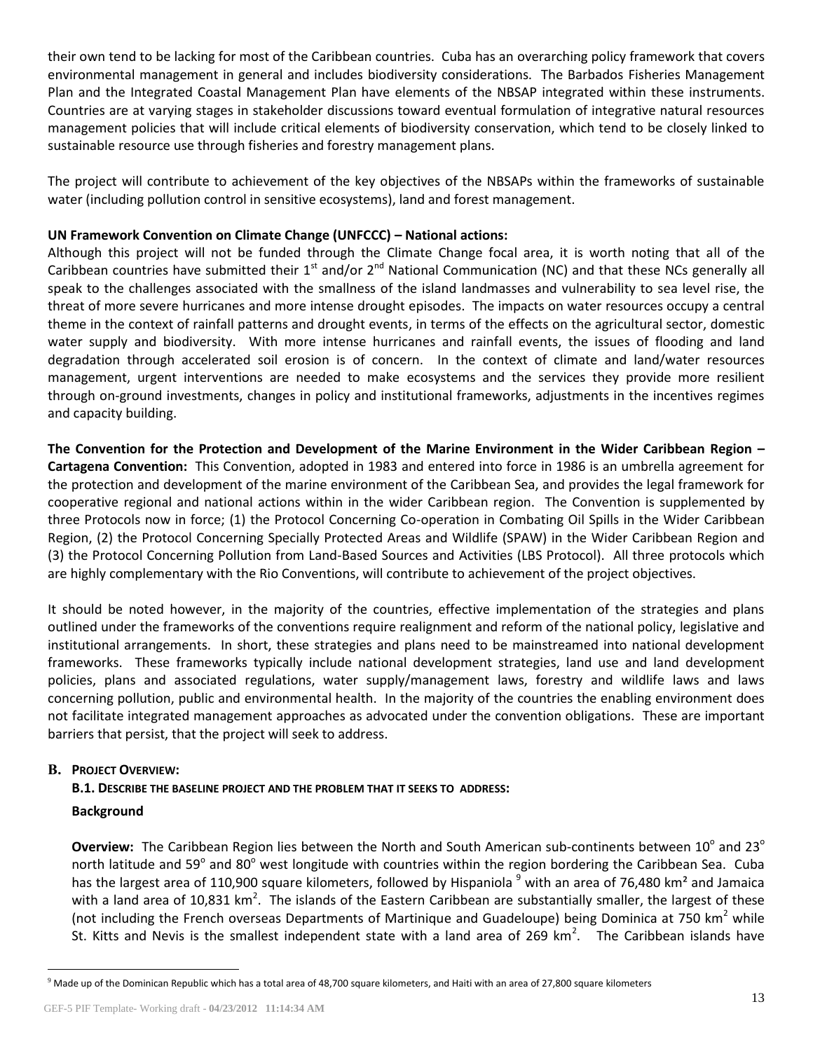their own tend to be lacking for most of the Caribbean countries. Cuba has an overarching policy framework that covers environmental management in general and includes biodiversity considerations. The Barbados Fisheries Management Plan and the Integrated Coastal Management Plan have elements of the NBSAP integrated within these instruments. Countries are at varying stages in stakeholder discussions toward eventual formulation of integrative natural resources management policies that will include critical elements of biodiversity conservation, which tend to be closely linked to sustainable resource use through fisheries and forestry management plans.

The project will contribute to achievement of the key objectives of the NBSAPs within the frameworks of sustainable water (including pollution control in sensitive ecosystems), land and forest management.

## **UN Framework Convention on Climate Change (UNFCCC) – National actions:**

Although this project will not be funded through the Climate Change focal area, it is worth noting that all of the Caribbean countries have submitted their  $1^{st}$  and/or  $2^{nd}$  National Communication (NC) and that these NCs generally all speak to the challenges associated with the smallness of the island landmasses and vulnerability to sea level rise, the threat of more severe hurricanes and more intense drought episodes. The impacts on water resources occupy a central theme in the context of rainfall patterns and drought events, in terms of the effects on the agricultural sector, domestic water supply and biodiversity. With more intense hurricanes and rainfall events, the issues of flooding and land degradation through accelerated soil erosion is of concern. In the context of climate and land/water resources management, urgent interventions are needed to make ecosystems and the services they provide more resilient through on-ground investments, changes in policy and institutional frameworks, adjustments in the incentives regimes and capacity building.

**The Convention for the Protection and Development of the Marine Environment in the Wider Caribbean Region – Cartagena Convention:** This Convention, adopted in 1983 and entered into force in 1986 is an umbrella agreement for the protection and development of the marine environment of the Caribbean Sea, and provides the legal framework for cooperative regional and national actions within in the wider Caribbean region. The Convention is supplemented by three Protocols now in force; (1) the Protocol Concerning Co-operation in Combating Oil Spills in the Wider Caribbean Region, (2) the Protocol Concerning Specially Protected Areas and Wildlife (SPAW) in the Wider Caribbean Region and (3) the Protocol Concerning Pollution from Land-Based Sources and Activities (LBS Protocol). All three protocols which are highly complementary with the Rio Conventions, will contribute to achievement of the project objectives.

It should be noted however, in the majority of the countries, effective implementation of the strategies and plans outlined under the frameworks of the conventions require realignment and reform of the national policy, legislative and institutional arrangements. In short, these strategies and plans need to be mainstreamed into national development frameworks. These frameworks typically include national development strategies, land use and land development policies, plans and associated regulations, water supply/management laws, forestry and wildlife laws and laws concerning pollution, public and environmental health. In the majority of the countries the enabling environment does not facilitate integrated management approaches as advocated under the convention obligations. These are important barriers that persist, that the project will seek to address.

# **B. PROJECT OVERVIEW:**

# **B.1. DESCRIBE THE BASELINE PROJECT AND THE PROBLEM THAT IT SEEKS TO ADDRESS:**

## **Background**

 $\overline{a}$ 

Overview: The Caribbean Region lies between the North and South American sub-continents between 10<sup>°</sup> and 23<sup>°</sup> north latitude and 59<sup>°</sup> and 80<sup>°</sup> west longitude with countries within the region bordering the Caribbean Sea. Cuba has the largest area of 110,900 square kilometers, followed by Hispaniola <sup>9</sup> with an area of 76,480 km<sup>2</sup> and Jamaica with a land area of 10,831 km<sup>2</sup>. The islands of the Eastern Caribbean are substantially smaller, the largest of these (not including the French overseas Departments of Martinique and Guadeloupe) being Dominica at 750 km<sup>2</sup> while St. Kitts and Nevis is the smallest independent state with a land area of 269 km<sup>2</sup>. The Caribbean islands have

 $9$  Made up of the Dominican Republic which has a total area of 48,700 square kilometers, and Haiti with an area of 27,800 square kilometers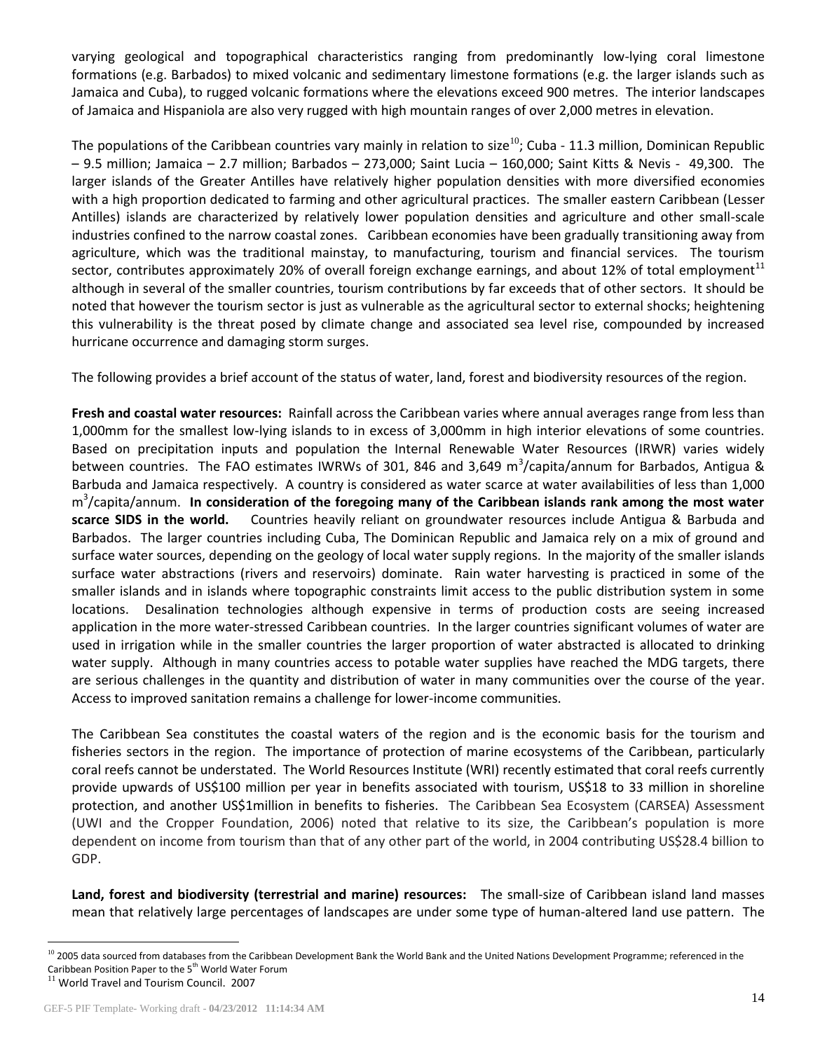varying geological and topographical characteristics ranging from predominantly low-lying coral limestone formations (e.g. Barbados) to mixed volcanic and sedimentary limestone formations (e.g. the larger islands such as Jamaica and Cuba), to rugged volcanic formations where the elevations exceed 900 metres. The interior landscapes of Jamaica and Hispaniola are also very rugged with high mountain ranges of over 2,000 metres in elevation.

The populations of the Caribbean countries vary mainly in relation to size<sup>10</sup>; Cuba - 11.3 million, Dominican Republic – 9.5 million; Jamaica – 2.7 million; Barbados – 273,000; Saint Lucia – 160,000; Saint Kitts & Nevis - 49,300. The larger islands of the Greater Antilles have relatively higher population densities with more diversified economies with a high proportion dedicated to farming and other agricultural practices. The smaller eastern Caribbean (Lesser Antilles) islands are characterized by relatively lower population densities and agriculture and other small-scale industries confined to the narrow coastal zones. Caribbean economies have been gradually transitioning away from agriculture, which was the traditional mainstay, to manufacturing, tourism and financial services. The tourism sector, contributes approximately 20% of overall foreign exchange earnings, and about 12% of total employment<sup>11</sup> although in several of the smaller countries, tourism contributions by far exceeds that of other sectors. It should be noted that however the tourism sector is just as vulnerable as the agricultural sector to external shocks; heightening this vulnerability is the threat posed by climate change and associated sea level rise, compounded by increased hurricane occurrence and damaging storm surges.

The following provides a brief account of the status of water, land, forest and biodiversity resources of the region.

**Fresh and coastal water resources:** Rainfall across the Caribbean varies where annual averages range from less than 1,000mm for the smallest low-lying islands to in excess of 3,000mm in high interior elevations of some countries. Based on precipitation inputs and population the Internal Renewable Water Resources (IRWR) varies widely between countries. The FAO estimates IWRWs of 301, 846 and 3,649 m<sup>3</sup>/capita/annum for Barbados, Antigua & Barbuda and Jamaica respectively. A country is considered as water scarce at water availabilities of less than 1,000 m 3 /capita/annum. **In consideration of the foregoing many of the Caribbean islands rank among the most water scarce SIDS in the world.** Countries heavily reliant on groundwater resources include Antigua & Barbuda and Barbados. The larger countries including Cuba, The Dominican Republic and Jamaica rely on a mix of ground and surface water sources, depending on the geology of local water supply regions. In the majority of the smaller islands surface water abstractions (rivers and reservoirs) dominate. Rain water harvesting is practiced in some of the smaller islands and in islands where topographic constraints limit access to the public distribution system in some locations. Desalination technologies although expensive in terms of production costs are seeing increased application in the more water-stressed Caribbean countries. In the larger countries significant volumes of water are used in irrigation while in the smaller countries the larger proportion of water abstracted is allocated to drinking water supply. Although in many countries access to potable water supplies have reached the MDG targets, there are serious challenges in the quantity and distribution of water in many communities over the course of the year. Access to improved sanitation remains a challenge for lower-income communities.

The Caribbean Sea constitutes the coastal waters of the region and is the economic basis for the tourism and fisheries sectors in the region. The importance of protection of marine ecosystems of the Caribbean, particularly coral reefs cannot be understated. The World Resources Institute (WRI) recently estimated that coral reefs currently provide upwards of US\$100 million per year in benefits associated with tourism, US\$18 to 33 million in shoreline protection, and another US\$1million in benefits to fisheries. The Caribbean Sea Ecosystem (CARSEA) Assessment (UWI and the Cropper Foundation, 2006) noted that relative to its size, the Caribbean's population is more dependent on income from tourism than that of any other part of the world, in 2004 contributing US\$28.4 billion to GDP.

**Land, forest and biodiversity (terrestrial and marine) resources:** The small-size of Caribbean island land masses mean that relatively large percentages of landscapes are under some type of human-altered land use pattern. The

 $\overline{a}$ 

<sup>&</sup>lt;sup>10</sup> 2005 data sourced from databases from the Caribbean Development Bank the World Bank and the United Nations Development Programme; referenced in the Caribbean Position Paper to the 5<sup>th</sup> World Water Forum

<sup>&</sup>lt;sup>11</sup> World Travel and Tourism Council. 2007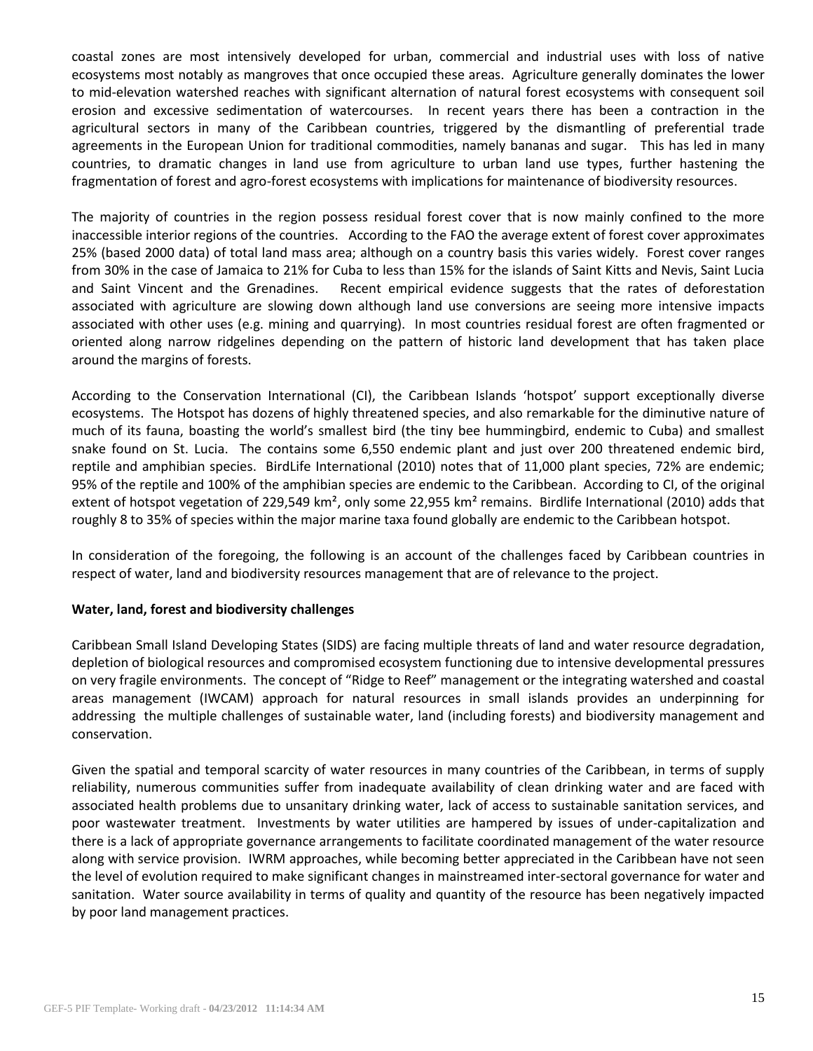coastal zones are most intensively developed for urban, commercial and industrial uses with loss of native ecosystems most notably as mangroves that once occupied these areas. Agriculture generally dominates the lower to mid-elevation watershed reaches with significant alternation of natural forest ecosystems with consequent soil erosion and excessive sedimentation of watercourses. In recent years there has been a contraction in the agricultural sectors in many of the Caribbean countries, triggered by the dismantling of preferential trade agreements in the European Union for traditional commodities, namely bananas and sugar. This has led in many countries, to dramatic changes in land use from agriculture to urban land use types, further hastening the fragmentation of forest and agro-forest ecosystems with implications for maintenance of biodiversity resources.

The majority of countries in the region possess residual forest cover that is now mainly confined to the more inaccessible interior regions of the countries. According to the FAO the average extent of forest cover approximates 25% (based 2000 data) of total land mass area; although on a country basis this varies widely. Forest cover ranges from 30% in the case of Jamaica to 21% for Cuba to less than 15% for the islands of Saint Kitts and Nevis, Saint Lucia and Saint Vincent and the Grenadines. Recent empirical evidence suggests that the rates of deforestation associated with agriculture are slowing down although land use conversions are seeing more intensive impacts associated with other uses (e.g. mining and quarrying). In most countries residual forest are often fragmented or oriented along narrow ridgelines depending on the pattern of historic land development that has taken place around the margins of forests.

According to the Conservation International (CI), the Caribbean Islands 'hotspot' support exceptionally diverse ecosystems. The Hotspot has dozens of highly threatened species, and also remarkable for the diminutive nature of much of its fauna, boasting the world's smallest bird (the tiny bee hummingbird, endemic to Cuba) and smallest snake found on St. Lucia. The contains some 6,550 endemic plant and just over 200 threatened endemic bird, reptile and amphibian species. BirdLife International (2010) notes that of 11,000 plant species, 72% are endemic; 95% of the reptile and 100% of the amphibian species are endemic to the Caribbean. According to CI, of the original extent of hotspot vegetation of 229,549 km<sup>2</sup>, only some 22,955 km<sup>2</sup> remains. Birdlife International (2010) adds that roughly 8 to 35% of species within the major marine taxa found globally are endemic to the Caribbean hotspot.

In consideration of the foregoing, the following is an account of the challenges faced by Caribbean countries in respect of water, land and biodiversity resources management that are of relevance to the project.

## **Water, land, forest and biodiversity challenges**

Caribbean Small Island Developing States (SIDS) are facing multiple threats of land and water resource degradation, depletion of biological resources and compromised ecosystem functioning due to intensive developmental pressures on very fragile environments. The concept of "Ridge to Reef" management or the integrating watershed and coastal areas management (IWCAM) approach for natural resources in small islands provides an underpinning for addressing the multiple challenges of sustainable water, land (including forests) and biodiversity management and conservation.

Given the spatial and temporal scarcity of water resources in many countries of the Caribbean, in terms of supply reliability, numerous communities suffer from inadequate availability of clean drinking water and are faced with associated health problems due to unsanitary drinking water, lack of access to sustainable sanitation services, and poor wastewater treatment. Investments by water utilities are hampered by issues of under-capitalization and there is a lack of appropriate governance arrangements to facilitate coordinated management of the water resource along with service provision. IWRM approaches, while becoming better appreciated in the Caribbean have not seen the level of evolution required to make significant changes in mainstreamed inter-sectoral governance for water and sanitation. Water source availability in terms of quality and quantity of the resource has been negatively impacted by poor land management practices.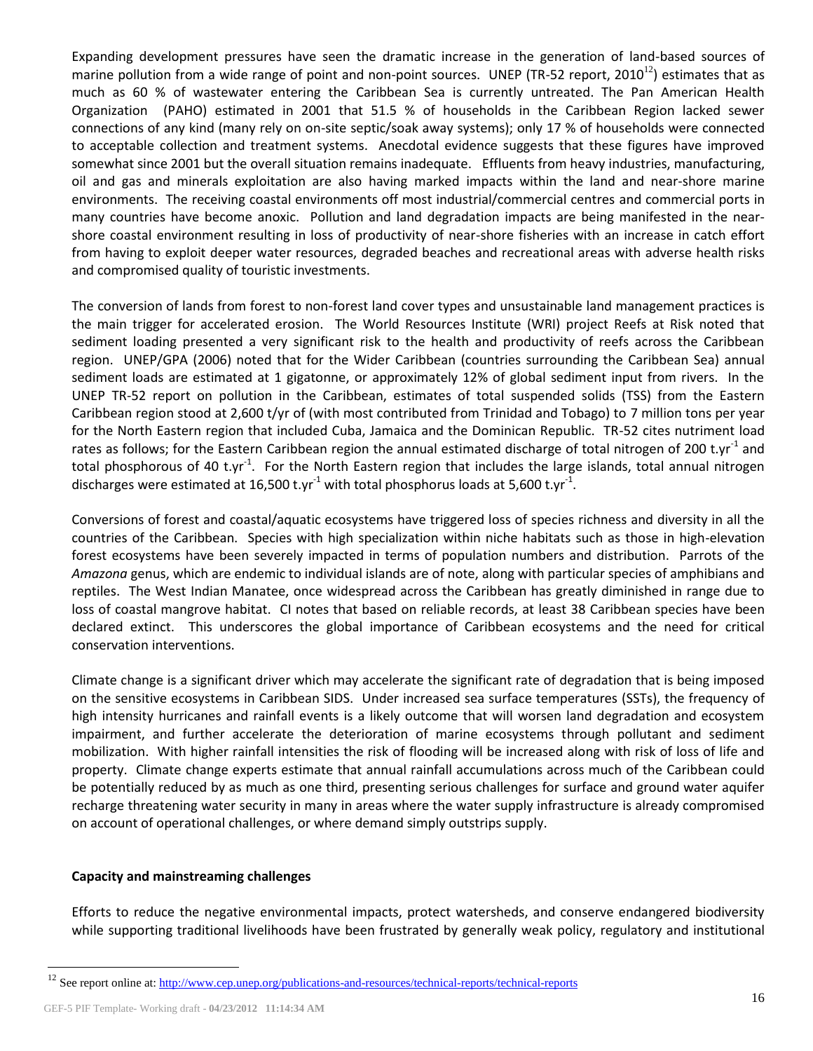Expanding development pressures have seen the dramatic increase in the generation of land-based sources of marine pollution from a wide range of point and non-point sources. UNEP (TR-52 report,  $2010^{12}$ ) estimates that as much as 60 % of wastewater entering the Caribbean Sea is currently untreated. The Pan American Health Organization (PAHO) estimated in 2001 that 51.5 % of households in the Caribbean Region lacked sewer connections of any kind (many rely on on-site septic/soak away systems); only 17 % of households were connected to acceptable collection and treatment systems. Anecdotal evidence suggests that these figures have improved somewhat since 2001 but the overall situation remains inadequate. Effluents from heavy industries, manufacturing, oil and gas and minerals exploitation are also having marked impacts within the land and near-shore marine environments. The receiving coastal environments off most industrial/commercial centres and commercial ports in many countries have become anoxic. Pollution and land degradation impacts are being manifested in the nearshore coastal environment resulting in loss of productivity of near-shore fisheries with an increase in catch effort from having to exploit deeper water resources, degraded beaches and recreational areas with adverse health risks and compromised quality of touristic investments.

The conversion of lands from forest to non-forest land cover types and unsustainable land management practices is the main trigger for accelerated erosion. The World Resources Institute (WRI) project Reefs at Risk noted that sediment loading presented a very significant risk to the health and productivity of reefs across the Caribbean region. UNEP/GPA (2006) noted that for the Wider Caribbean (countries surrounding the Caribbean Sea) annual sediment loads are estimated at 1 gigatonne, or approximately 12% of global sediment input from rivers. In the UNEP TR-52 report on pollution in the Caribbean, estimates of total suspended solids (TSS) from the Eastern Caribbean region stood at 2,600 t/yr of (with most contributed from Trinidad and Tobago) to 7 million tons per year for the North Eastern region that included Cuba, Jamaica and the Dominican Republic. TR-52 cites nutriment load rates as follows; for the Eastern Caribbean region the annual estimated discharge of total nitrogen of 200 t.yr<sup>-1</sup> and total phosphorous of 40 t.yr<sup>-1</sup>. For the North Eastern region that includes the large islands, total annual nitrogen discharges were estimated at 16,500 t.yr<sup>-1</sup> with total phosphorus loads at 5,600 t.yr<sup>-1</sup>.

Conversions of forest and coastal/aquatic ecosystems have triggered loss of species richness and diversity in all the countries of the Caribbean. Species with high specialization within niche habitats such as those in high-elevation forest ecosystems have been severely impacted in terms of population numbers and distribution. Parrots of the *Amazona* genus, which are endemic to individual islands are of note, along with particular species of amphibians and reptiles. The West Indian Manatee, once widespread across the Caribbean has greatly diminished in range due to loss of coastal mangrove habitat. CI notes that based on reliable records, at least 38 Caribbean species have been declared extinct. This underscores the global importance of Caribbean ecosystems and the need for critical conservation interventions.

Climate change is a significant driver which may accelerate the significant rate of degradation that is being imposed on the sensitive ecosystems in Caribbean SIDS. Under increased sea surface temperatures (SSTs), the frequency of high intensity hurricanes and rainfall events is a likely outcome that will worsen land degradation and ecosystem impairment, and further accelerate the deterioration of marine ecosystems through pollutant and sediment mobilization. With higher rainfall intensities the risk of flooding will be increased along with risk of loss of life and property. Climate change experts estimate that annual rainfall accumulations across much of the Caribbean could be potentially reduced by as much as one third, presenting serious challenges for surface and ground water aquifer recharge threatening water security in many in areas where the water supply infrastructure is already compromised on account of operational challenges, or where demand simply outstrips supply.

## **Capacity and mainstreaming challenges**

Efforts to reduce the negative environmental impacts, protect watersheds, and conserve endangered biodiversity while supporting traditional livelihoods have been frustrated by generally weak policy, regulatory and institutional

 $\overline{a}$ 

<sup>&</sup>lt;sup>12</sup> See report online at:<http://www.cep.unep.org/publications-and-resources/technical-reports/technical-reports>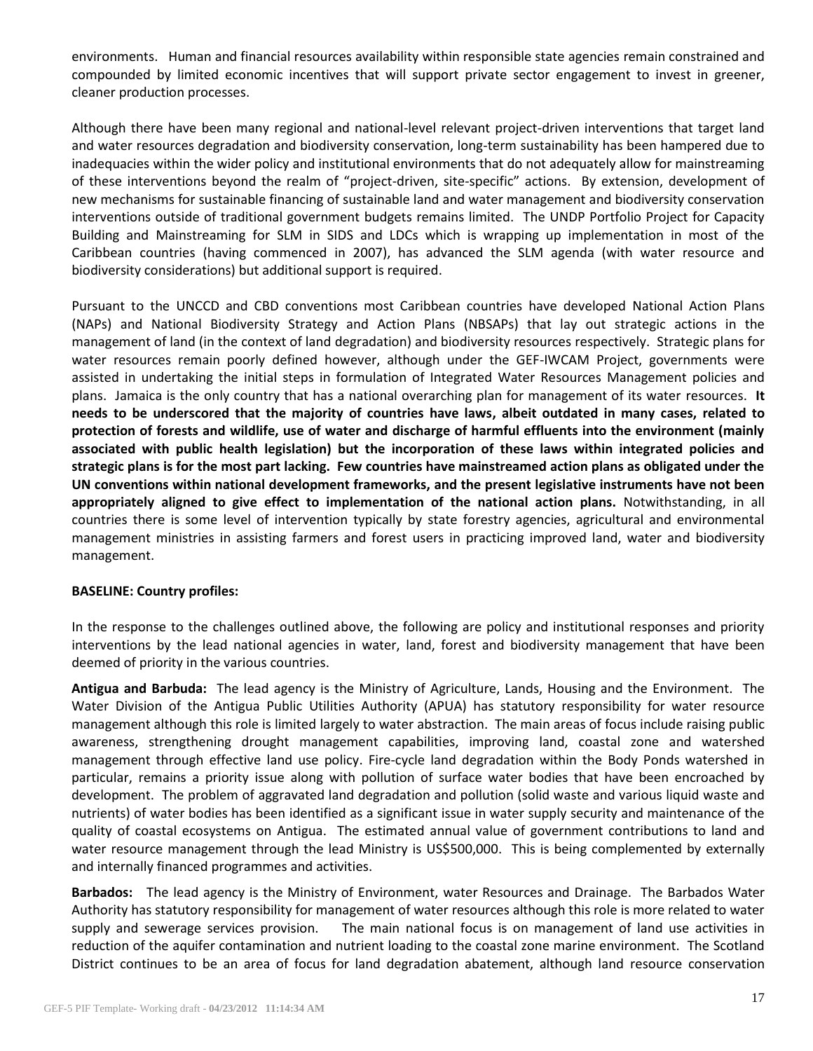environments. Human and financial resources availability within responsible state agencies remain constrained and compounded by limited economic incentives that will support private sector engagement to invest in greener, cleaner production processes.

Although there have been many regional and national-level relevant project-driven interventions that target land and water resources degradation and biodiversity conservation, long-term sustainability has been hampered due to inadequacies within the wider policy and institutional environments that do not adequately allow for mainstreaming of these interventions beyond the realm of "project-driven, site-specific" actions. By extension, development of new mechanisms for sustainable financing of sustainable land and water management and biodiversity conservation interventions outside of traditional government budgets remains limited. The UNDP Portfolio Project for Capacity Building and Mainstreaming for SLM in SIDS and LDCs which is wrapping up implementation in most of the Caribbean countries (having commenced in 2007), has advanced the SLM agenda (with water resource and biodiversity considerations) but additional support is required.

Pursuant to the UNCCD and CBD conventions most Caribbean countries have developed National Action Plans (NAPs) and National Biodiversity Strategy and Action Plans (NBSAPs) that lay out strategic actions in the management of land (in the context of land degradation) and biodiversity resources respectively. Strategic plans for water resources remain poorly defined however, although under the GEF-IWCAM Project, governments were assisted in undertaking the initial steps in formulation of Integrated Water Resources Management policies and plans. Jamaica is the only country that has a national overarching plan for management of its water resources. **It needs to be underscored that the majority of countries have laws, albeit outdated in many cases, related to protection of forests and wildlife, use of water and discharge of harmful effluents into the environment (mainly associated with public health legislation) but the incorporation of these laws within integrated policies and strategic plans is for the most part lacking. Few countries have mainstreamed action plans as obligated under the UN conventions within national development frameworks, and the present legislative instruments have not been appropriately aligned to give effect to implementation of the national action plans.** Notwithstanding, in all countries there is some level of intervention typically by state forestry agencies, agricultural and environmental management ministries in assisting farmers and forest users in practicing improved land, water and biodiversity management.

## **BASELINE: Country profiles:**

In the response to the challenges outlined above, the following are policy and institutional responses and priority interventions by the lead national agencies in water, land, forest and biodiversity management that have been deemed of priority in the various countries.

**Antigua and Barbuda:** The lead agency is the Ministry of Agriculture, Lands, Housing and the Environment. The Water Division of the Antigua Public Utilities Authority (APUA) has statutory responsibility for water resource management although this role is limited largely to water abstraction. The main areas of focus include raising public awareness, strengthening drought management capabilities, improving land, coastal zone and watershed management through effective land use policy. Fire-cycle land degradation within the Body Ponds watershed in particular, remains a priority issue along with pollution of surface water bodies that have been encroached by development. The problem of aggravated land degradation and pollution (solid waste and various liquid waste and nutrients) of water bodies has been identified as a significant issue in water supply security and maintenance of the quality of coastal ecosystems on Antigua. The estimated annual value of government contributions to land and water resource management through the lead Ministry is US\$500,000. This is being complemented by externally and internally financed programmes and activities.

**Barbados:** The lead agency is the Ministry of Environment, water Resources and Drainage. The Barbados Water Authority has statutory responsibility for management of water resources although this role is more related to water supply and sewerage services provision. The main national focus is on management of land use activities in reduction of the aquifer contamination and nutrient loading to the coastal zone marine environment. The Scotland District continues to be an area of focus for land degradation abatement, although land resource conservation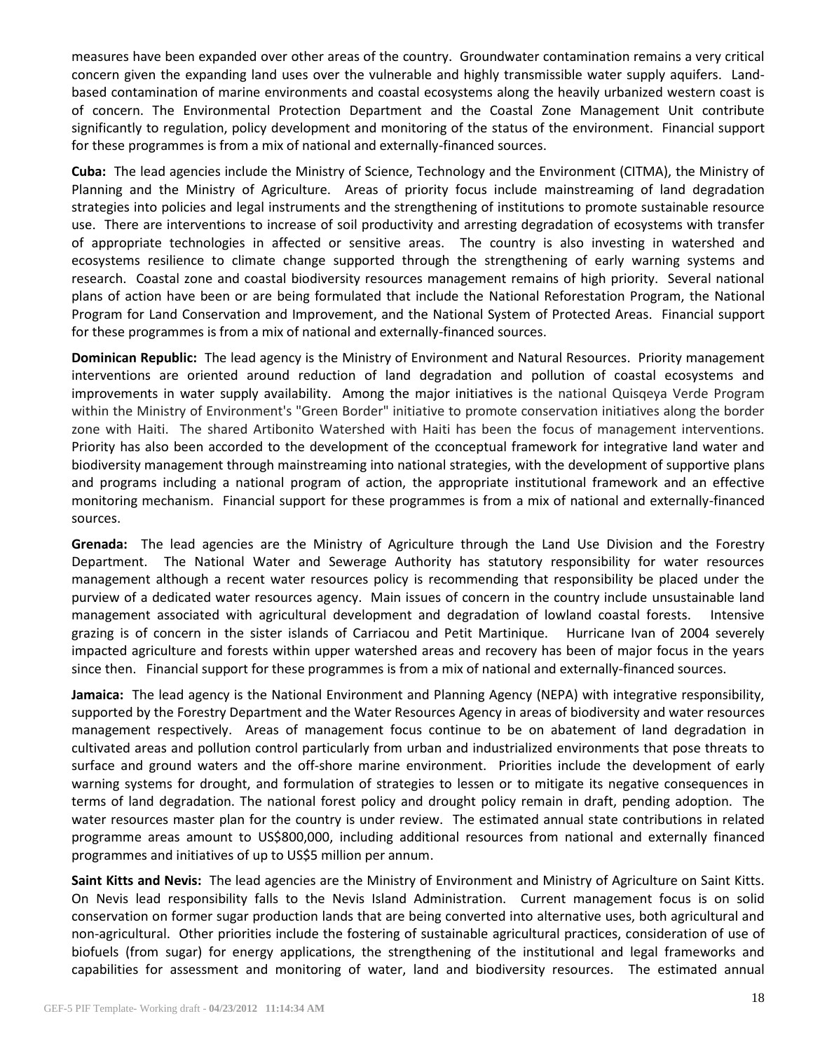measures have been expanded over other areas of the country. Groundwater contamination remains a very critical concern given the expanding land uses over the vulnerable and highly transmissible water supply aquifers. Landbased contamination of marine environments and coastal ecosystems along the heavily urbanized western coast is of concern. The Environmental Protection Department and the Coastal Zone Management Unit contribute significantly to regulation, policy development and monitoring of the status of the environment. Financial support for these programmes is from a mix of national and externally-financed sources.

**Cuba:** The lead agencies include the Ministry of Science, Technology and the Environment (CITMA), the Ministry of Planning and the Ministry of Agriculture. Areas of priority focus include mainstreaming of land degradation strategies into policies and legal instruments and the strengthening of institutions to promote sustainable resource use. There are interventions to increase of soil productivity and arresting degradation of ecosystems with transfer of appropriate technologies in affected or sensitive areas. The country is also investing in watershed and ecosystems resilience to climate change supported through the strengthening of early warning systems and research. Coastal zone and coastal biodiversity resources management remains of high priority. Several national plans of action have been or are being formulated that include the National Reforestation Program, the National Program for Land Conservation and Improvement, and the National System of Protected Areas. Financial support for these programmes is from a mix of national and externally-financed sources.

**Dominican Republic:** The lead agency is the Ministry of Environment and Natural Resources. Priority management interventions are oriented around reduction of land degradation and pollution of coastal ecosystems and improvements in water supply availability. Among the major initiatives is the national Quisqeya Verde Program within the Ministry of Environment's "Green Border" initiative to promote conservation initiatives along the border zone with Haiti. The shared Artibonito Watershed with Haiti has been the focus of management interventions. Priority has also been accorded to the development of the cconceptual framework for integrative land water and biodiversity management through mainstreaming into national strategies, with the development of supportive plans and programs including a national program of action, the appropriate institutional framework and an effective monitoring mechanism. Financial support for these programmes is from a mix of national and externally-financed sources.

**Grenada:** The lead agencies are the Ministry of Agriculture through the Land Use Division and the Forestry Department. The National Water and Sewerage Authority has statutory responsibility for water resources management although a recent water resources policy is recommending that responsibility be placed under the purview of a dedicated water resources agency. Main issues of concern in the country include unsustainable land management associated with agricultural development and degradation of lowland coastal forests. Intensive grazing is of concern in the sister islands of Carriacou and Petit Martinique. Hurricane Ivan of 2004 severely impacted agriculture and forests within upper watershed areas and recovery has been of major focus in the years since then. Financial support for these programmes is from a mix of national and externally-financed sources.

**Jamaica:** The lead agency is the National Environment and Planning Agency (NEPA) with integrative responsibility, supported by the Forestry Department and the Water Resources Agency in areas of biodiversity and water resources management respectively. Areas of management focus continue to be on abatement of land degradation in cultivated areas and pollution control particularly from urban and industrialized environments that pose threats to surface and ground waters and the off-shore marine environment. Priorities include the development of early warning systems for drought, and formulation of strategies to lessen or to mitigate its negative consequences in terms of land degradation. The national forest policy and drought policy remain in draft, pending adoption. The water resources master plan for the country is under review. The estimated annual state contributions in related programme areas amount to US\$800,000, including additional resources from national and externally financed programmes and initiatives of up to US\$5 million per annum.

**Saint Kitts and Nevis:** The lead agencies are the Ministry of Environment and Ministry of Agriculture on Saint Kitts. On Nevis lead responsibility falls to the Nevis Island Administration. Current management focus is on solid conservation on former sugar production lands that are being converted into alternative uses, both agricultural and non-agricultural. Other priorities include the fostering of sustainable agricultural practices, consideration of use of biofuels (from sugar) for energy applications, the strengthening of the institutional and legal frameworks and capabilities for assessment and monitoring of water, land and biodiversity resources. The estimated annual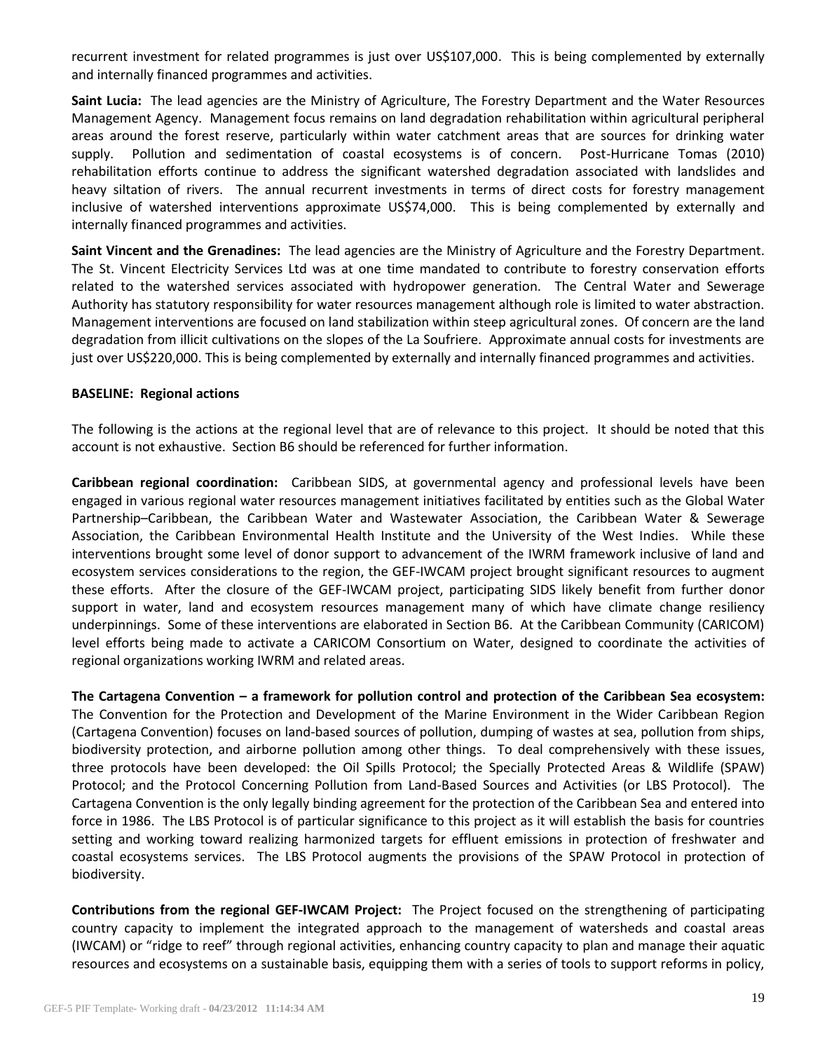recurrent investment for related programmes is just over US\$107,000. This is being complemented by externally and internally financed programmes and activities.

**Saint Lucia:** The lead agencies are the Ministry of Agriculture, The Forestry Department and the Water Resources Management Agency. Management focus remains on land degradation rehabilitation within agricultural peripheral areas around the forest reserve, particularly within water catchment areas that are sources for drinking water supply. Pollution and sedimentation of coastal ecosystems is of concern. Post-Hurricane Tomas (2010) rehabilitation efforts continue to address the significant watershed degradation associated with landslides and heavy siltation of rivers. The annual recurrent investments in terms of direct costs for forestry management inclusive of watershed interventions approximate US\$74,000. This is being complemented by externally and internally financed programmes and activities.

**Saint Vincent and the Grenadines:** The lead agencies are the Ministry of Agriculture and the Forestry Department. The St. Vincent Electricity Services Ltd was at one time mandated to contribute to forestry conservation efforts related to the watershed services associated with hydropower generation. The Central Water and Sewerage Authority has statutory responsibility for water resources management although role is limited to water abstraction. Management interventions are focused on land stabilization within steep agricultural zones. Of concern are the land degradation from illicit cultivations on the slopes of the La Soufriere. Approximate annual costs for investments are just over US\$220,000. This is being complemented by externally and internally financed programmes and activities.

### **BASELINE: Regional actions**

The following is the actions at the regional level that are of relevance to this project. It should be noted that this account is not exhaustive. Section B6 should be referenced for further information.

**Caribbean regional coordination:** Caribbean SIDS, at governmental agency and professional levels have been engaged in various regional water resources management initiatives facilitated by entities such as the Global Water Partnership–Caribbean, the Caribbean Water and Wastewater Association, the Caribbean Water & Sewerage Association, the Caribbean Environmental Health Institute and the University of the West Indies. While these interventions brought some level of donor support to advancement of the IWRM framework inclusive of land and ecosystem services considerations to the region, the GEF-IWCAM project brought significant resources to augment these efforts. After the closure of the GEF-IWCAM project, participating SIDS likely benefit from further donor support in water, land and ecosystem resources management many of which have climate change resiliency underpinnings. Some of these interventions are elaborated in Section B6. At the Caribbean Community (CARICOM) level efforts being made to activate a CARICOM Consortium on Water, designed to coordinate the activities of regional organizations working IWRM and related areas.

**The Cartagena Convention – a framework for pollution control and protection of the Caribbean Sea ecosystem:** The Convention for the Protection and Development of the Marine Environment in the Wider Caribbean Region (Cartagena Convention) focuses on land-based sources of pollution, dumping of wastes at sea, pollution from ships, biodiversity protection, and airborne pollution among other things. To deal comprehensively with these issues, three protocols have been developed: the Oil Spills Protocol; the Specially Protected Areas & Wildlife (SPAW) Protocol; and the Protocol Concerning Pollution from Land-Based Sources and Activities (or LBS Protocol). The Cartagena Convention is the only legally binding agreement for the protection of the Caribbean Sea and entered into force in 1986. The LBS Protocol is of particular significance to this project as it will establish the basis for countries setting and working toward realizing harmonized targets for effluent emissions in protection of freshwater and coastal ecosystems services. The LBS Protocol augments the provisions of the SPAW Protocol in protection of biodiversity.

**Contributions from the regional GEF-IWCAM Project:** The Project focused on the strengthening of participating country capacity to implement the integrated approach to the management of watersheds and coastal areas (IWCAM) or "ridge to reef" through regional activities, enhancing country capacity to plan and manage their aquatic resources and ecosystems on a sustainable basis, equipping them with a series of tools to support reforms in policy,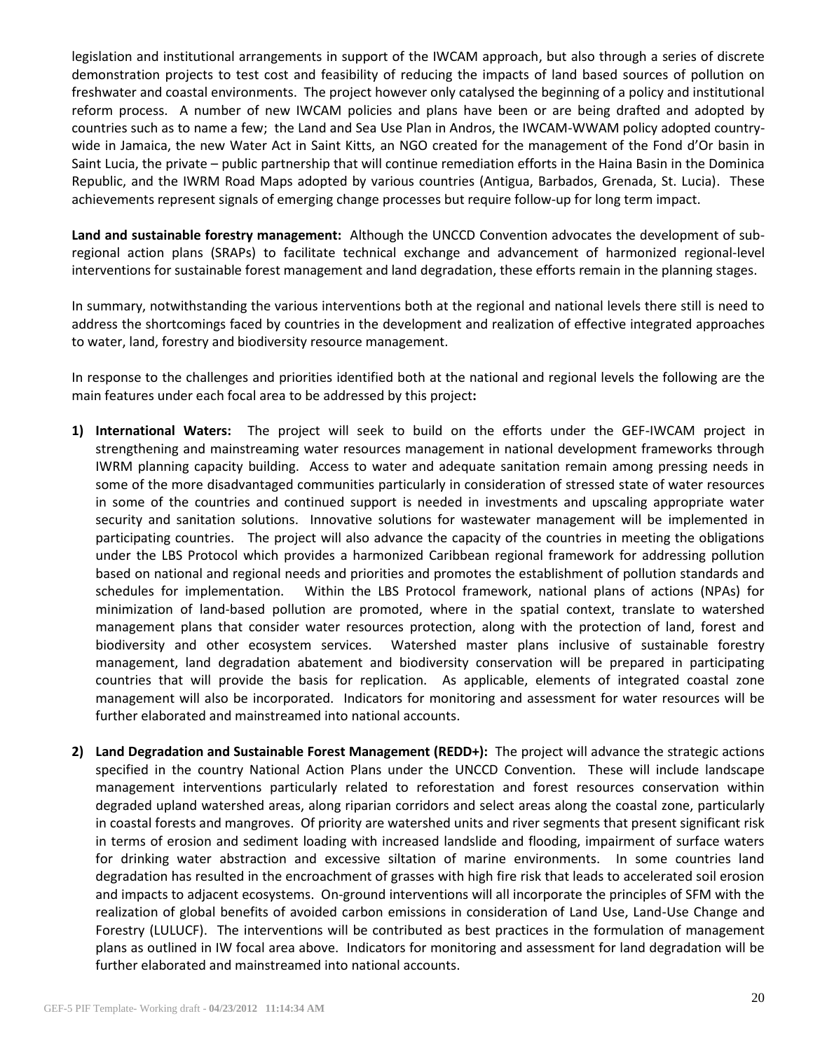legislation and institutional arrangements in support of the IWCAM approach, but also through a series of discrete demonstration projects to test cost and feasibility of reducing the impacts of land based sources of pollution on freshwater and coastal environments. The project however only catalysed the beginning of a policy and institutional reform process. A number of new IWCAM policies and plans have been or are being drafted and adopted by countries such as to name a few; the Land and Sea Use Plan in Andros, the IWCAM-WWAM policy adopted countrywide in Jamaica, the new Water Act in Saint Kitts, an NGO created for the management of the Fond d'Or basin in Saint Lucia, the private – public partnership that will continue remediation efforts in the Haina Basin in the Dominica Republic, and the IWRM Road Maps adopted by various countries (Antigua, Barbados, Grenada, St. Lucia). These achievements represent signals of emerging change processes but require follow-up for long term impact.

**Land and sustainable forestry management:** Although the UNCCD Convention advocates the development of subregional action plans (SRAPs) to facilitate technical exchange and advancement of harmonized regional-level interventions for sustainable forest management and land degradation, these efforts remain in the planning stages.

In summary, notwithstanding the various interventions both at the regional and national levels there still is need to address the shortcomings faced by countries in the development and realization of effective integrated approaches to water, land, forestry and biodiversity resource management.

In response to the challenges and priorities identified both at the national and regional levels the following are the main features under each focal area to be addressed by this project**:**

- **1) International Waters:** The project will seek to build on the efforts under the GEF-IWCAM project in strengthening and mainstreaming water resources management in national development frameworks through IWRM planning capacity building. Access to water and adequate sanitation remain among pressing needs in some of the more disadvantaged communities particularly in consideration of stressed state of water resources in some of the countries and continued support is needed in investments and upscaling appropriate water security and sanitation solutions. Innovative solutions for wastewater management will be implemented in participating countries. The project will also advance the capacity of the countries in meeting the obligations under the LBS Protocol which provides a harmonized Caribbean regional framework for addressing pollution based on national and regional needs and priorities and promotes the establishment of pollution standards and schedules for implementation. Within the LBS Protocol framework, national plans of actions (NPAs) for minimization of land-based pollution are promoted, where in the spatial context, translate to watershed management plans that consider water resources protection, along with the protection of land, forest and biodiversity and other ecosystem services. Watershed master plans inclusive of sustainable forestry management, land degradation abatement and biodiversity conservation will be prepared in participating countries that will provide the basis for replication. As applicable, elements of integrated coastal zone management will also be incorporated. Indicators for monitoring and assessment for water resources will be further elaborated and mainstreamed into national accounts.
- **2) Land Degradation and Sustainable Forest Management (REDD+):** The project will advance the strategic actions specified in the country National Action Plans under the UNCCD Convention. These will include landscape management interventions particularly related to reforestation and forest resources conservation within degraded upland watershed areas, along riparian corridors and select areas along the coastal zone, particularly in coastal forests and mangroves. Of priority are watershed units and river segments that present significant risk in terms of erosion and sediment loading with increased landslide and flooding, impairment of surface waters for drinking water abstraction and excessive siltation of marine environments. In some countries land degradation has resulted in the encroachment of grasses with high fire risk that leads to accelerated soil erosion and impacts to adjacent ecosystems. On-ground interventions will all incorporate the principles of SFM with the realization of global benefits of avoided carbon emissions in consideration of Land Use, Land-Use Change and Forestry (LULUCF). The interventions will be contributed as best practices in the formulation of management plans as outlined in IW focal area above. Indicators for monitoring and assessment for land degradation will be further elaborated and mainstreamed into national accounts.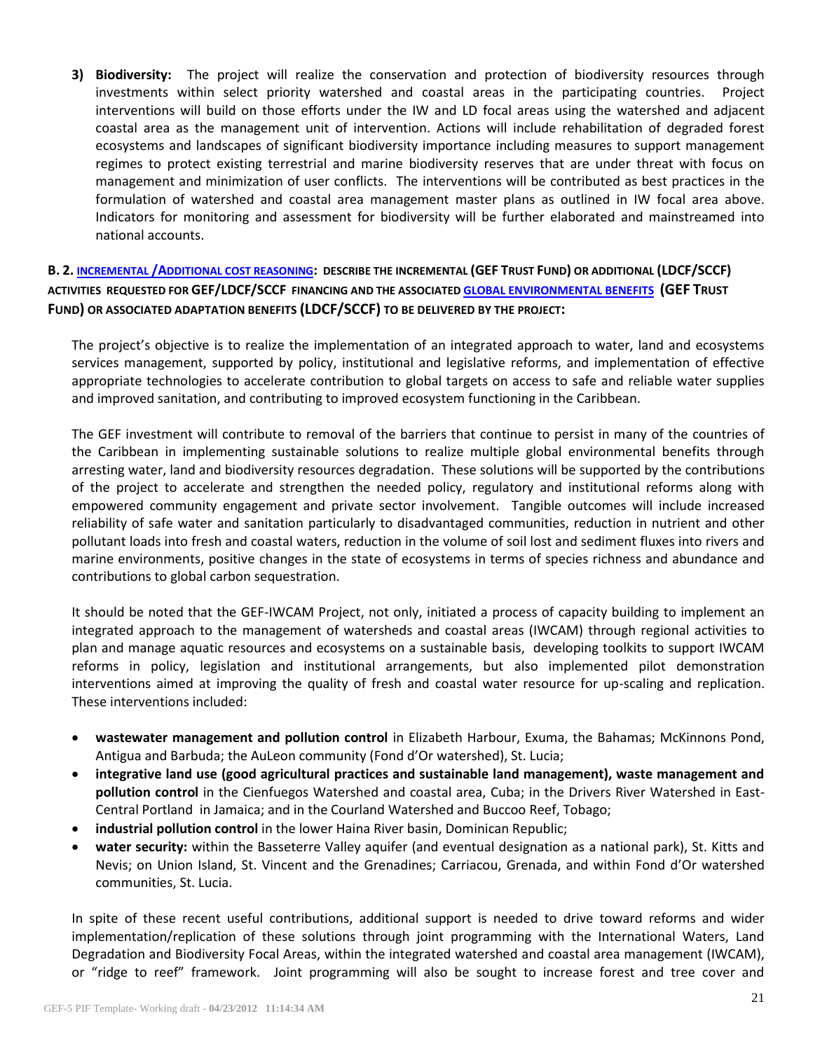**3) Biodiversity:** The project will realize the conservation and protection of biodiversity resources through investments within select priority watershed and coastal areas in the participating countries. Project interventions will build on those efforts under the IW and LD focal areas using the watershed and adjacent coastal area as the management unit of intervention. Actions will include rehabilitation of degraded forest ecosystems and landscapes of significant biodiversity importance including measures to support management regimes to protect existing terrestrial and marine biodiversity reserves that are under threat with focus on management and minimization of user conflicts. The interventions will be contributed as best practices in the formulation of watershed and coastal area management master plans as outlined in IW focal area above. Indicators for monitoring and assessment for biodiversity will be further elaborated and mainstreamed into national accounts.

**B. 2. INCREMENTAL /A[DDITIONAL COST REASONING](file:///C:/Users/ivanderbeck.UNEP/Documents/My%20Dropbox/Emails/IWCAM/Users/wb12456/Documents/C.31.12%20Executive%20Summary.pdf): DESCRIBE THE INCREMENTAL (GEF TRUST FUND) OR ADDITIONAL (LDCF/SCCF) ACTIVITIES REQUESTED FOR GEF/LDCF/SCCF FINANCING AND THE ASSOCIATED [GLOBAL ENVIRONMENTAL](http://www.thegef.org/gef/sites/thegef.org/files/documents/CPE-Global_Environmental_Benefits_Assessment_Outline.pdf) BENEFITS (GEF TRUST FUND) OR ASSOCIATED ADAPTATION BENEFITS (LDCF/SCCF) TO BE DELIVERED BY THE PROJECT:** 

The project's objective is to realize the implementation of an integrated approach to water, land and ecosystems services management, supported by policy, institutional and legislative reforms, and implementation of effective appropriate technologies to accelerate contribution to global targets on access to safe and reliable water supplies and improved sanitation, and contributing to improved ecosystem functioning in the Caribbean.

The GEF investment will contribute to removal of the barriers that continue to persist in many of the countries of the Caribbean in implementing sustainable solutions to realize multiple global environmental benefits through arresting water, land and biodiversity resources degradation. These solutions will be supported by the contributions of the project to accelerate and strengthen the needed policy, regulatory and institutional reforms along with empowered community engagement and private sector involvement. Tangible outcomes will include increased reliability of safe water and sanitation particularly to disadvantaged communities, reduction in nutrient and other pollutant loads into fresh and coastal waters, reduction in the volume of soil lost and sediment fluxes into rivers and marine environments, positive changes in the state of ecosystems in terms of species richness and abundance and contributions to global carbon sequestration.

It should be noted that the GEF-IWCAM Project, not only, initiated a process of capacity building to implement an integrated approach to the management of watersheds and coastal areas (IWCAM) through regional activities to plan and manage aquatic resources and ecosystems on a sustainable basis, developing toolkits to support IWCAM reforms in policy, legislation and institutional arrangements, but also implemented pilot demonstration interventions aimed at improving the quality of fresh and coastal water resource for up-scaling and replication. These interventions included:

- **wastewater management and pollution control** in Elizabeth Harbour, Exuma, the Bahamas; McKinnons Pond, Antigua and Barbuda; the AuLeon community (Fond d'Or watershed), St. Lucia;
- **integrative land use (good agricultural practices and sustainable land management), waste management and pollution control** in the Cienfuegos Watershed and coastal area, Cuba; in the Drivers River Watershed in East-Central Portland in Jamaica; and in the Courland Watershed and Buccoo Reef, Tobago;
- **industrial pollution control** in the lower Haina River basin, Dominican Republic;
- **water security:** within the Basseterre Valley aquifer (and eventual designation as a national park), St. Kitts and Nevis; on Union Island, St. Vincent and the Grenadines; Carriacou, Grenada, and within Fond d'Or watershed communities, St. Lucia.

In spite of these recent useful contributions, additional support is needed to drive toward reforms and wider implementation/replication of these solutions through joint programming with the International Waters, Land Degradation and Biodiversity Focal Areas, within the integrated watershed and coastal area management (IWCAM), or "ridge to reef" framework. Joint programming will also be sought to increase forest and tree cover and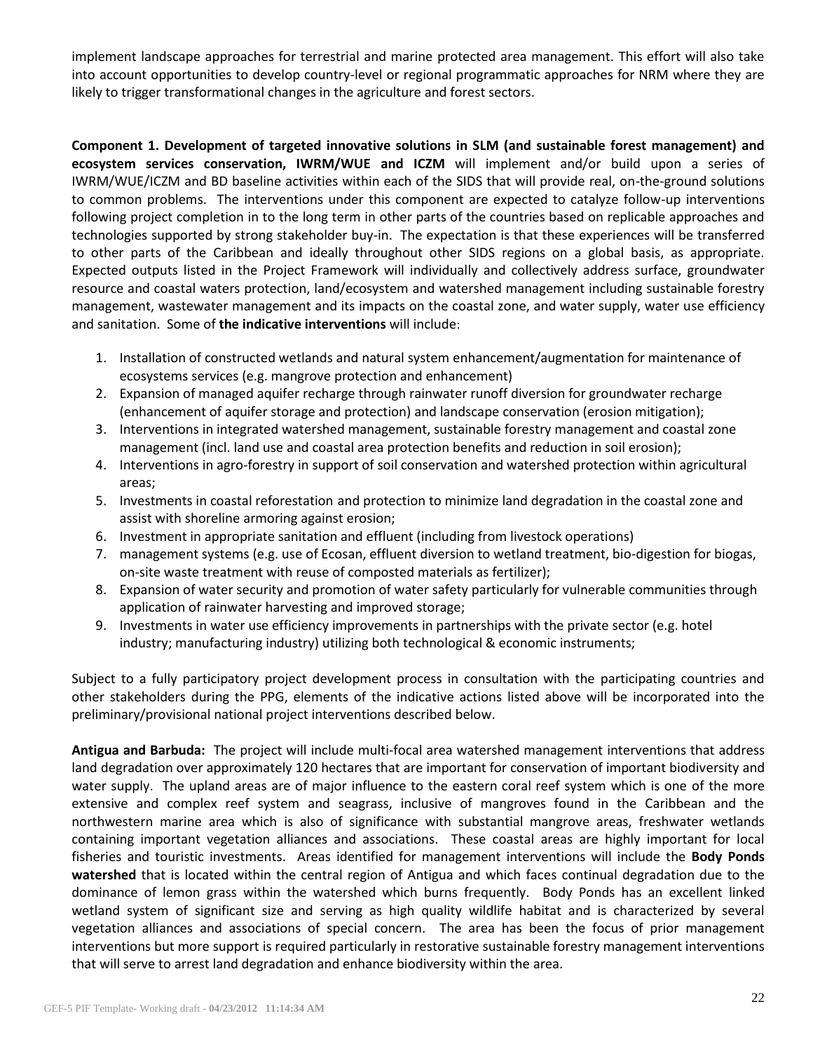implement landscape approaches for terrestrial and marine protected area management. This effort will also take into account opportunities to develop country-level or regional programmatic approaches for NRM where they are likely to trigger transformational changes in the agriculture and forest sectors.

**Component 1. Development of targeted innovative solutions in SLM (and sustainable forest management) and ecosystem services conservation, IWRM/WUE and ICZM** will implement and/or build upon a series of IWRM/WUE/ICZM and BD baseline activities within each of the SIDS that will provide real, on-the-ground solutions to common problems. The interventions under this component are expected to catalyze follow-up interventions following project completion in to the long term in other parts of the countries based on replicable approaches and technologies supported by strong stakeholder buy-in. The expectation is that these experiences will be transferred to other parts of the Caribbean and ideally throughout other SIDS regions on a global basis, as appropriate. Expected outputs listed in the Project Framework will individually and collectively address surface, groundwater resource and coastal waters protection, land/ecosystem and watershed management including sustainable forestry management, wastewater management and its impacts on the coastal zone, and water supply, water use efficiency and sanitation. Some of **the indicative interventions** will include:

- 1. Installation of constructed wetlands and natural system enhancement/augmentation for maintenance of ecosystems services (e.g. mangrove protection and enhancement)
- 2. Expansion of managed aquifer recharge through rainwater runoff diversion for groundwater recharge (enhancement of aquifer storage and protection) and landscape conservation (erosion mitigation);
- 3. Interventions in integrated watershed management, sustainable forestry management and coastal zone management (incl. land use and coastal area protection benefits and reduction in soil erosion);
- 4. Interventions in agro-forestry in support of soil conservation and watershed protection within agricultural areas;
- 5. Investments in coastal reforestation and protection to minimize land degradation in the coastal zone and assist with shoreline armoring against erosion;
- 6. Investment in appropriate sanitation and effluent (including from livestock operations)
- 7. management systems (e.g. use of Ecosan, effluent diversion to wetland treatment, bio-digestion for biogas, on-site waste treatment with reuse of composted materials as fertilizer);
- 8. Expansion of water security and promotion of water safety particularly for vulnerable communities through application of rainwater harvesting and improved storage;
- 9. Investments in water use efficiency improvements in partnerships with the private sector (e.g. hotel industry; manufacturing industry) utilizing both technological & economic instruments;

Subject to a fully participatory project development process in consultation with the participating countries and other stakeholders during the PPG, elements of the indicative actions listed above will be incorporated into the preliminary/provisional national project interventions described below.

**Antigua and Barbuda:** The project will include multi-focal area watershed management interventions that address land degradation over approximately 120 hectares that are important for conservation of important biodiversity and water supply. The upland areas are of major influence to the eastern coral reef system which is one of the more extensive and complex reef system and seagrass, inclusive of mangroves found in the Caribbean and the northwestern marine area which is also of significance with substantial mangrove areas, freshwater wetlands containing important vegetation alliances and associations. These coastal areas are highly important for local fisheries and touristic investments. Areas identified for management interventions will include the **Body Ponds watershed** that is located within the central region of Antigua and which faces continual degradation due to the dominance of lemon grass within the watershed which burns frequently. Body Ponds has an excellent linked wetland system of significant size and serving as high quality wildlife habitat and is characterized by several vegetation alliances and associations of special concern. The area has been the focus of prior management interventions but more support is required particularly in restorative sustainable forestry management interventions that will serve to arrest land degradation and enhance biodiversity within the area.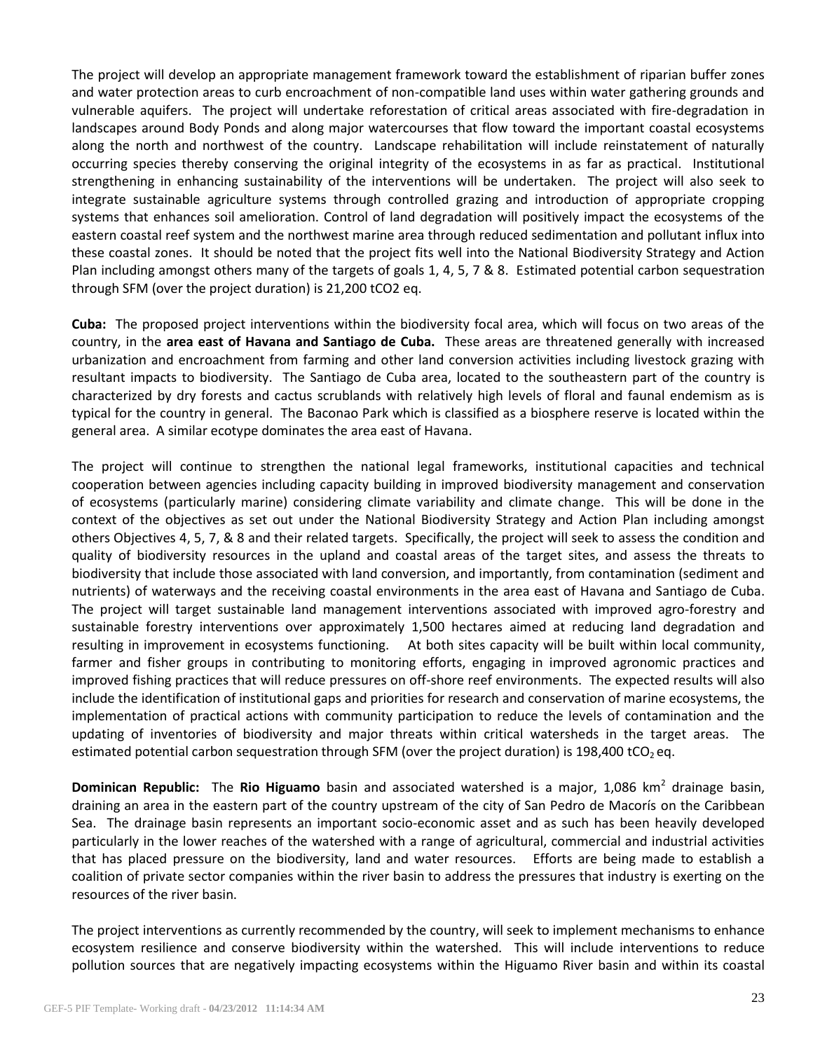The project will develop an appropriate management framework toward the establishment of riparian buffer zones and water protection areas to curb encroachment of non-compatible land uses within water gathering grounds and vulnerable aquifers. The project will undertake reforestation of critical areas associated with fire-degradation in landscapes around Body Ponds and along major watercourses that flow toward the important coastal ecosystems along the north and northwest of the country. Landscape rehabilitation will include reinstatement of naturally occurring species thereby conserving the original integrity of the ecosystems in as far as practical. Institutional strengthening in enhancing sustainability of the interventions will be undertaken. The project will also seek to integrate sustainable agriculture systems through controlled grazing and introduction of appropriate cropping systems that enhances soil amelioration. Control of land degradation will positively impact the ecosystems of the eastern coastal reef system and the northwest marine area through reduced sedimentation and pollutant influx into these coastal zones. It should be noted that the project fits well into the National Biodiversity Strategy and Action Plan including amongst others many of the targets of goals 1, 4, 5, 7 & 8. Estimated potential carbon sequestration through SFM (over the project duration) is 21,200 tCO2 eq.

**Cuba:** The proposed project interventions within the biodiversity focal area, which will focus on two areas of the country, in the **area east of Havana and Santiago de Cuba.** These areas are threatened generally with increased urbanization and encroachment from farming and other land conversion activities including livestock grazing with resultant impacts to biodiversity. The Santiago de Cuba area, located to the southeastern part of the country is characterized by dry forests and cactus scrublands with relatively high levels of floral and faunal endemism as is typical for the country in general. The Baconao Park which is classified as a biosphere reserve is located within the general area. A similar ecotype dominates the area east of Havana.

The project will continue to strengthen the national legal frameworks, institutional capacities and technical cooperation between agencies including capacity building in improved biodiversity management and conservation of ecosystems (particularly marine) considering climate variability and climate change. This will be done in the context of the objectives as set out under the National Biodiversity Strategy and Action Plan including amongst others Objectives 4, 5, 7, & 8 and their related targets. Specifically, the project will seek to assess the condition and quality of biodiversity resources in the upland and coastal areas of the target sites, and assess the threats to biodiversity that include those associated with land conversion, and importantly, from contamination (sediment and nutrients) of waterways and the receiving coastal environments in the area east of Havana and Santiago de Cuba. The project will target sustainable land management interventions associated with improved agro-forestry and sustainable forestry interventions over approximately 1,500 hectares aimed at reducing land degradation and resulting in improvement in ecosystems functioning. At both sites capacity will be built within local community, farmer and fisher groups in contributing to monitoring efforts, engaging in improved agronomic practices and improved fishing practices that will reduce pressures on off-shore reef environments. The expected results will also include the identification of institutional gaps and priorities for research and conservation of marine ecosystems, the implementation of practical actions with community participation to reduce the levels of contamination and the updating of inventories of biodiversity and major threats within critical watersheds in the target areas. The estimated potential carbon sequestration through SFM (over the project duration) is 198,400 tCO<sub>2</sub> eq.

**Dominican Republic:** The Rio Higuamo basin and associated watershed is a major, 1,086 km<sup>2</sup> drainage basin, draining an area in the eastern part of the country upstream of the city of San Pedro de Macorís on the Caribbean Sea. The drainage basin represents an important socio-economic asset and as such has been heavily developed particularly in the lower reaches of the watershed with a range of agricultural, commercial and industrial activities that has placed pressure on the biodiversity, land and water resources. Efforts are being made to establish a coalition of private sector companies within the river basin to address the pressures that industry is exerting on the resources of the river basin.

The project interventions as currently recommended by the country, will seek to implement mechanisms to enhance ecosystem resilience and conserve biodiversity within the watershed. This will include interventions to reduce pollution sources that are negatively impacting ecosystems within the Higuamo River basin and within its coastal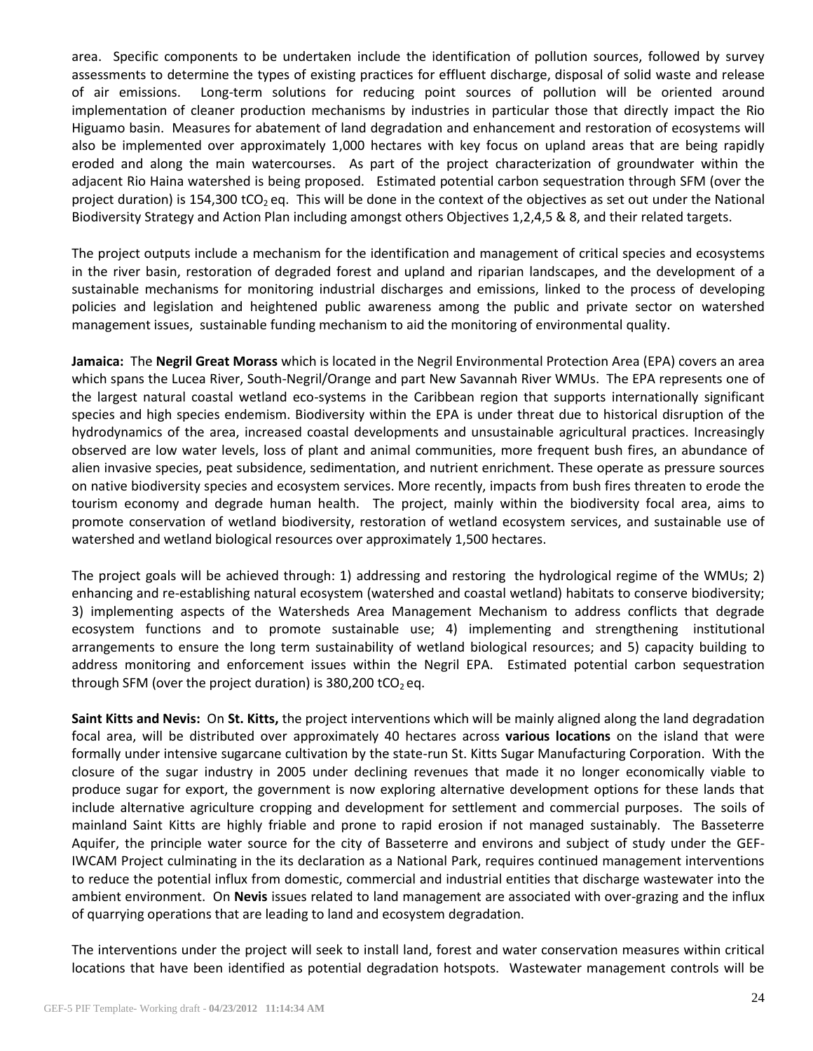area. Specific components to be undertaken include the identification of pollution sources, followed by survey assessments to determine the types of existing practices for effluent discharge, disposal of solid waste and release of air emissions. Long-term solutions for reducing point sources of pollution will be oriented around implementation of cleaner production mechanisms by industries in particular those that directly impact the Rio Higuamo basin. Measures for abatement of land degradation and enhancement and restoration of ecosystems will also be implemented over approximately 1,000 hectares with key focus on upland areas that are being rapidly eroded and along the main watercourses. As part of the project characterization of groundwater within the adjacent Rio Haina watershed is being proposed. Estimated potential carbon sequestration through SFM (over the project duration) is 154,300 tCO<sub>2</sub> eq. This will be done in the context of the objectives as set out under the National Biodiversity Strategy and Action Plan including amongst others Objectives 1,2,4,5 & 8, and their related targets.

The project outputs include a mechanism for the identification and management of critical species and ecosystems in the river basin, restoration of degraded forest and upland and riparian landscapes, and the development of a sustainable mechanisms for monitoring industrial discharges and emissions, linked to the process of developing policies and legislation and heightened public awareness among the public and private sector on watershed management issues, sustainable funding mechanism to aid the monitoring of environmental quality.

**Jamaica:** The **Negril Great Morass** which is located in the Negril Environmental Protection Area (EPA) covers an area which spans the Lucea River, South-Negril/Orange and part New Savannah River WMUs. The EPA represents one of the largest natural coastal wetland eco-systems in the Caribbean region that supports internationally significant species and high species endemism. Biodiversity within the EPA is under threat due to historical disruption of the hydrodynamics of the area, increased coastal developments and unsustainable agricultural practices. Increasingly observed are low water levels, loss of plant and animal communities, more frequent bush fires, an abundance of alien invasive species, peat subsidence, sedimentation, and nutrient enrichment. These operate as pressure sources on native biodiversity species and ecosystem services. More recently, impacts from bush fires threaten to erode the tourism economy and degrade human health. The project, mainly within the biodiversity focal area, aims to promote conservation of wetland biodiversity, restoration of wetland ecosystem services, and sustainable use of watershed and wetland biological resources over approximately 1,500 hectares.

The project goals will be achieved through: 1) addressing and restoring the hydrological regime of the WMUs; 2) enhancing and re-establishing natural ecosystem (watershed and coastal wetland) habitats to conserve biodiversity; 3) implementing aspects of the Watersheds Area Management Mechanism to address conflicts that degrade ecosystem functions and to promote sustainable use; 4) implementing and strengthening institutional arrangements to ensure the long term sustainability of wetland biological resources; and 5) capacity building to address monitoring and enforcement issues within the Negril EPA. Estimated potential carbon sequestration through SFM (over the project duration) is 380,200 tCO<sub>2</sub> eq.

**Saint Kitts and Nevis:** On **St. Kitts,** the project interventions which will be mainly aligned along the land degradation focal area, will be distributed over approximately 40 hectares across **various locations** on the island that were formally under intensive sugarcane cultivation by the state-run St. Kitts Sugar Manufacturing Corporation. With the closure of the sugar industry in 2005 under declining revenues that made it no longer economically viable to produce sugar for export, the government is now exploring alternative development options for these lands that include alternative agriculture cropping and development for settlement and commercial purposes. The soils of mainland Saint Kitts are highly friable and prone to rapid erosion if not managed sustainably. The Basseterre Aquifer, the principle water source for the city of Basseterre and environs and subject of study under the GEF-IWCAM Project culminating in the its declaration as a National Park, requires continued management interventions to reduce the potential influx from domestic, commercial and industrial entities that discharge wastewater into the ambient environment. On **Nevis** issues related to land management are associated with over-grazing and the influx of quarrying operations that are leading to land and ecosystem degradation.

The interventions under the project will seek to install land, forest and water conservation measures within critical locations that have been identified as potential degradation hotspots. Wastewater management controls will be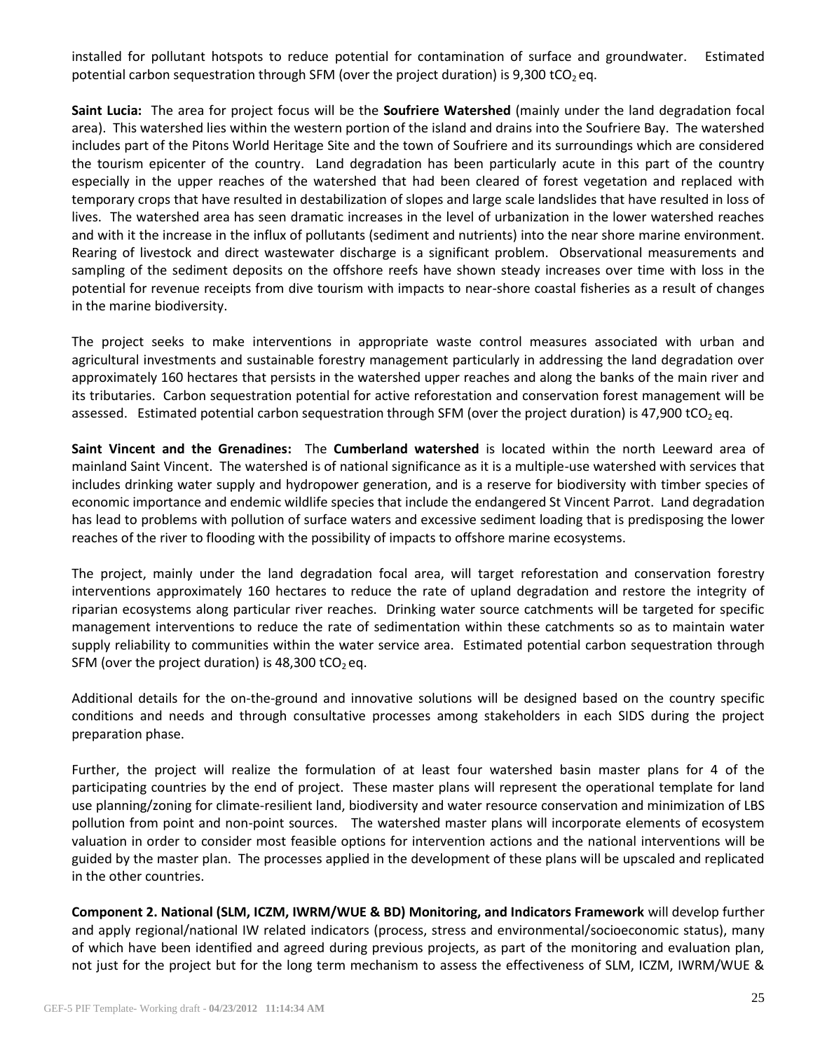installed for pollutant hotspots to reduce potential for contamination of surface and groundwater. Estimated potential carbon sequestration through SFM (over the project duration) is 9,300 tCO<sub>2</sub> eq.

**Saint Lucia:** The area for project focus will be the **Soufriere Watershed** (mainly under the land degradation focal area). This watershed lies within the western portion of the island and drains into the Soufriere Bay. The watershed includes part of the Pitons World Heritage Site and the town of Soufriere and its surroundings which are considered the tourism epicenter of the country. Land degradation has been particularly acute in this part of the country especially in the upper reaches of the watershed that had been cleared of forest vegetation and replaced with temporary crops that have resulted in destabilization of slopes and large scale landslides that have resulted in loss of lives. The watershed area has seen dramatic increases in the level of urbanization in the lower watershed reaches and with it the increase in the influx of pollutants (sediment and nutrients) into the near shore marine environment. Rearing of livestock and direct wastewater discharge is a significant problem. Observational measurements and sampling of the sediment deposits on the offshore reefs have shown steady increases over time with loss in the potential for revenue receipts from dive tourism with impacts to near-shore coastal fisheries as a result of changes in the marine biodiversity.

The project seeks to make interventions in appropriate waste control measures associated with urban and agricultural investments and sustainable forestry management particularly in addressing the land degradation over approximately 160 hectares that persists in the watershed upper reaches and along the banks of the main river and its tributaries. Carbon sequestration potential for active reforestation and conservation forest management will be assessed. Estimated potential carbon sequestration through SFM (over the project duration) is 47,900 tCO<sub>2</sub> eq.

**Saint Vincent and the Grenadines:** The **Cumberland watershed** is located within the north Leeward area of mainland Saint Vincent. The watershed is of national significance as it is a multiple-use watershed with services that includes drinking water supply and hydropower generation, and is a reserve for biodiversity with timber species of economic importance and endemic wildlife species that include the endangered St Vincent Parrot. Land degradation has lead to problems with pollution of surface waters and excessive sediment loading that is predisposing the lower reaches of the river to flooding with the possibility of impacts to offshore marine ecosystems.

The project, mainly under the land degradation focal area, will target reforestation and conservation forestry interventions approximately 160 hectares to reduce the rate of upland degradation and restore the integrity of riparian ecosystems along particular river reaches. Drinking water source catchments will be targeted for specific management interventions to reduce the rate of sedimentation within these catchments so as to maintain water supply reliability to communities within the water service area. Estimated potential carbon sequestration through SFM (over the project duration) is 48,300 tCO<sub>2</sub> eq.

Additional details for the on-the-ground and innovative solutions will be designed based on the country specific conditions and needs and through consultative processes among stakeholders in each SIDS during the project preparation phase.

Further, the project will realize the formulation of at least four watershed basin master plans for 4 of the participating countries by the end of project. These master plans will represent the operational template for land use planning/zoning for climate-resilient land, biodiversity and water resource conservation and minimization of LBS pollution from point and non-point sources. The watershed master plans will incorporate elements of ecosystem valuation in order to consider most feasible options for intervention actions and the national interventions will be guided by the master plan. The processes applied in the development of these plans will be upscaled and replicated in the other countries.

**Component 2. National (SLM, ICZM, IWRM/WUE & BD) Monitoring, and Indicators Framework** will develop further and apply regional/national IW related indicators (process, stress and environmental/socioeconomic status), many of which have been identified and agreed during previous projects, as part of the monitoring and evaluation plan, not just for the project but for the long term mechanism to assess the effectiveness of SLM, ICZM, IWRM/WUE &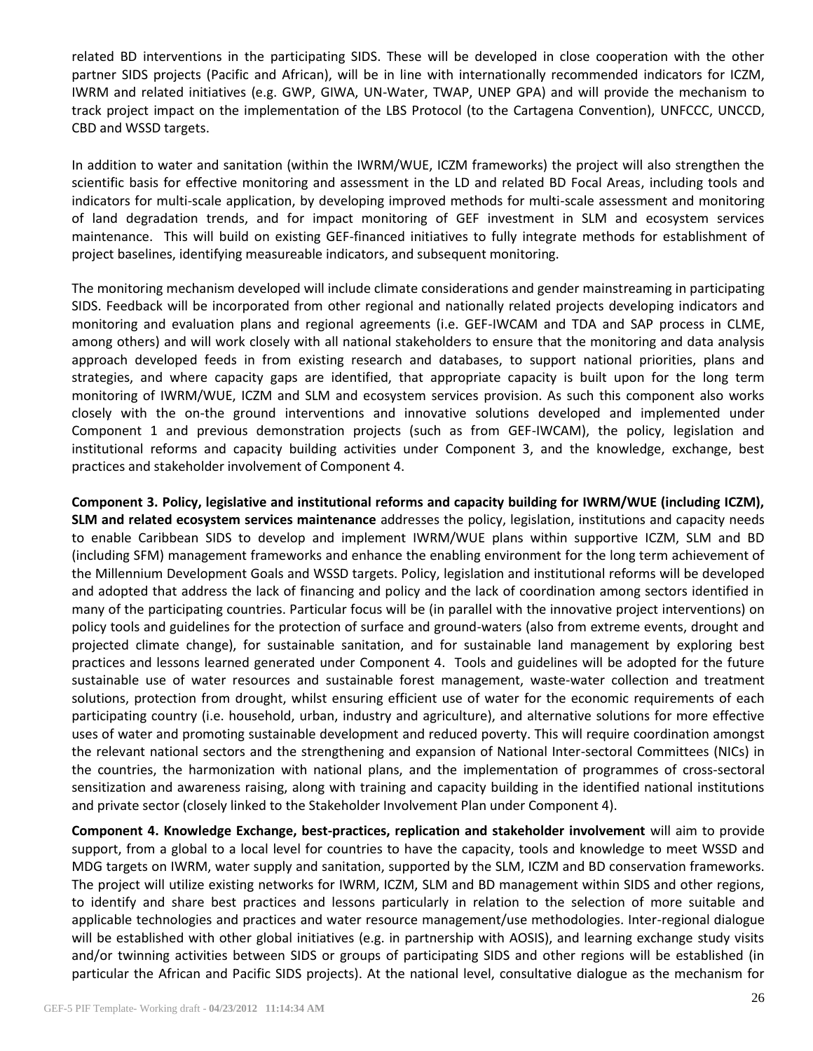related BD interventions in the participating SIDS. These will be developed in close cooperation with the other partner SIDS projects (Pacific and African), will be in line with internationally recommended indicators for ICZM, IWRM and related initiatives (e.g. GWP, GIWA, UN-Water, TWAP, UNEP GPA) and will provide the mechanism to track project impact on the implementation of the LBS Protocol (to the Cartagena Convention), UNFCCC, UNCCD, CBD and WSSD targets.

In addition to water and sanitation (within the IWRM/WUE, ICZM frameworks) the project will also strengthen the scientific basis for effective monitoring and assessment in the LD and related BD Focal Areas, including tools and indicators for multi-scale application, by developing improved methods for multi-scale assessment and monitoring of land degradation trends, and for impact monitoring of GEF investment in SLM and ecosystem services maintenance. This will build on existing GEF-financed initiatives to fully integrate methods for establishment of project baselines, identifying measureable indicators, and subsequent monitoring.

The monitoring mechanism developed will include climate considerations and gender mainstreaming in participating SIDS. Feedback will be incorporated from other regional and nationally related projects developing indicators and monitoring and evaluation plans and regional agreements (i.e. GEF-IWCAM and TDA and SAP process in CLME, among others) and will work closely with all national stakeholders to ensure that the monitoring and data analysis approach developed feeds in from existing research and databases, to support national priorities, plans and strategies, and where capacity gaps are identified, that appropriate capacity is built upon for the long term monitoring of IWRM/WUE, ICZM and SLM and ecosystem services provision. As such this component also works closely with the on-the ground interventions and innovative solutions developed and implemented under Component 1 and previous demonstration projects (such as from GEF-IWCAM), the policy, legislation and institutional reforms and capacity building activities under Component 3, and the knowledge, exchange, best practices and stakeholder involvement of Component 4.

**Component 3. Policy, legislative and institutional reforms and capacity building for IWRM/WUE (including ICZM), SLM and related ecosystem services maintenance** addresses the policy, legislation, institutions and capacity needs to enable Caribbean SIDS to develop and implement IWRM/WUE plans within supportive ICZM, SLM and BD (including SFM) management frameworks and enhance the enabling environment for the long term achievement of the Millennium Development Goals and WSSD targets. Policy, legislation and institutional reforms will be developed and adopted that address the lack of financing and policy and the lack of coordination among sectors identified in many of the participating countries. Particular focus will be (in parallel with the innovative project interventions) on policy tools and guidelines for the protection of surface and ground-waters (also from extreme events, drought and projected climate change), for sustainable sanitation, and for sustainable land management by exploring best practices and lessons learned generated under Component 4. Tools and guidelines will be adopted for the future sustainable use of water resources and sustainable forest management, waste-water collection and treatment solutions, protection from drought, whilst ensuring efficient use of water for the economic requirements of each participating country (i.e. household, urban, industry and agriculture), and alternative solutions for more effective uses of water and promoting sustainable development and reduced poverty. This will require coordination amongst the relevant national sectors and the strengthening and expansion of National Inter-sectoral Committees (NICs) in the countries, the harmonization with national plans, and the implementation of programmes of cross-sectoral sensitization and awareness raising, along with training and capacity building in the identified national institutions and private sector (closely linked to the Stakeholder Involvement Plan under Component 4).

**Component 4. Knowledge Exchange, best-practices, replication and stakeholder involvement** will aim to provide support, from a global to a local level for countries to have the capacity, tools and knowledge to meet WSSD and MDG targets on IWRM, water supply and sanitation, supported by the SLM, ICZM and BD conservation frameworks. The project will utilize existing networks for IWRM, ICZM, SLM and BD management within SIDS and other regions, to identify and share best practices and lessons particularly in relation to the selection of more suitable and applicable technologies and practices and water resource management/use methodologies. Inter-regional dialogue will be established with other global initiatives (e.g. in partnership with AOSIS), and learning exchange study visits and/or twinning activities between SIDS or groups of participating SIDS and other regions will be established (in particular the African and Pacific SIDS projects). At the national level, consultative dialogue as the mechanism for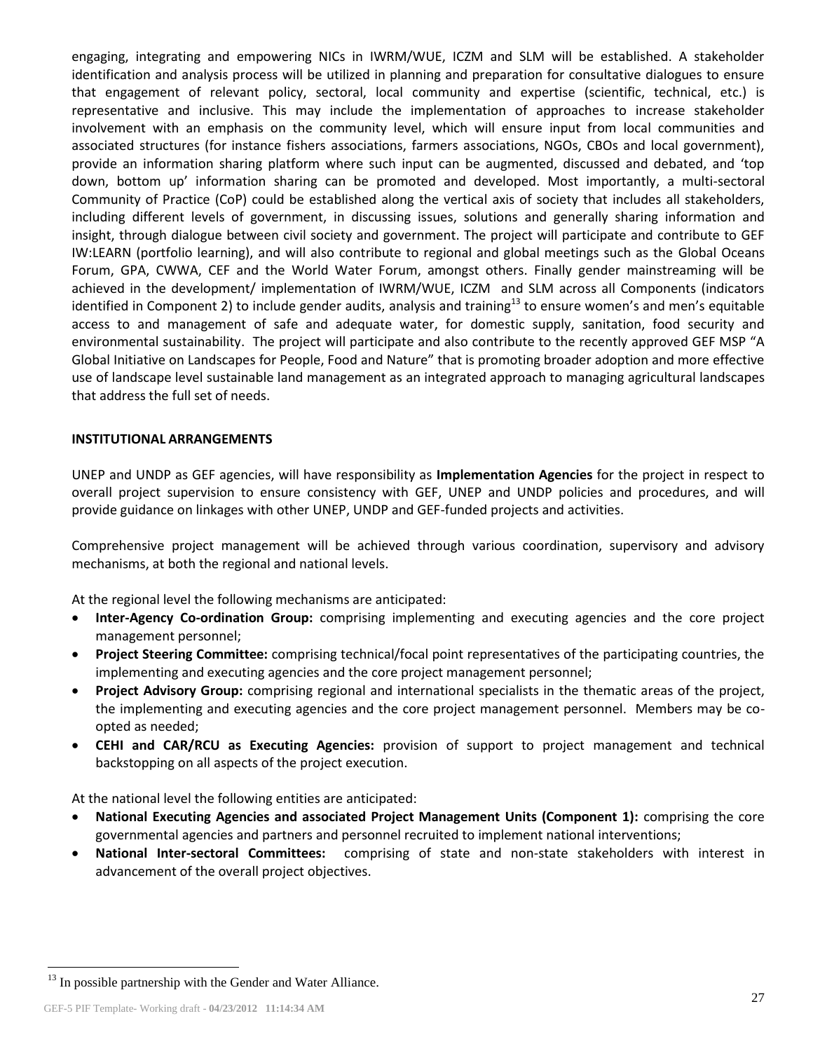engaging, integrating and empowering NICs in IWRM/WUE, ICZM and SLM will be established. A stakeholder identification and analysis process will be utilized in planning and preparation for consultative dialogues to ensure that engagement of relevant policy, sectoral, local community and expertise (scientific, technical, etc.) is representative and inclusive. This may include the implementation of approaches to increase stakeholder involvement with an emphasis on the community level, which will ensure input from local communities and associated structures (for instance fishers associations, farmers associations, NGOs, CBOs and local government), provide an information sharing platform where such input can be augmented, discussed and debated, and 'top down, bottom up' information sharing can be promoted and developed. Most importantly, a multi-sectoral Community of Practice (CoP) could be established along the vertical axis of society that includes all stakeholders, including different levels of government, in discussing issues, solutions and generally sharing information and insight, through dialogue between civil society and government. The project will participate and contribute to GEF IW:LEARN (portfolio learning), and will also contribute to regional and global meetings such as the Global Oceans Forum, GPA, CWWA, CEF and the World Water Forum, amongst others. Finally gender mainstreaming will be achieved in the development/ implementation of IWRM/WUE, ICZM and SLM across all Components (indicators identified in Component 2) to include gender audits, analysis and training<sup>13</sup> to ensure women's and men's equitable access to and management of safe and adequate water, for domestic supply, sanitation, food security and environmental sustainability. The project will participate and also contribute to the recently approved GEF MSP "A Global Initiative on Landscapes for People, Food and Nature" that is promoting broader adoption and more effective use of landscape level sustainable land management as an integrated approach to managing agricultural landscapes that address the full set of needs.

### **INSTITUTIONAL ARRANGEMENTS**

UNEP and UNDP as GEF agencies, will have responsibility as **Implementation Agencies** for the project in respect to overall project supervision to ensure consistency with GEF, UNEP and UNDP policies and procedures, and will provide guidance on linkages with other UNEP, UNDP and GEF-funded projects and activities.

Comprehensive project management will be achieved through various coordination, supervisory and advisory mechanisms, at both the regional and national levels.

At the regional level the following mechanisms are anticipated:

- **Inter-Agency Co-ordination Group:** comprising implementing and executing agencies and the core project management personnel;
- **Project Steering Committee:** comprising technical/focal point representatives of the participating countries, the implementing and executing agencies and the core project management personnel;
- **Project Advisory Group:** comprising regional and international specialists in the thematic areas of the project, the implementing and executing agencies and the core project management personnel. Members may be coopted as needed;
- **CEHI and CAR/RCU as Executing Agencies:** provision of support to project management and technical backstopping on all aspects of the project execution.

At the national level the following entities are anticipated:

- **National Executing Agencies and associated Project Management Units (Component 1):** comprising the core governmental agencies and partners and personnel recruited to implement national interventions;
- **National Inter-sectoral Committees:** comprising of state and non-state stakeholders with interest in advancement of the overall project objectives.

 $\overline{a}$ 

 $13$  In possible partnership with the Gender and Water Alliance.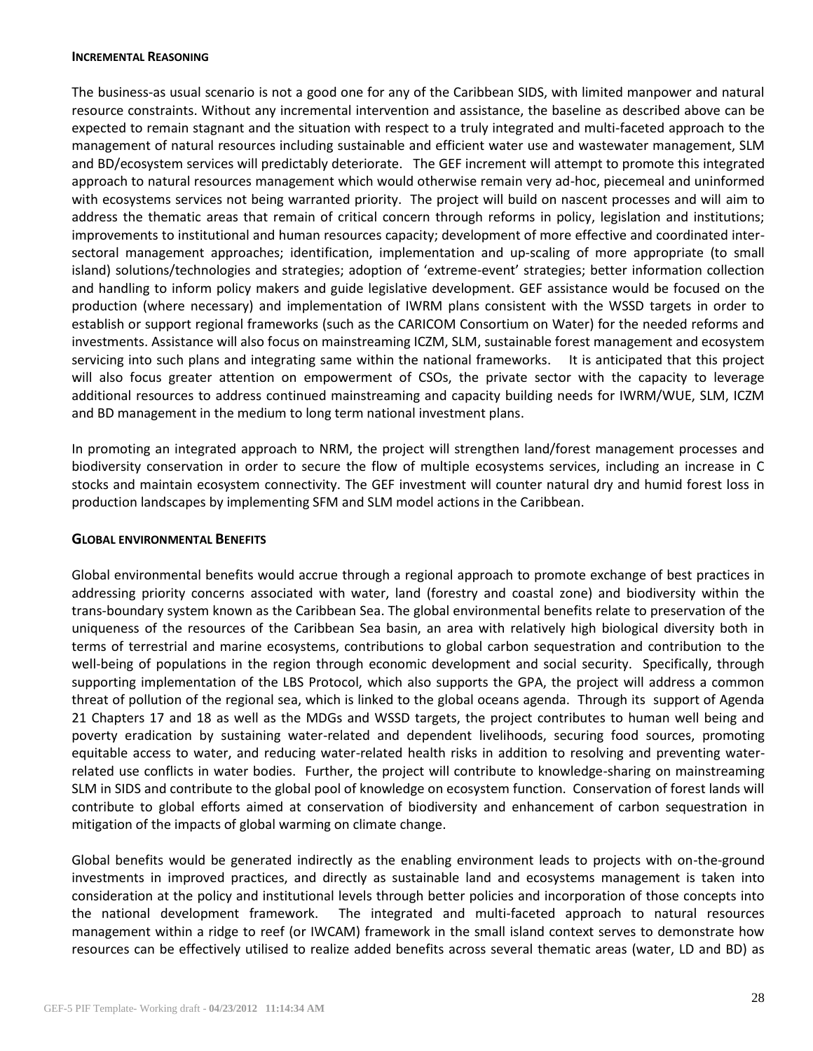#### **INCREMENTAL REASONING**

The business-as usual scenario is not a good one for any of the Caribbean SIDS, with limited manpower and natural resource constraints. Without any incremental intervention and assistance, the baseline as described above can be expected to remain stagnant and the situation with respect to a truly integrated and multi-faceted approach to the management of natural resources including sustainable and efficient water use and wastewater management, SLM and BD/ecosystem services will predictably deteriorate. The GEF increment will attempt to promote this integrated approach to natural resources management which would otherwise remain very ad-hoc, piecemeal and uninformed with ecosystems services not being warranted priority. The project will build on nascent processes and will aim to address the thematic areas that remain of critical concern through reforms in policy, legislation and institutions; improvements to institutional and human resources capacity; development of more effective and coordinated intersectoral management approaches; identification, implementation and up-scaling of more appropriate (to small island) solutions/technologies and strategies; adoption of 'extreme-event' strategies; better information collection and handling to inform policy makers and guide legislative development. GEF assistance would be focused on the production (where necessary) and implementation of IWRM plans consistent with the WSSD targets in order to establish or support regional frameworks (such as the CARICOM Consortium on Water) for the needed reforms and investments. Assistance will also focus on mainstreaming ICZM, SLM, sustainable forest management and ecosystem servicing into such plans and integrating same within the national frameworks. It is anticipated that this project will also focus greater attention on empowerment of CSOs, the private sector with the capacity to leverage additional resources to address continued mainstreaming and capacity building needs for IWRM/WUE, SLM, ICZM and BD management in the medium to long term national investment plans.

In promoting an integrated approach to NRM, the project will strengthen land/forest management processes and biodiversity conservation in order to secure the flow of multiple ecosystems services, including an increase in C stocks and maintain ecosystem connectivity. The GEF investment will counter natural dry and humid forest loss in production landscapes by implementing SFM and SLM model actions in the Caribbean.

## **GLOBAL ENVIRONMENTAL BENEFITS**

Global environmental benefits would accrue through a regional approach to promote exchange of best practices in addressing priority concerns associated with water, land (forestry and coastal zone) and biodiversity within the trans-boundary system known as the Caribbean Sea. The global environmental benefits relate to preservation of the uniqueness of the resources of the Caribbean Sea basin, an area with relatively high biological diversity both in terms of terrestrial and marine ecosystems, contributions to global carbon sequestration and contribution to the well-being of populations in the region through economic development and social security. Specifically, through supporting implementation of the LBS Protocol, which also supports the GPA, the project will address a common threat of pollution of the regional sea, which is linked to the global oceans agenda. Through its support of Agenda 21 Chapters 17 and 18 as well as the MDGs and WSSD targets, the project contributes to human well being and poverty eradication by sustaining water-related and dependent livelihoods, securing food sources, promoting equitable access to water, and reducing water-related health risks in addition to resolving and preventing waterrelated use conflicts in water bodies. Further, the project will contribute to knowledge-sharing on mainstreaming SLM in SIDS and contribute to the global pool of knowledge on ecosystem function. Conservation of forest lands will contribute to global efforts aimed at conservation of biodiversity and enhancement of carbon sequestration in mitigation of the impacts of global warming on climate change.

Global benefits would be generated indirectly as the enabling environment leads to projects with on-the-ground investments in improved practices, and directly as sustainable land and ecosystems management is taken into consideration at the policy and institutional levels through better policies and incorporation of those concepts into the national development framework. The integrated and multi-faceted approach to natural resources management within a ridge to reef (or IWCAM) framework in the small island context serves to demonstrate how resources can be effectively utilised to realize added benefits across several thematic areas (water, LD and BD) as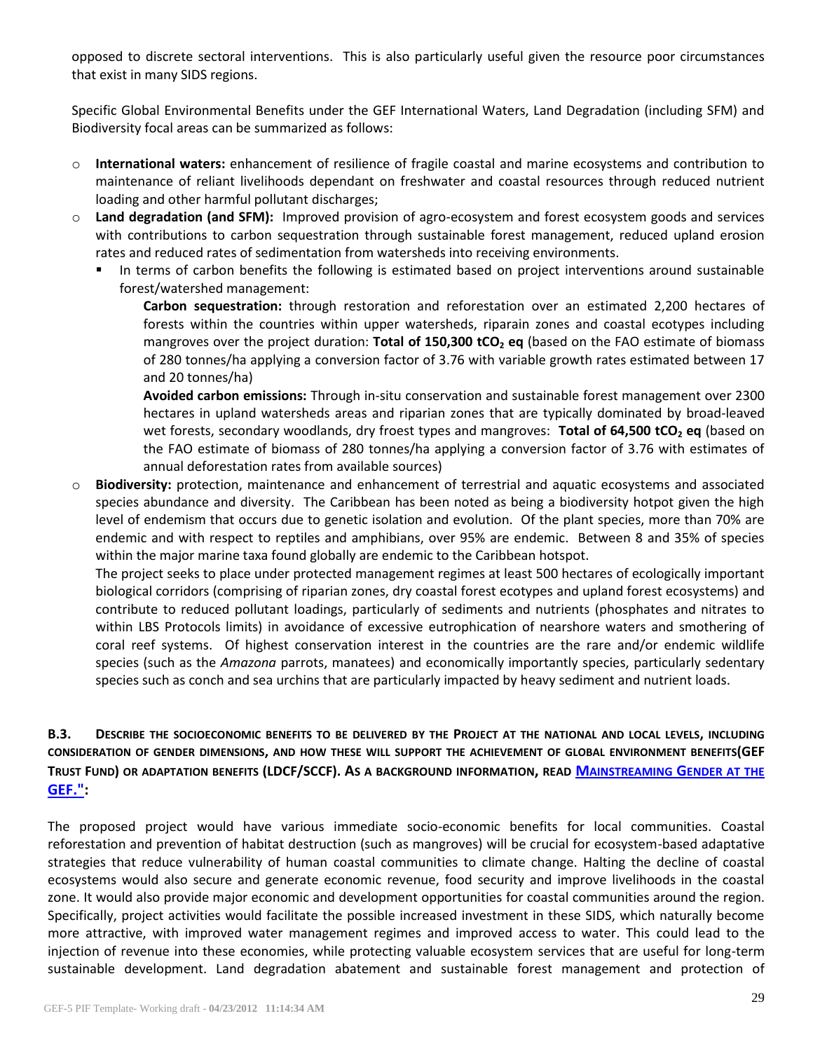opposed to discrete sectoral interventions. This is also particularly useful given the resource poor circumstances that exist in many SIDS regions.

Specific Global Environmental Benefits under the GEF International Waters, Land Degradation (including SFM) and Biodiversity focal areas can be summarized as follows:

- o **International waters:** enhancement of resilience of fragile coastal and marine ecosystems and contribution to maintenance of reliant livelihoods dependant on freshwater and coastal resources through reduced nutrient loading and other harmful pollutant discharges;
- o **Land degradation (and SFM):** Improved provision of agro-ecosystem and forest ecosystem goods and services with contributions to carbon sequestration through sustainable forest management, reduced upland erosion rates and reduced rates of sedimentation from watersheds into receiving environments.
	- In terms of carbon benefits the following is estimated based on project interventions around sustainable forest/watershed management:

**Carbon sequestration:** through restoration and reforestation over an estimated 2,200 hectares of forests within the countries within upper watersheds, riparain zones and coastal ecotypes including mangroves over the project duration: **Total of 150,300 tCO<sup>2</sup> eq** (based on the FAO estimate of biomass of 280 tonnes/ha applying a conversion factor of 3.76 with variable growth rates estimated between 17 and 20 tonnes/ha)

**Avoided carbon emissions:** Through in-situ conservation and sustainable forest management over 2300 hectares in upland watersheds areas and riparian zones that are typically dominated by broad-leaved wet forests, secondary woodlands, dry froest types and mangroves: **Total of 64,500 tCO<sup>2</sup> eq** (based on the FAO estimate of biomass of 280 tonnes/ha applying a conversion factor of 3.76 with estimates of annual deforestation rates from available sources)

o **Biodiversity:** protection, maintenance and enhancement of terrestrial and aquatic ecosystems and associated species abundance and diversity. The Caribbean has been noted as being a biodiversity hotpot given the high level of endemism that occurs due to genetic isolation and evolution. Of the plant species, more than 70% are endemic and with respect to reptiles and amphibians, over 95% are endemic. Between 8 and 35% of species within the major marine taxa found globally are endemic to the Caribbean hotspot.

The project seeks to place under protected management regimes at least 500 hectares of ecologically important biological corridors (comprising of riparian zones, dry coastal forest ecotypes and upland forest ecosystems) and contribute to reduced pollutant loadings, particularly of sediments and nutrients (phosphates and nitrates to within LBS Protocols limits) in avoidance of excessive eutrophication of nearshore waters and smothering of coral reef systems. Of highest conservation interest in the countries are the rare and/or endemic wildlife species (such as the *Amazona* parrots, manatees) and economically importantly species, particularly sedentary species such as conch and sea urchins that are particularly impacted by heavy sediment and nutrient loads.

# **B.3. DESCRIBE THE SOCIOECONOMIC BENEFITS TO BE DELIVERED BY THE PROJECT AT THE NATIONAL AND LOCAL LEVELS, INCLUDING CONSIDERATION OF GENDER DIMENSIONS, AND HOW THESE WILL SUPPORT THE ACHIEVEMENT OF GLOBAL ENVIRONMENT BENEFITS(GEF TRUST FUND) OR ADAPTATION BENEFITS (LDCF/SCCF). AS A BACKGROUND INFORMATION, READ M[AINSTREAMING](http://www.thegef.org/gef/sites/thegef.org/files/publication/mainstreaming-gender-at-the-GEF.pdf) GENDER AT THE [GEF.":](http://www.thegef.org/gef/sites/thegef.org/files/publication/mainstreaming-gender-at-the-GEF.pdf)**

The proposed project would have various immediate socio-economic benefits for local communities. Coastal reforestation and prevention of habitat destruction (such as mangroves) will be crucial for ecosystem-based adaptative strategies that reduce vulnerability of human coastal communities to climate change. Halting the decline of coastal ecosystems would also secure and generate economic revenue, food security and improve livelihoods in the coastal zone. It would also provide major economic and development opportunities for coastal communities around the region. Specifically, project activities would facilitate the possible increased investment in these SIDS, which naturally become more attractive, with improved water management regimes and improved access to water. This could lead to the injection of revenue into these economies, while protecting valuable ecosystem services that are useful for long-term sustainable development. Land degradation abatement and sustainable forest management and protection of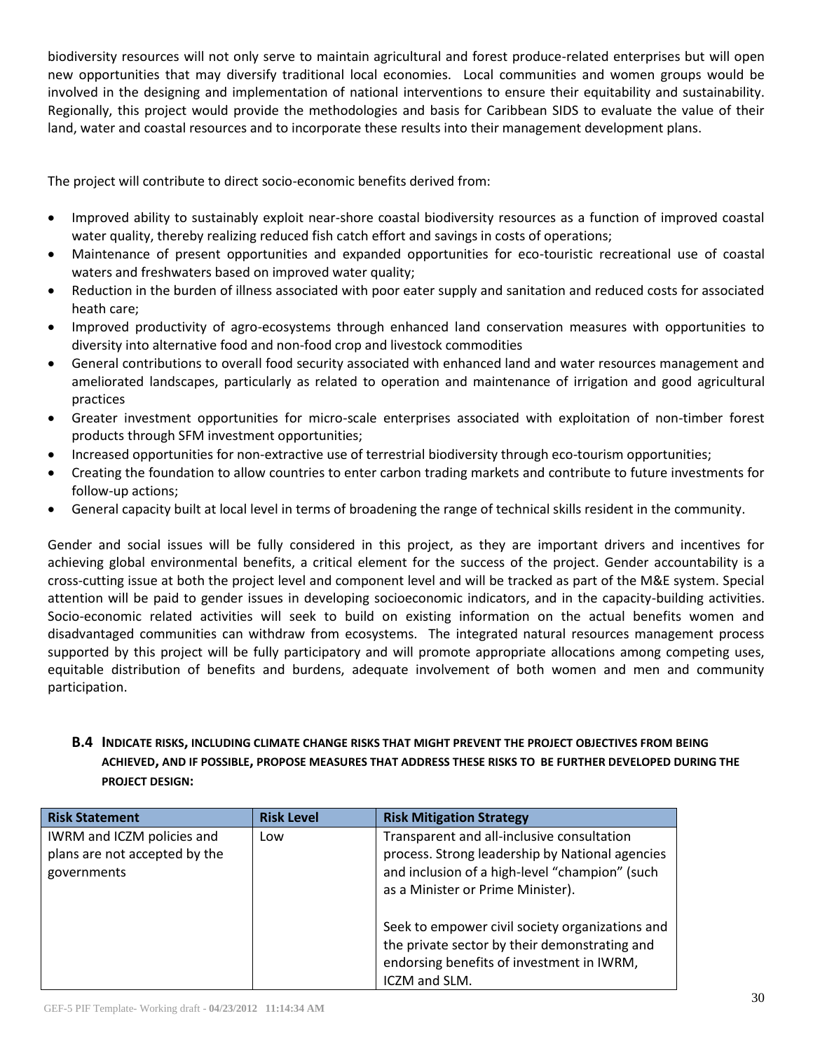biodiversity resources will not only serve to maintain agricultural and forest produce-related enterprises but will open new opportunities that may diversify traditional local economies. Local communities and women groups would be involved in the designing and implementation of national interventions to ensure their equitability and sustainability. Regionally, this project would provide the methodologies and basis for Caribbean SIDS to evaluate the value of their land, water and coastal resources and to incorporate these results into their management development plans.

The project will contribute to direct socio-economic benefits derived from:

- Improved ability to sustainably exploit near-shore coastal biodiversity resources as a function of improved coastal water quality, thereby realizing reduced fish catch effort and savings in costs of operations;
- Maintenance of present opportunities and expanded opportunities for eco-touristic recreational use of coastal waters and freshwaters based on improved water quality;
- Reduction in the burden of illness associated with poor eater supply and sanitation and reduced costs for associated heath care;
- Improved productivity of agro-ecosystems through enhanced land conservation measures with opportunities to diversity into alternative food and non-food crop and livestock commodities
- General contributions to overall food security associated with enhanced land and water resources management and ameliorated landscapes, particularly as related to operation and maintenance of irrigation and good agricultural practices
- Greater investment opportunities for micro-scale enterprises associated with exploitation of non-timber forest products through SFM investment opportunities;
- Increased opportunities for non-extractive use of terrestrial biodiversity through eco-tourism opportunities;
- Creating the foundation to allow countries to enter carbon trading markets and contribute to future investments for follow-up actions;
- General capacity built at local level in terms of broadening the range of technical skills resident in the community.

Gender and social issues will be fully considered in this project, as they are important drivers and incentives for achieving global environmental benefits, a critical element for the success of the project. Gender accountability is a cross-cutting issue at both the project level and component level and will be tracked as part of the M&E system. Special attention will be paid to gender issues in developing socioeconomic indicators, and in the capacity-building activities. Socio-economic related activities will seek to build on existing information on the actual benefits women and disadvantaged communities can withdraw from ecosystems. The integrated natural resources management process supported by this project will be fully participatory and will promote appropriate allocations among competing uses, equitable distribution of benefits and burdens, adequate involvement of both women and men and community participation.

# **B.4 INDICATE RISKS, INCLUDING CLIMATE CHANGE RISKS THAT MIGHT PREVENT THE PROJECT OBJECTIVES FROM BEING ACHIEVED, AND IF POSSIBLE, PROPOSE MEASURES THAT ADDRESS THESE RISKS TO BE FURTHER DEVELOPED DURING THE PROJECT DESIGN:**

| <b>Risk Statement</b>                                                      | <b>Risk Level</b> | <b>Risk Mitigation Strategy</b>                                                                                                                                                      |
|----------------------------------------------------------------------------|-------------------|--------------------------------------------------------------------------------------------------------------------------------------------------------------------------------------|
| IWRM and ICZM policies and<br>plans are not accepted by the<br>governments | Low               | Transparent and all-inclusive consultation<br>process. Strong leadership by National agencies<br>and inclusion of a high-level "champion" (such<br>as a Minister or Prime Minister). |
|                                                                            |                   | Seek to empower civil society organizations and<br>the private sector by their demonstrating and<br>endorsing benefits of investment in IWRM,<br>ICZM and SLM.                       |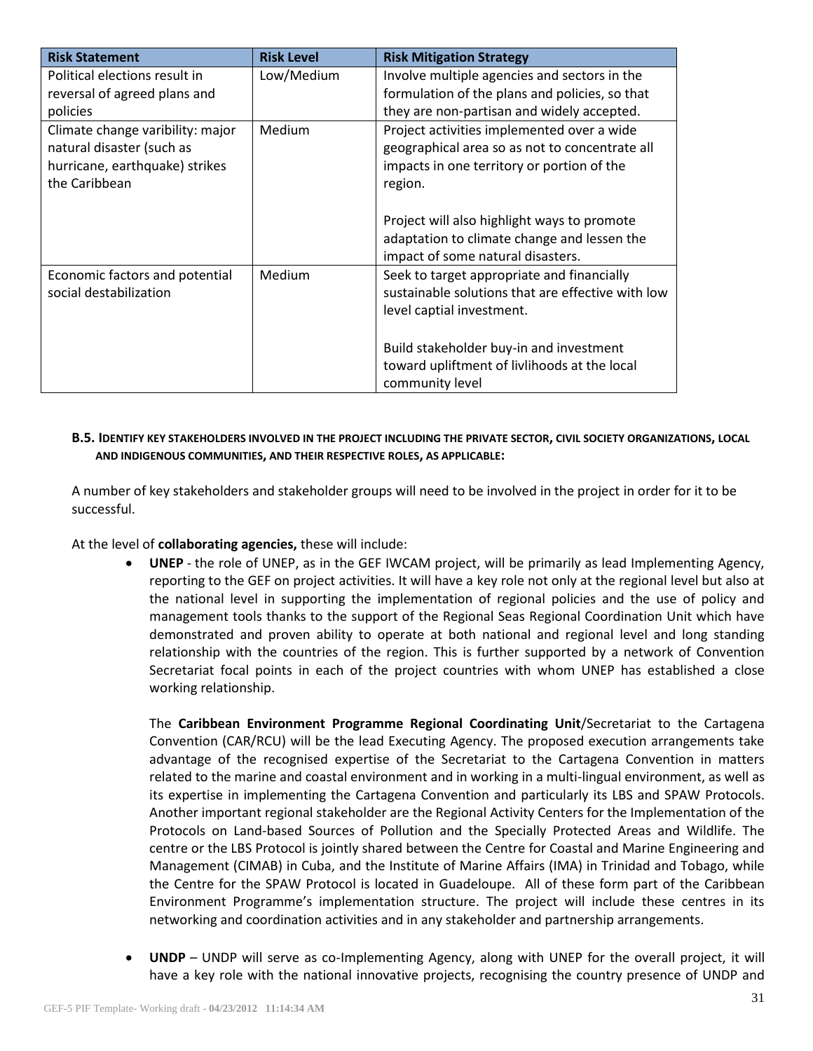| <b>Risk Statement</b>                                                                                            | <b>Risk Level</b> | <b>Risk Mitigation Strategy</b>                                                                                                                       |
|------------------------------------------------------------------------------------------------------------------|-------------------|-------------------------------------------------------------------------------------------------------------------------------------------------------|
| Political elections result in                                                                                    | Low/Medium        | Involve multiple agencies and sectors in the                                                                                                          |
| reversal of agreed plans and                                                                                     |                   | formulation of the plans and policies, so that                                                                                                        |
| policies                                                                                                         |                   | they are non-partisan and widely accepted.                                                                                                            |
| Climate change varibility: major<br>natural disaster (such as<br>hurricane, earthquake) strikes<br>the Caribbean | Medium            | Project activities implemented over a wide<br>geographical area so as not to concentrate all<br>impacts in one territory or portion of the<br>region. |
|                                                                                                                  |                   | Project will also highlight ways to promote                                                                                                           |
|                                                                                                                  |                   | adaptation to climate change and lessen the                                                                                                           |
|                                                                                                                  |                   | impact of some natural disasters.                                                                                                                     |
| Economic factors and potential<br>social destabilization                                                         | Medium            | Seek to target appropriate and financially<br>sustainable solutions that are effective with low<br>level captial investment.                          |
|                                                                                                                  |                   | Build stakeholder buy-in and investment                                                                                                               |
|                                                                                                                  |                   | toward upliftment of livlihoods at the local                                                                                                          |
|                                                                                                                  |                   | community level                                                                                                                                       |

## **B.5. IDENTIFY KEY STAKEHOLDERS INVOLVED IN THE PROJECT INCLUDING THE PRIVATE SECTOR, CIVIL SOCIETY ORGANIZATIONS, LOCAL AND INDIGENOUS COMMUNITIES, AND THEIR RESPECTIVE ROLES, AS APPLICABLE:**

A number of key stakeholders and stakeholder groups will need to be involved in the project in order for it to be successful.

At the level of **collaborating agencies,** these will include:

 **UNEP** - the role of UNEP, as in the GEF IWCAM project, will be primarily as lead Implementing Agency, reporting to the GEF on project activities. It will have a key role not only at the regional level but also at the national level in supporting the implementation of regional policies and the use of policy and management tools thanks to the support of the Regional Seas Regional Coordination Unit which have demonstrated and proven ability to operate at both national and regional level and long standing relationship with the countries of the region. This is further supported by a network of Convention Secretariat focal points in each of the project countries with whom UNEP has established a close working relationship.

The **Caribbean Environment Programme Regional Coordinating Unit**/Secretariat to the Cartagena Convention (CAR/RCU) will be the lead Executing Agency. The proposed execution arrangements take advantage of the recognised expertise of the Secretariat to the Cartagena Convention in matters related to the marine and coastal environment and in working in a multi-lingual environment, as well as its expertise in implementing the Cartagena Convention and particularly its LBS and SPAW Protocols. Another important regional stakeholder are the Regional Activity Centers for the Implementation of the Protocols on Land-based Sources of Pollution and the Specially Protected Areas and Wildlife. The centre or the LBS Protocol is jointly shared between the Centre for Coastal and Marine Engineering and Management (CIMAB) in Cuba, and the Institute of Marine Affairs (IMA) in Trinidad and Tobago, while the Centre for the SPAW Protocol is located in Guadeloupe. All of these form part of the Caribbean Environment Programme's implementation structure. The project will include these centres in its networking and coordination activities and in any stakeholder and partnership arrangements.

 **UNDP** – UNDP will serve as co-Implementing Agency, along with UNEP for the overall project, it will have a key role with the national innovative projects, recognising the country presence of UNDP and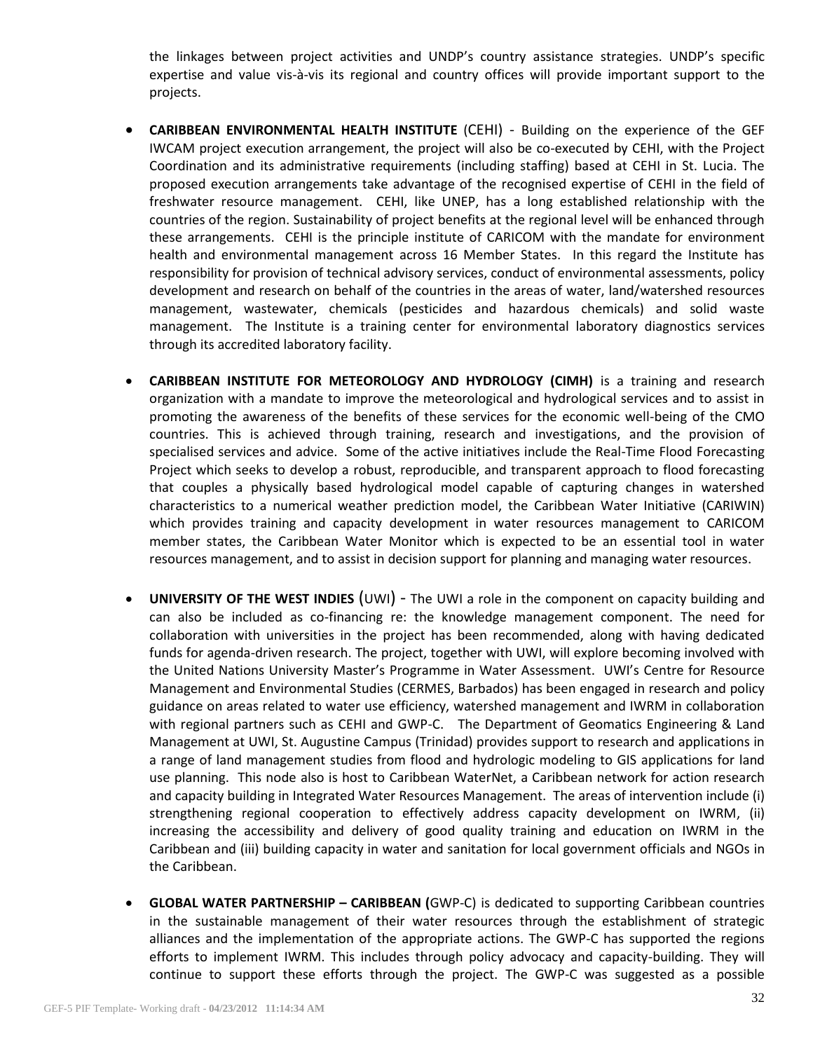the linkages between project activities and UNDP's country assistance strategies. UNDP's specific expertise and value vis-à-vis its regional and country offices will provide important support to the projects.

- **CARIBBEAN ENVIRONMENTAL HEALTH INSTITUTE** (CEHI) Building on the experience of the GEF IWCAM project execution arrangement, the project will also be co-executed by CEHI, with the Project Coordination and its administrative requirements (including staffing) based at CEHI in St. Lucia. The proposed execution arrangements take advantage of the recognised expertise of CEHI in the field of freshwater resource management. CEHI, like UNEP, has a long established relationship with the countries of the region. Sustainability of project benefits at the regional level will be enhanced through these arrangements. CEHI is the principle institute of CARICOM with the mandate for environment health and environmental management across 16 Member States. In this regard the Institute has responsibility for provision of technical advisory services, conduct of environmental assessments, policy development and research on behalf of the countries in the areas of water, land/watershed resources management, wastewater, chemicals (pesticides and hazardous chemicals) and solid waste management. The Institute is a training center for environmental laboratory diagnostics services through its accredited laboratory facility.
- **CARIBBEAN INSTITUTE FOR METEOROLOGY AND HYDROLOGY (CIMH)** is a training and research organization with a mandate to improve the meteorological and hydrological services and to assist in promoting the awareness of the benefits of these services for the economic well-being of the CMO countries. This is achieved through training, research and investigations, and the provision of specialised services and advice. Some of the active initiatives include the Real-Time Flood Forecasting Project which seeks to develop a robust, reproducible, and transparent approach to flood forecasting that couples a physically based hydrological model capable of capturing changes in watershed characteristics to a numerical weather prediction model, the Caribbean Water Initiative (CARIWIN) which provides training and capacity development in water resources management to CARICOM member states, the Caribbean Water Monitor which is expected to be an essential tool in water resources management, and to assist in decision support for planning and managing water resources.
- **UNIVERSITY OF THE WEST INDIES** (UWI) The UWI a role in the component on capacity building and can also be included as co-financing re: the knowledge management component. The need for collaboration with universities in the project has been recommended, along with having dedicated funds for agenda-driven research. The project, together with UWI, will explore becoming involved with the United Nations University Master's Programme in Water Assessment. UWI's Centre for Resource Management and Environmental Studies (CERMES, Barbados) has been engaged in research and policy guidance on areas related to water use efficiency, watershed management and IWRM in collaboration with regional partners such as CEHI and GWP-C. The Department of Geomatics Engineering & Land Management at UWI, St. Augustine Campus (Trinidad) provides support to research and applications in a range of land management studies from flood and hydrologic modeling to GIS applications for land use planning. This node also is host to Caribbean WaterNet, a Caribbean network for action research and capacity building in Integrated Water Resources Management. The areas of intervention include (i) strengthening regional cooperation to effectively address capacity development on IWRM, (ii) increasing the accessibility and delivery of good quality training and education on IWRM in the Caribbean and (iii) building capacity in water and sanitation for local government officials and NGOs in the Caribbean.
- **GLOBAL WATER PARTNERSHIP – CARIBBEAN (**GWP-C) is dedicated to supporting Caribbean countries in the sustainable management of their water resources through the establishment of strategic alliances and the implementation of the appropriate actions. The GWP-C has supported the regions efforts to implement IWRM. This includes through policy advocacy and capacity-building. They will continue to support these efforts through the project. The GWP-C was suggested as a possible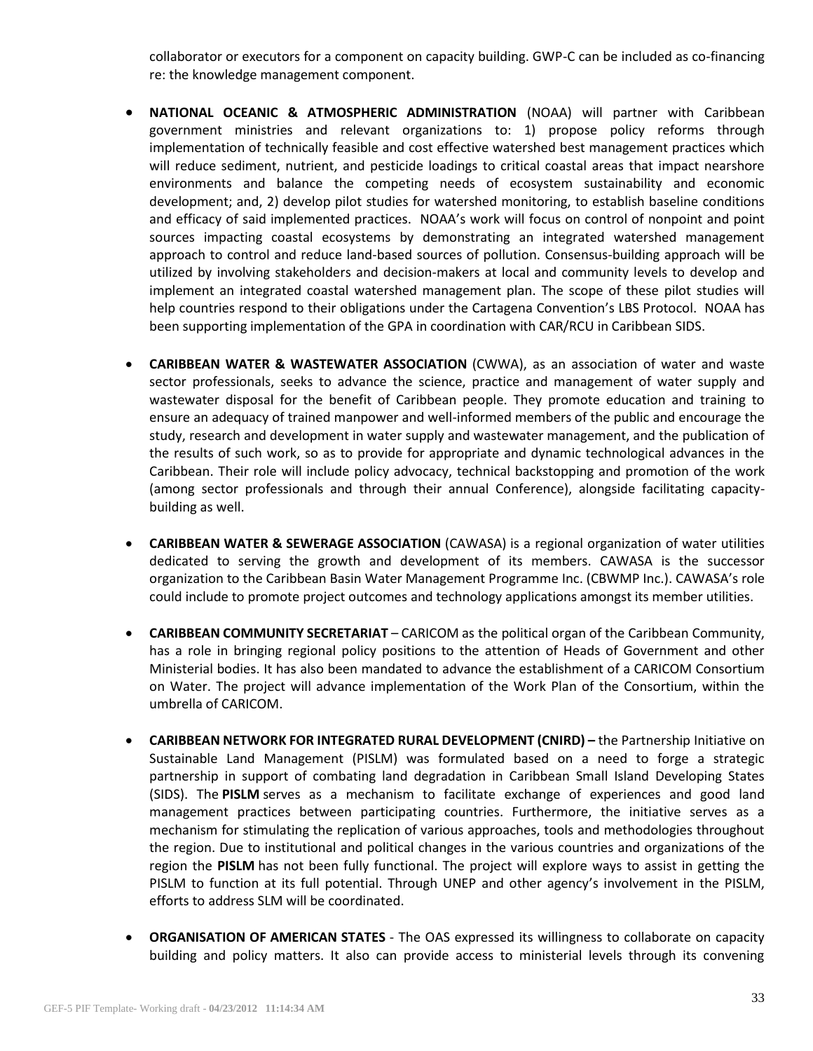collaborator or executors for a component on capacity building. GWP-C can be included as co-financing re: the knowledge management component.

- **NATIONAL OCEANIC & ATMOSPHERIC ADMINISTRATION** (NOAA) will partner with Caribbean government ministries and relevant organizations to: 1) propose policy reforms through implementation of technically feasible and cost effective watershed best management practices which will reduce sediment, nutrient, and pesticide loadings to critical coastal areas that impact nearshore environments and balance the competing needs of ecosystem sustainability and economic development; and, 2) develop pilot studies for watershed monitoring, to establish baseline conditions and efficacy of said implemented practices. NOAA's work will focus on control of nonpoint and point sources impacting coastal ecosystems by demonstrating an integrated watershed management approach to control and reduce land-based sources of pollution. Consensus-building approach will be utilized by involving stakeholders and decision-makers at local and community levels to develop and implement an integrated coastal watershed management plan. The scope of these pilot studies will help countries respond to their obligations under the Cartagena Convention's LBS Protocol. NOAA has been supporting implementation of the GPA in coordination with CAR/RCU in Caribbean SIDS.
- **CARIBBEAN WATER & WASTEWATER ASSOCIATION** (CWWA), as an association of water and waste sector professionals, seeks to advance the science, practice and management of water supply and wastewater disposal for the benefit of Caribbean people. They promote education and training to ensure an adequacy of trained manpower and well-informed members of the public and encourage the study, research and development in water supply and wastewater management, and the publication of the results of such work, so as to provide for appropriate and dynamic technological advances in the Caribbean. Their role will include policy advocacy, technical backstopping and promotion of the work (among sector professionals and through their annual Conference), alongside facilitating capacitybuilding as well.
- **CARIBBEAN WATER & SEWERAGE ASSOCIATION** (CAWASA) is a regional organization of water utilities dedicated to serving the growth and development of its members. CAWASA is the successor organization to the Caribbean Basin Water Management Programme Inc. (CBWMP Inc.). CAWASA's role could include to promote project outcomes and technology applications amongst its member utilities.
- **CARIBBEAN COMMUNITY SECRETARIAT** CARICOM as the political organ of the Caribbean Community, has a role in bringing regional policy positions to the attention of Heads of Government and other Ministerial bodies. It has also been mandated to advance the establishment of a CARICOM Consortium on Water. The project will advance implementation of the Work Plan of the Consortium, within the umbrella of CARICOM.
- **CARIBBEAN NETWORK FOR INTEGRATED RURAL DEVELOPMENT (CNIRD) –** the Partnership Initiative on Sustainable Land Management (PISLM) was formulated based on a need to forge a strategic partnership in support of combating land degradation in Caribbean Small Island Developing States (SIDS). The **PISLM** serves as a mechanism to facilitate exchange of experiences and good land management practices between participating countries. Furthermore, the initiative serves as a mechanism for stimulating the replication of various approaches, tools and methodologies throughout the region. Due to institutional and political changes in the various countries and organizations of the region the **PISLM** has not been fully functional. The project will explore ways to assist in getting the PISLM to function at its full potential. Through UNEP and other agency's involvement in the PISLM, efforts to address SLM will be coordinated.
- **ORGANISATION OF AMERICAN STATES** The OAS expressed its willingness to collaborate on capacity building and policy matters. It also can provide access to ministerial levels through its convening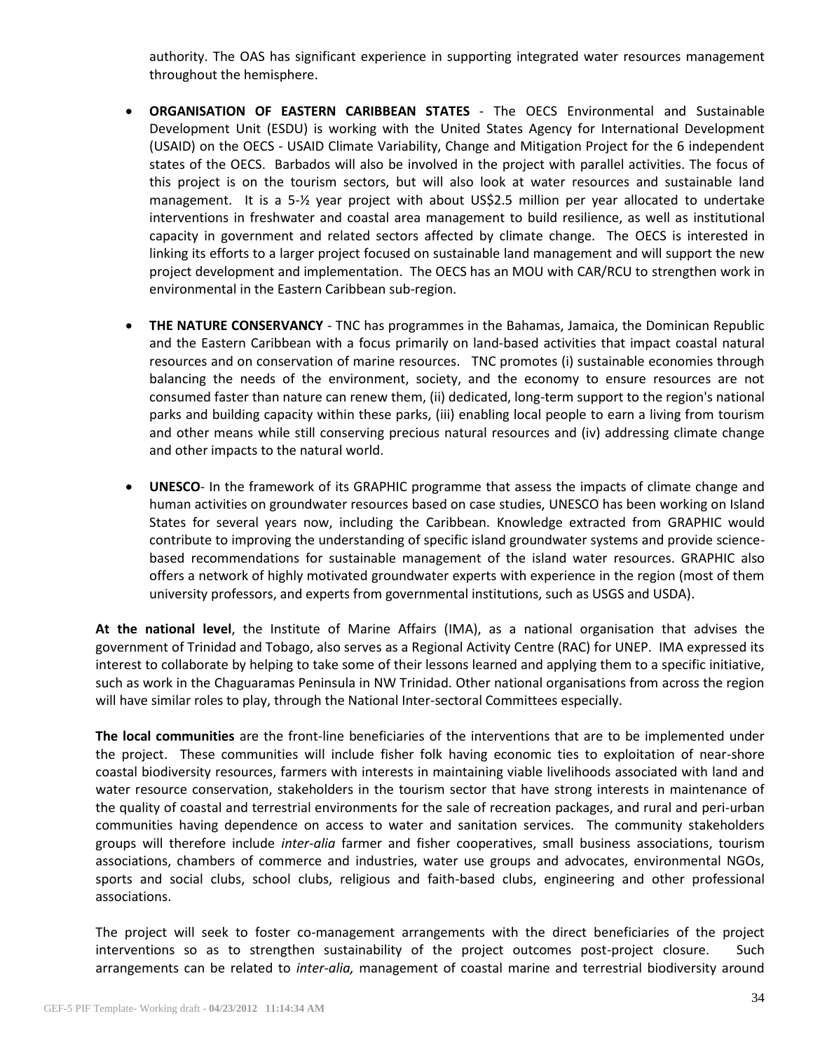authority. The OAS has significant experience in supporting integrated water resources management throughout the hemisphere.

- **ORGANISATION OF EASTERN CARIBBEAN STATES** The OECS Environmental and Sustainable Development Unit (ESDU) is working with the United States Agency for International Development (USAID) on the OECS - USAID Climate Variability, Change and Mitigation Project for the 6 independent states of the OECS. Barbados will also be involved in the project with parallel activities. The focus of this project is on the tourism sectors, but will also look at water resources and sustainable land management. It is a 5-½ year project with about US\$2.5 million per year allocated to undertake interventions in freshwater and coastal area management to build resilience, as well as institutional capacity in government and related sectors affected by climate change. The OECS is interested in linking its efforts to a larger project focused on sustainable land management and will support the new project development and implementation. The OECS has an MOU with CAR/RCU to strengthen work in environmental in the Eastern Caribbean sub-region.
- **THE NATURE CONSERVANCY** TNC has programmes in the Bahamas, Jamaica, the Dominican Republic and the Eastern Caribbean with a focus primarily on land-based activities that impact coastal natural resources and on conservation of marine resources. TNC promotes (i) sustainable economies through balancing the needs of the environment, society, and the economy to ensure resources are not consumed faster than nature can renew them, (ii) dedicated, long-term support to the region's national parks and building capacity within these parks, (iii) enabling local people to earn a living from tourism and other means while still conserving precious natural resources and (iv) addressing climate change and other impacts to the natural world.
- **UNESCO** In the framework of its GRAPHIC programme that assess the impacts of climate change and human activities on groundwater resources based on case studies, UNESCO has been working on Island States for several years now, including the Caribbean. Knowledge extracted from GRAPHIC would contribute to improving the understanding of specific island groundwater systems and provide sciencebased recommendations for sustainable management of the island water resources. GRAPHIC also offers a network of highly motivated groundwater experts with experience in the region (most of them university professors, and experts from governmental institutions, such as USGS and USDA).

**At the national level**, the Institute of Marine Affairs (IMA), as a national organisation that advises the government of Trinidad and Tobago, also serves as a Regional Activity Centre (RAC) for UNEP. IMA expressed its interest to collaborate by helping to take some of their lessons learned and applying them to a specific initiative, such as work in the Chaguaramas Peninsula in NW Trinidad. Other national organisations from across the region will have similar roles to play, through the National Inter-sectoral Committees especially.

**The local communities** are the front-line beneficiaries of the interventions that are to be implemented under the project. These communities will include fisher folk having economic ties to exploitation of near-shore coastal biodiversity resources, farmers with interests in maintaining viable livelihoods associated with land and water resource conservation, stakeholders in the tourism sector that have strong interests in maintenance of the quality of coastal and terrestrial environments for the sale of recreation packages, and rural and peri-urban communities having dependence on access to water and sanitation services. The community stakeholders groups will therefore include *inter-alia* farmer and fisher cooperatives, small business associations, tourism associations, chambers of commerce and industries, water use groups and advocates, environmental NGOs, sports and social clubs, school clubs, religious and faith-based clubs, engineering and other professional associations.

The project will seek to foster co-management arrangements with the direct beneficiaries of the project interventions so as to strengthen sustainability of the project outcomes post-project closure. Such arrangements can be related to *inter-alia,* management of coastal marine and terrestrial biodiversity around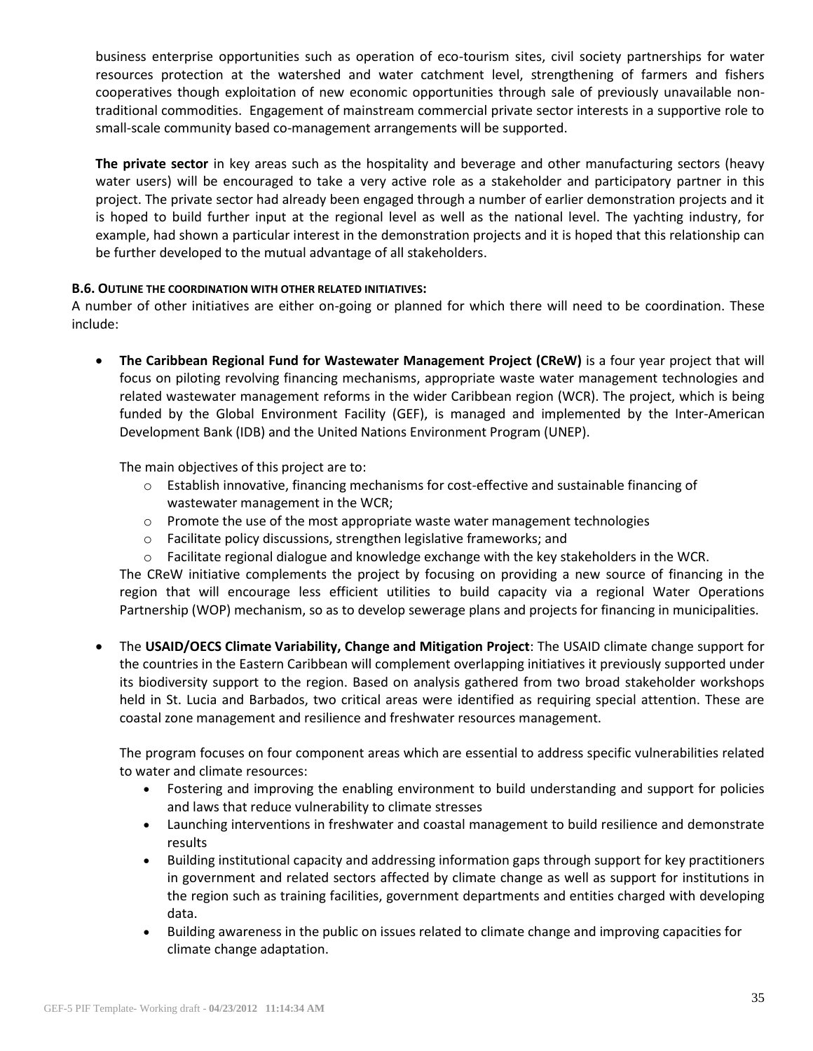business enterprise opportunities such as operation of eco-tourism sites, civil society partnerships for water resources protection at the watershed and water catchment level, strengthening of farmers and fishers cooperatives though exploitation of new economic opportunities through sale of previously unavailable nontraditional commodities. Engagement of mainstream commercial private sector interests in a supportive role to small-scale community based co-management arrangements will be supported.

**The private sector** in key areas such as the hospitality and beverage and other manufacturing sectors (heavy water users) will be encouraged to take a very active role as a stakeholder and participatory partner in this project. The private sector had already been engaged through a number of earlier demonstration projects and it is hoped to build further input at the regional level as well as the national level. The yachting industry, for example, had shown a particular interest in the demonstration projects and it is hoped that this relationship can be further developed to the mutual advantage of all stakeholders.

## **B.6. OUTLINE THE COORDINATION WITH OTHER RELATED INITIATIVES:**

A number of other initiatives are either on-going or planned for which there will need to be coordination. These include:

 **The Caribbean Regional Fund for Wastewater Management Project (CReW)** is a four year project that will focus on piloting revolving financing mechanisms, appropriate waste water management technologies and related wastewater management reforms in the wider Caribbean region (WCR). The project, which is being funded by the Global Environment Facility (GEF), is managed and implemented by the Inter-American Development Bank (IDB) and the United Nations Environment Program (UNEP).

The main objectives of this project are to:

- $\circ$  Establish innovative, financing mechanisms for cost-effective and sustainable financing of wastewater management in the WCR;
- $\circ$  Promote the use of the most appropriate waste water management technologies
- o Facilitate policy discussions, strengthen legislative frameworks; and
- $\circ$  Facilitate regional dialogue and knowledge exchange with the key stakeholders in the WCR.

The CReW initiative complements the project by focusing on providing a new source of financing in the region that will encourage less efficient utilities to build capacity via a regional Water Operations Partnership (WOP) mechanism, so as to develop sewerage plans and projects for financing in municipalities.

 The **USAID/OECS Climate Variability, Change and Mitigation Project**: The USAID climate change support for the countries in the Eastern Caribbean will complement overlapping initiatives it previously supported under its biodiversity support to the region. Based on analysis gathered from two broad stakeholder workshops held in St. Lucia and Barbados, two critical areas were identified as requiring special attention. These are coastal zone management and resilience and freshwater resources management.

The program focuses on four component areas which are essential to address specific vulnerabilities related to water and climate resources:

- Fostering and improving the enabling environment to build understanding and support for policies and laws that reduce vulnerability to climate stresses
- Launching interventions in freshwater and coastal management to build resilience and demonstrate results
- Building institutional capacity and addressing information gaps through support for key practitioners in government and related sectors affected by climate change as well as support for institutions in the region such as training facilities, government departments and entities charged with developing data.
- Building awareness in the public on issues related to climate change and improving capacities for climate change adaptation.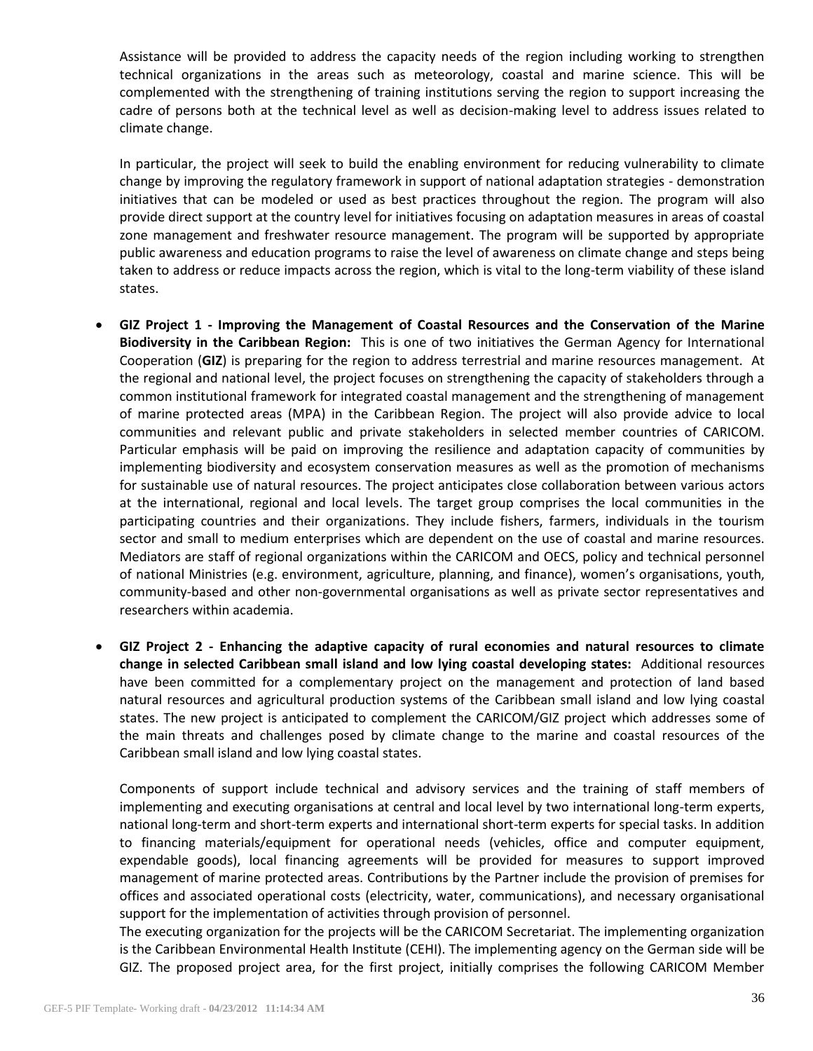Assistance will be provided to address the capacity needs of the region including working to strengthen technical organizations in the areas such as meteorology, coastal and marine science. This will be complemented with the strengthening of training institutions serving the region to support increasing the cadre of persons both at the technical level as well as decision-making level to address issues related to climate change.

In particular, the project will seek to build the enabling environment for reducing vulnerability to climate change by improving the regulatory framework in support of national adaptation strategies - demonstration initiatives that can be modeled or used as best practices throughout the region. The program will also provide direct support at the country level for initiatives focusing on adaptation measures in areas of coastal zone management and freshwater resource management. The program will be supported by appropriate public awareness and education programs to raise the level of awareness on climate change and steps being taken to address or reduce impacts across the region, which is vital to the long-term viability of these island states.

- **GIZ Project 1 - Improving the Management of Coastal Resources and the Conservation of the Marine Biodiversity in the Caribbean Region:** This is one of two initiatives the German Agency for International Cooperation (**GIZ**) is preparing for the region to address terrestrial and marine resources management. At the regional and national level, the project focuses on strengthening the capacity of stakeholders through a common institutional framework for integrated coastal management and the strengthening of management of marine protected areas (MPA) in the Caribbean Region. The project will also provide advice to local communities and relevant public and private stakeholders in selected member countries of CARICOM. Particular emphasis will be paid on improving the resilience and adaptation capacity of communities by implementing biodiversity and ecosystem conservation measures as well as the promotion of mechanisms for sustainable use of natural resources. The project anticipates close collaboration between various actors at the international, regional and local levels. The target group comprises the local communities in the participating countries and their organizations. They include fishers, farmers, individuals in the tourism sector and small to medium enterprises which are dependent on the use of coastal and marine resources. Mediators are staff of regional organizations within the CARICOM and OECS, policy and technical personnel of national Ministries (e.g. environment, agriculture, planning, and finance), women's organisations, youth, community-based and other non-governmental organisations as well as private sector representatives and researchers within academia.
- **GIZ Project 2 - Enhancing the adaptive capacity of rural economies and natural resources to climate change in selected Caribbean small island and low lying coastal developing states:** Additional resources have been committed for a complementary project on the management and protection of land based natural resources and agricultural production systems of the Caribbean small island and low lying coastal states. The new project is anticipated to complement the CARICOM/GIZ project which addresses some of the main threats and challenges posed by climate change to the marine and coastal resources of the Caribbean small island and low lying coastal states.

Components of support include technical and advisory services and the training of staff members of implementing and executing organisations at central and local level by two international long-term experts, national long-term and short-term experts and international short-term experts for special tasks. In addition to financing materials/equipment for operational needs (vehicles, office and computer equipment, expendable goods), local financing agreements will be provided for measures to support improved management of marine protected areas. Contributions by the Partner include the provision of premises for offices and associated operational costs (electricity, water, communications), and necessary organisational support for the implementation of activities through provision of personnel.

The executing organization for the projects will be the CARICOM Secretariat. The implementing organization is the Caribbean Environmental Health Institute (CEHI). The implementing agency on the German side will be GIZ. The proposed project area, for the first project, initially comprises the following CARICOM Member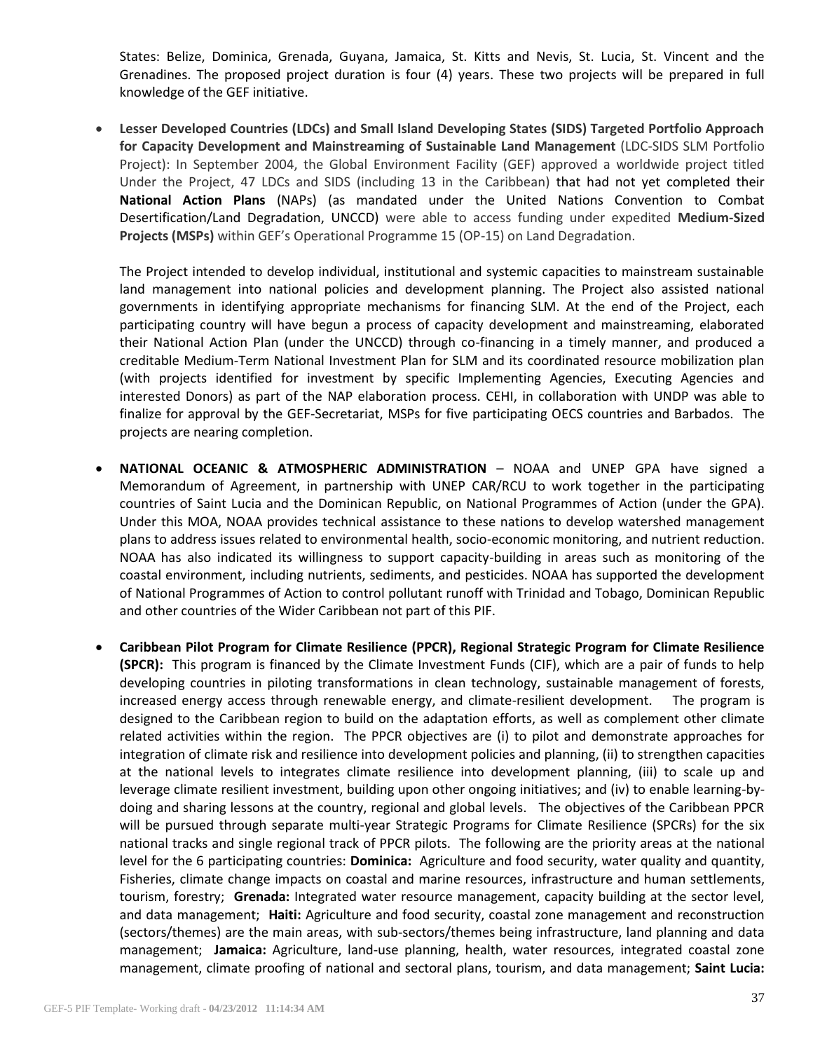States: Belize, Dominica, Grenada, Guyana, Jamaica, St. Kitts and Nevis, St. Lucia, St. Vincent and the Grenadines. The proposed project duration is four (4) years. These two projects will be prepared in full knowledge of the GEF initiative.

 **Lesser Developed Countries (LDCs) and Small Island Developing States (SIDS) Targeted Portfolio Approach for Capacity Development and Mainstreaming of Sustainable Land Management** (LDC-SIDS SLM Portfolio Project): In September 2004, the Global Environment Facility (GEF) approved a worldwide project titled Under the Project, 47 LDCs and SIDS (including 13 in the Caribbean) that had not yet completed their **National Action Plans** (NAPs) (as mandated under the United Nations Convention to Combat Desertification/Land Degradation, UNCCD) were able to access funding under expedited **Medium-Sized Projects (MSPs)** within GEF's Operational Programme 15 (OP-15) on Land Degradation.

The Project intended to develop individual, institutional and systemic capacities to mainstream sustainable land management into national policies and development planning. The Project also assisted national governments in identifying appropriate mechanisms for financing SLM. At the end of the Project, each participating country will have begun a process of capacity development and mainstreaming, elaborated their National Action Plan (under the UNCCD) through co-financing in a timely manner, and produced a creditable Medium-Term National Investment Plan for SLM and its coordinated resource mobilization plan (with projects identified for investment by specific Implementing Agencies, Executing Agencies and interested Donors) as part of the NAP elaboration process. CEHI, in collaboration with UNDP was able to finalize for approval by the GEF-Secretariat, MSPs for five participating OECS countries and Barbados. The projects are nearing completion.

- **NATIONAL OCEANIC & ATMOSPHERIC ADMINISTRATION** NOAA and UNEP GPA have signed a Memorandum of Agreement, in partnership with UNEP CAR/RCU to work together in the participating countries of Saint Lucia and the Dominican Republic, on National Programmes of Action (under the GPA). Under this MOA, NOAA provides technical assistance to these nations to develop watershed management plans to address issues related to environmental health, socio-economic monitoring, and nutrient reduction. NOAA has also indicated its willingness to support capacity-building in areas such as monitoring of the coastal environment, including nutrients, sediments, and pesticides. NOAA has supported the development of National Programmes of Action to control pollutant runoff with Trinidad and Tobago, Dominican Republic and other countries of the Wider Caribbean not part of this PIF.
- **Caribbean Pilot Program for Climate Resilience (PPCR), Regional Strategic Program for Climate Resilience (SPCR):** This program is financed by the Climate Investment Funds (CIF), which are a pair of funds to help developing countries in piloting transformations in clean technology, sustainable management of forests, increased energy access through renewable energy, and climate-resilient development. The program is designed to the Caribbean region to build on the adaptation efforts, as well as complement other climate related activities within the region. The PPCR objectives are (i) to pilot and demonstrate approaches for integration of climate risk and resilience into development policies and planning, (ii) to strengthen capacities at the national levels to integrates climate resilience into development planning, (iii) to scale up and leverage climate resilient investment, building upon other ongoing initiatives; and (iv) to enable learning-bydoing and sharing lessons at the country, regional and global levels. The objectives of the Caribbean PPCR will be pursued through separate multi-year Strategic Programs for Climate Resilience (SPCRs) for the six national tracks and single regional track of PPCR pilots. The following are the priority areas at the national level for the 6 participating countries: **Dominica:** Agriculture and food security, water quality and quantity, Fisheries, climate change impacts on coastal and marine resources, infrastructure and human settlements, tourism, forestry; **Grenada:** Integrated water resource management, capacity building at the sector level, and data management; **Haiti:** Agriculture and food security, coastal zone management and reconstruction (sectors/themes) are the main areas, with sub-sectors/themes being infrastructure, land planning and data management; **Jamaica:** Agriculture, land-use planning, health, water resources, integrated coastal zone management, climate proofing of national and sectoral plans, tourism, and data management; **Saint Lucia:**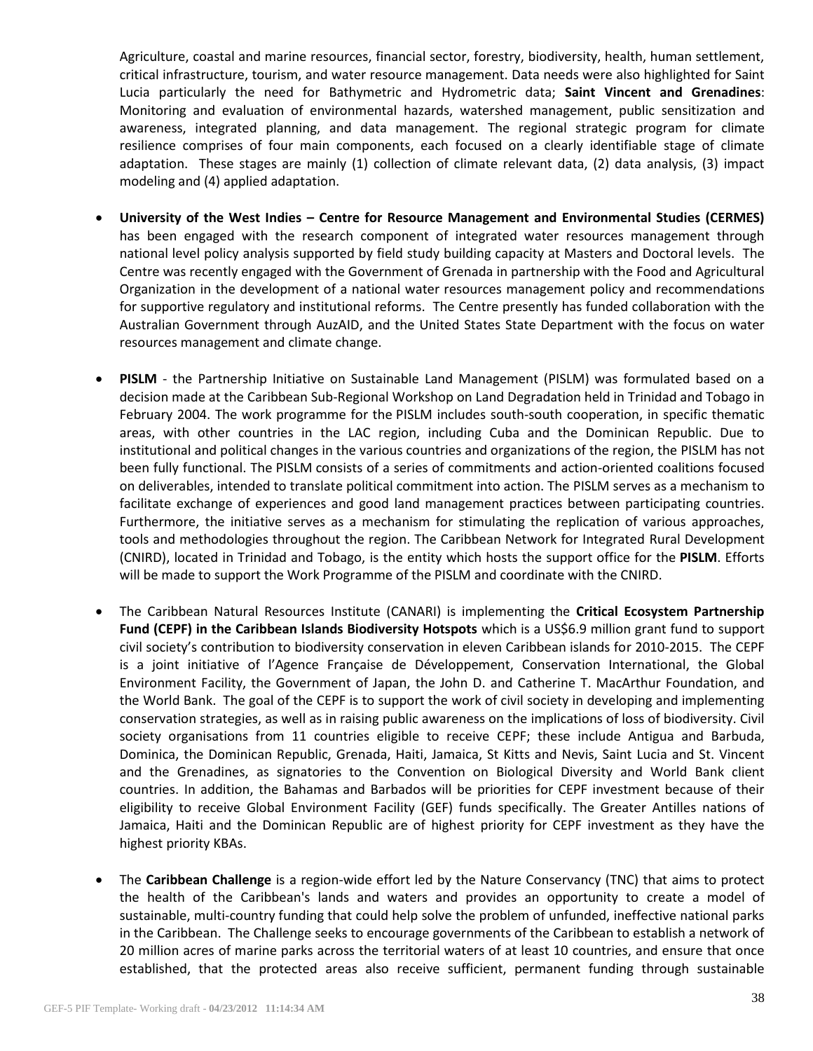Agriculture, coastal and marine resources, financial sector, forestry, biodiversity, health, human settlement, critical infrastructure, tourism, and water resource management. Data needs were also highlighted for Saint Lucia particularly the need for Bathymetric and Hydrometric data; **Saint Vincent and Grenadines**: Monitoring and evaluation of environmental hazards, watershed management, public sensitization and awareness, integrated planning, and data management. The regional strategic program for climate resilience comprises of four main components, each focused on a clearly identifiable stage of climate adaptation. These stages are mainly (1) collection of climate relevant data, (2) data analysis, (3) impact modeling and (4) applied adaptation.

- **University of the West Indies – Centre for Resource Management and Environmental Studies (CERMES)** has been engaged with the research component of integrated water resources management through national level policy analysis supported by field study building capacity at Masters and Doctoral levels. The Centre was recently engaged with the Government of Grenada in partnership with the Food and Agricultural Organization in the development of a national water resources management policy and recommendations for supportive regulatory and institutional reforms. The Centre presently has funded collaboration with the Australian Government through AuzAID, and the United States State Department with the focus on water resources management and climate change.
- **PISLM** the Partnership Initiative on Sustainable Land Management (PISLM) was formulated based on a decision made at the Caribbean Sub-Regional Workshop on Land Degradation held in Trinidad and Tobago in February 2004. The work programme for the PISLM includes south-south cooperation, in specific thematic areas, with other countries in the LAC region, including Cuba and the Dominican Republic. Due to institutional and political changes in the various countries and organizations of the region, the PISLM has not been fully functional. The PISLM consists of a series of commitments and action-oriented coalitions focused on deliverables, intended to translate political commitment into action. The PISLM serves as a mechanism to facilitate exchange of experiences and good land management practices between participating countries. Furthermore, the initiative serves as a mechanism for stimulating the replication of various approaches, tools and methodologies throughout the region. The Caribbean Network for Integrated Rural Development (CNIRD), located in Trinidad and Tobago, is the entity which hosts the support office for the **PISLM**. Efforts will be made to support the Work Programme of the PISLM and coordinate with the CNIRD.
- The Caribbean Natural Resources Institute (CANARI) is implementing the **Critical Ecosystem Partnership Fund (CEPF) in the Caribbean Islands Biodiversity Hotspots** which is a US\$6.9 million grant fund to support civil society's contribution to biodiversity conservation in eleven Caribbean islands for 2010-2015. The CEPF is a joint initiative of l'Agence Française de Développement, Conservation International, the Global Environment Facility, the Government of Japan, the John D. and Catherine T. MacArthur Foundation, and the World Bank. The goal of the CEPF is to support the work of civil society in developing and implementing conservation strategies, as well as in raising public awareness on the implications of loss of biodiversity. Civil society organisations from 11 countries eligible to receive CEPF; these include Antigua and Barbuda, Dominica, the Dominican Republic, Grenada, Haiti, Jamaica, St Kitts and Nevis, Saint Lucia and St. Vincent and the Grenadines, as signatories to the Convention on Biological Diversity and World Bank client countries. In addition, the Bahamas and Barbados will be priorities for CEPF investment because of their eligibility to receive Global Environment Facility (GEF) funds specifically. The Greater Antilles nations of Jamaica, Haiti and the Dominican Republic are of highest priority for CEPF investment as they have the highest priority KBAs.
- The **Caribbean Challenge** is a region-wide effort led by the Nature Conservancy (TNC) that aims to protect the health of the Caribbean's lands and waters and provides an opportunity to create a model of sustainable, multi-country funding that could help solve the problem of unfunded, ineffective national parks in the Caribbean. The Challenge seeks to encourage governments of the Caribbean to establish a network of 20 million acres of marine parks across the territorial waters of at least 10 countries, and ensure that once established, that the protected areas also receive sufficient, permanent funding through sustainable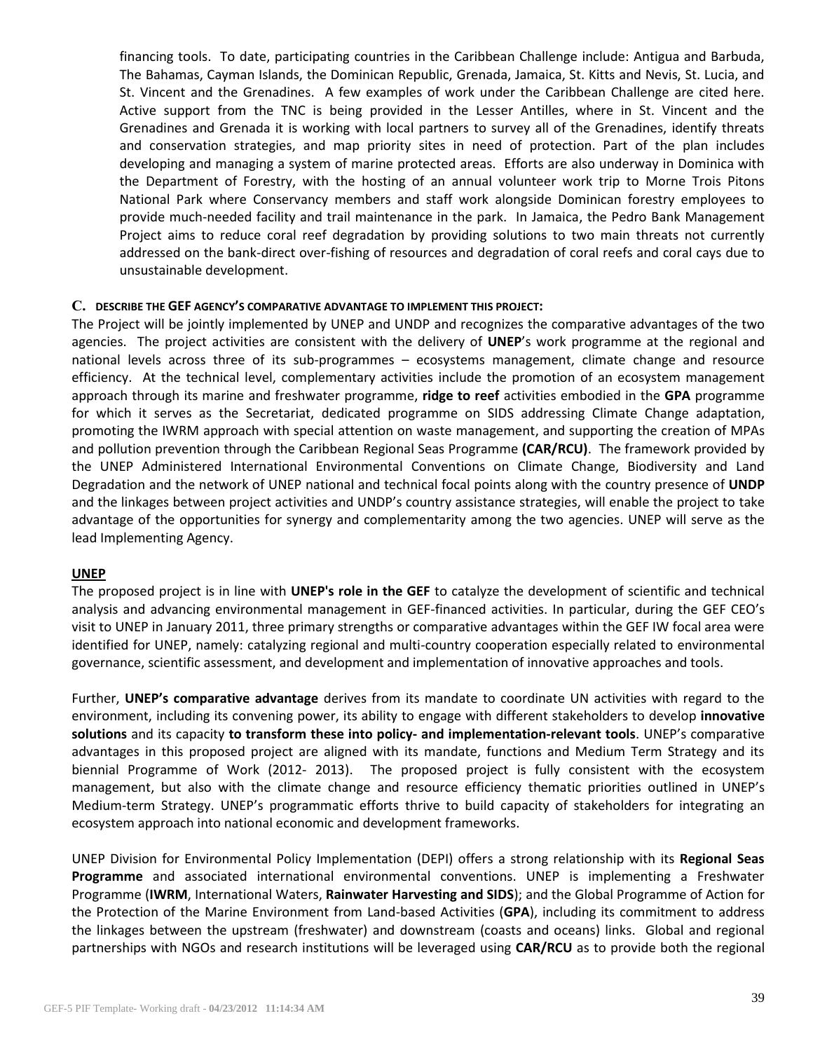financing tools. To date, participating countries in the Caribbean Challenge include: Antigua and Barbuda, The Bahamas, Cayman Islands, the Dominican Republic, Grenada, Jamaica, St. Kitts and Nevis, St. Lucia, and St. Vincent and the Grenadines. A few examples of work under the Caribbean Challenge are cited here. Active support from the TNC is being provided in the Lesser Antilles, where in St. Vincent and the Grenadines and Grenada it is working with local partners to survey all of the Grenadines, identify threats and conservation strategies, and map priority sites in need of protection. Part of the plan includes developing and managing a system of marine protected areas. Efforts are also underway in Dominica with the Department of Forestry, with the hosting of an annual volunteer work trip to Morne Trois Pitons National Park where Conservancy members and staff work alongside Dominican forestry employees to provide much-needed facility and trail maintenance in the park. In Jamaica, the Pedro Bank Management Project aims to reduce coral reef degradation by providing solutions to two main threats not currently addressed on the bank-direct over-fishing of resources and degradation of coral reefs and coral cays due to unsustainable development.

### **C. DESCRIBE THE GEF AGENCY'S COMPARATIVE ADVANTAGE TO IMPLEMENT THIS PROJECT:**

The Project will be jointly implemented by UNEP and UNDP and recognizes the comparative advantages of the two agencies. The project activities are consistent with the delivery of **UNEP**'s work programme at the regional and national levels across three of its sub-programmes – ecosystems management, climate change and resource efficiency. At the technical level, complementary activities include the promotion of an ecosystem management approach through its marine and freshwater programme, **ridge to reef** activities embodied in the **GPA** programme for which it serves as the Secretariat, dedicated programme on SIDS addressing Climate Change adaptation, promoting the IWRM approach with special attention on waste management, and supporting the creation of MPAs and pollution prevention through the Caribbean Regional Seas Programme **(CAR/RCU)**. The framework provided by the UNEP Administered International Environmental Conventions on Climate Change, Biodiversity and Land Degradation and the network of UNEP national and technical focal points along with the country presence of **UNDP** and the linkages between project activities and UNDP's country assistance strategies, will enable the project to take advantage of the opportunities for synergy and complementarity among the two agencies. UNEP will serve as the lead Implementing Agency.

### **UNEP**

The proposed project is in line with **UNEP's role in the GEF** to catalyze the development of scientific and technical analysis and advancing environmental management in GEF-financed activities. In particular, during the GEF CEO's visit to UNEP in January 2011, three primary strengths or comparative advantages within the GEF IW focal area were identified for UNEP, namely: catalyzing regional and multi-country cooperation especially related to environmental governance, scientific assessment, and development and implementation of innovative approaches and tools.

Further, **UNEP's comparative advantage** derives from its mandate to coordinate UN activities with regard to the environment, including its convening power, its ability to engage with different stakeholders to develop **innovative solutions** and its capacity **to transform these into policy- and implementation-relevant tools**. UNEP's comparative advantages in this proposed project are aligned with its mandate, functions and Medium Term Strategy and its biennial Programme of Work (2012- 2013). The proposed project is fully consistent with the ecosystem management, but also with the climate change and resource efficiency thematic priorities outlined in UNEP's Medium-term Strategy. UNEP's programmatic efforts thrive to build capacity of stakeholders for integrating an ecosystem approach into national economic and development frameworks.

UNEP Division for Environmental Policy Implementation (DEPI) offers a strong relationship with its **Regional Seas Programme** and associated international environmental conventions. UNEP is implementing a Freshwater Programme (**IWRM**, International Waters, **Rainwater Harvesting and SIDS**); and the Global Programme of Action for the Protection of the Marine Environment from Land-based Activities (**GPA**), including its commitment to address the linkages between the upstream (freshwater) and downstream (coasts and oceans) links. Global and regional partnerships with NGOs and research institutions will be leveraged using **CAR/RCU** as to provide both the regional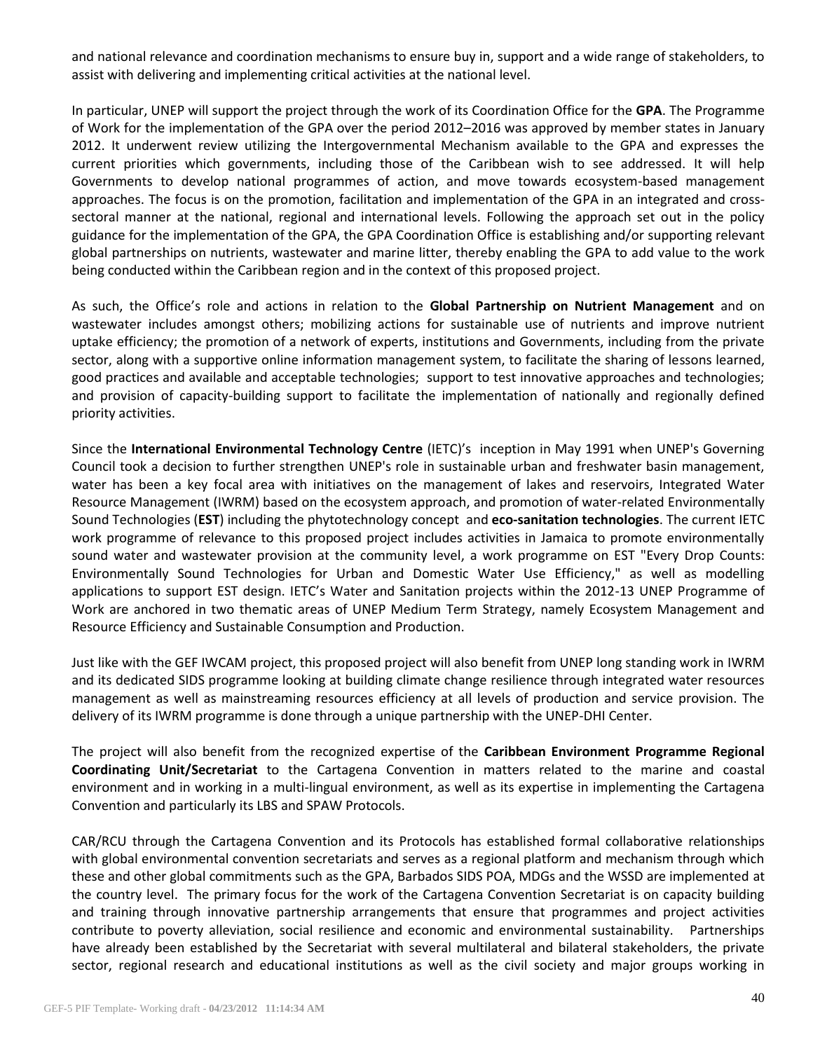and national relevance and coordination mechanisms to ensure buy in, support and a wide range of stakeholders, to assist with delivering and implementing critical activities at the national level.

In particular, UNEP will support the project through the work of its Coordination Office for the **GPA**. The Programme of Work for the implementation of the GPA over the period 2012–2016 was approved by member states in January 2012. It underwent review utilizing the Intergovernmental Mechanism available to the GPA and expresses the current priorities which governments, including those of the Caribbean wish to see addressed. It will help Governments to develop national programmes of action, and move towards ecosystem-based management approaches. The focus is on the promotion, facilitation and implementation of the GPA in an integrated and crosssectoral manner at the national, regional and international levels. Following the approach set out in the policy guidance for the implementation of the GPA, the GPA Coordination Office is establishing and/or supporting relevant global partnerships on nutrients, wastewater and marine litter, thereby enabling the GPA to add value to the work being conducted within the Caribbean region and in the context of this proposed project.

As such, the Office's role and actions in relation to the **Global Partnership on Nutrient Management** and on wastewater includes amongst others; mobilizing actions for sustainable use of nutrients and improve nutrient uptake efficiency; the promotion of a network of experts, institutions and Governments, including from the private sector, along with a supportive online information management system, to facilitate the sharing of lessons learned, good practices and available and acceptable technologies; support to test innovative approaches and technologies; and provision of capacity-building support to facilitate the implementation of nationally and regionally defined priority activities.

Since the **International Environmental Technology Centre** (IETC)'s inception in May 1991 when UNEP's Governing Council took a decision to further strengthen UNEP's role in sustainable urban and freshwater basin management, water has been a key focal area with initiatives on the management of lakes and reservoirs, Integrated Water Resource Management (IWRM) based on the ecosystem approach, and promotion of water-related Environmentally Sound Technologies (**EST**) including the phytotechnology concept and **eco-sanitation technologies**. The current IETC work programme of relevance to this proposed project includes activities in Jamaica to promote environmentally sound water and wastewater provision at the community level, a work programme on EST "Every Drop Counts: Environmentally Sound Technologies for Urban and Domestic Water Use Efficiency," as well as modelling applications to support EST design. IETC's Water and Sanitation projects within the 2012-13 UNEP Programme of Work are anchored in two thematic areas of UNEP Medium Term Strategy, namely Ecosystem Management and Resource Efficiency and Sustainable Consumption and Production.

Just like with the GEF IWCAM project, this proposed project will also benefit from UNEP long standing work in IWRM and its dedicated SIDS programme looking at building climate change resilience through integrated water resources management as well as mainstreaming resources efficiency at all levels of production and service provision. The delivery of its IWRM programme is done through a unique partnership with the UNEP-DHI Center.

The project will also benefit from the recognized expertise of the **Caribbean Environment Programme Regional Coordinating Unit/Secretariat** to the Cartagena Convention in matters related to the marine and coastal environment and in working in a multi-lingual environment, as well as its expertise in implementing the Cartagena Convention and particularly its LBS and SPAW Protocols.

CAR/RCU through the Cartagena Convention and its Protocols has established formal collaborative relationships with global environmental convention secretariats and serves as a regional platform and mechanism through which these and other global commitments such as the GPA, Barbados SIDS POA, MDGs and the WSSD are implemented at the country level. The primary focus for the work of the Cartagena Convention Secretariat is on capacity building and training through innovative partnership arrangements that ensure that programmes and project activities contribute to poverty alleviation, social resilience and economic and environmental sustainability. Partnerships have already been established by the Secretariat with several multilateral and bilateral stakeholders, the private sector, regional research and educational institutions as well as the civil society and major groups working in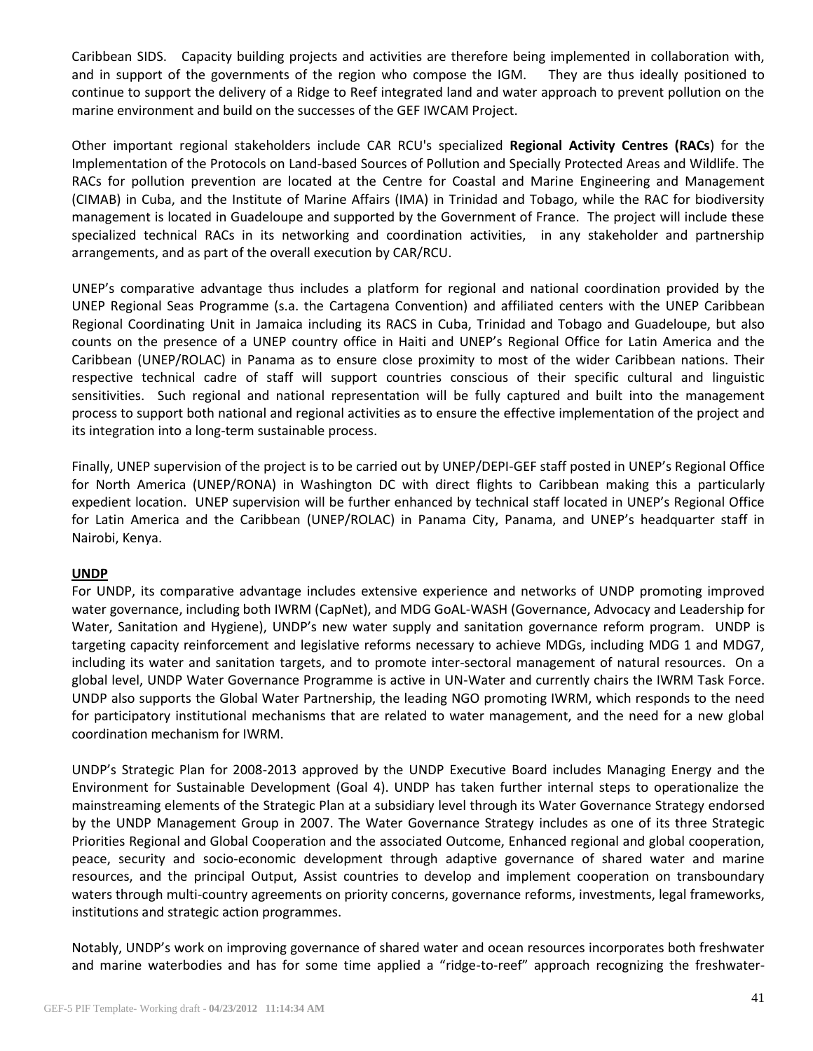Caribbean SIDS. Capacity building projects and activities are therefore being implemented in collaboration with, and in support of the governments of the region who compose the IGM. They are thus ideally positioned to continue to support the delivery of a Ridge to Reef integrated land and water approach to prevent pollution on the marine environment and build on the successes of the GEF IWCAM Project.

Other important regional stakeholders include CAR RCU's specialized **Regional Activity Centres (RACs**) for the Implementation of the Protocols on Land-based Sources of Pollution and Specially Protected Areas and Wildlife. The RACs for pollution prevention are located at the Centre for Coastal and Marine Engineering and Management (CIMAB) in Cuba, and the Institute of Marine Affairs (IMA) in Trinidad and Tobago, while the RAC for biodiversity management is located in Guadeloupe and supported by the Government of France. The project will include these specialized technical RACs in its networking and coordination activities, in any stakeholder and partnership arrangements, and as part of the overall execution by CAR/RCU.

UNEP's comparative advantage thus includes a platform for regional and national coordination provided by the UNEP Regional Seas Programme (s.a. the Cartagena Convention) and affiliated centers with the UNEP Caribbean Regional Coordinating Unit in Jamaica including its RACS in Cuba, Trinidad and Tobago and Guadeloupe, but also counts on the presence of a UNEP country office in Haiti and UNEP's Regional Office for Latin America and the Caribbean (UNEP/ROLAC) in Panama as to ensure close proximity to most of the wider Caribbean nations. Their respective technical cadre of staff will support countries conscious of their specific cultural and linguistic sensitivities. Such regional and national representation will be fully captured and built into the management process to support both national and regional activities as to ensure the effective implementation of the project and its integration into a long-term sustainable process.

Finally, UNEP supervision of the project is to be carried out by UNEP/DEPI-GEF staff posted in UNEP's Regional Office for North America (UNEP/RONA) in Washington DC with direct flights to Caribbean making this a particularly expedient location. UNEP supervision will be further enhanced by technical staff located in UNEP's Regional Office for Latin America and the Caribbean (UNEP/ROLAC) in Panama City, Panama, and UNEP's headquarter staff in Nairobi, Kenya.

## **UNDP**

For UNDP, its comparative advantage includes extensive experience and networks of UNDP promoting improved water governance, including both IWRM (CapNet), and MDG GoAL-WASH (Governance, Advocacy and Leadership for Water, Sanitation and Hygiene), UNDP's new water supply and sanitation governance reform program. UNDP is targeting capacity reinforcement and legislative reforms necessary to achieve MDGs, including MDG 1 and MDG7, including its water and sanitation targets, and to promote inter-sectoral management of natural resources. On a global level, UNDP Water Governance Programme is active in UN-Water and currently chairs the IWRM Task Force. UNDP also supports the Global Water Partnership, the leading NGO promoting IWRM, which responds to the need for participatory institutional mechanisms that are related to water management, and the need for a new global coordination mechanism for IWRM.

UNDP's Strategic Plan for 2008-2013 approved by the UNDP Executive Board includes Managing Energy and the Environment for Sustainable Development (Goal 4). UNDP has taken further internal steps to operationalize the mainstreaming elements of the Strategic Plan at a subsidiary level through its Water Governance Strategy endorsed by the UNDP Management Group in 2007. The Water Governance Strategy includes as one of its three Strategic Priorities Regional and Global Cooperation and the associated Outcome, Enhanced regional and global cooperation, peace, security and socio-economic development through adaptive governance of shared water and marine resources, and the principal Output, Assist countries to develop and implement cooperation on transboundary waters through multi-country agreements on priority concerns, governance reforms, investments, legal frameworks, institutions and strategic action programmes.

Notably, UNDP's work on improving governance of shared water and ocean resources incorporates both freshwater and marine waterbodies and has for some time applied a "ridge-to-reef" approach recognizing the freshwater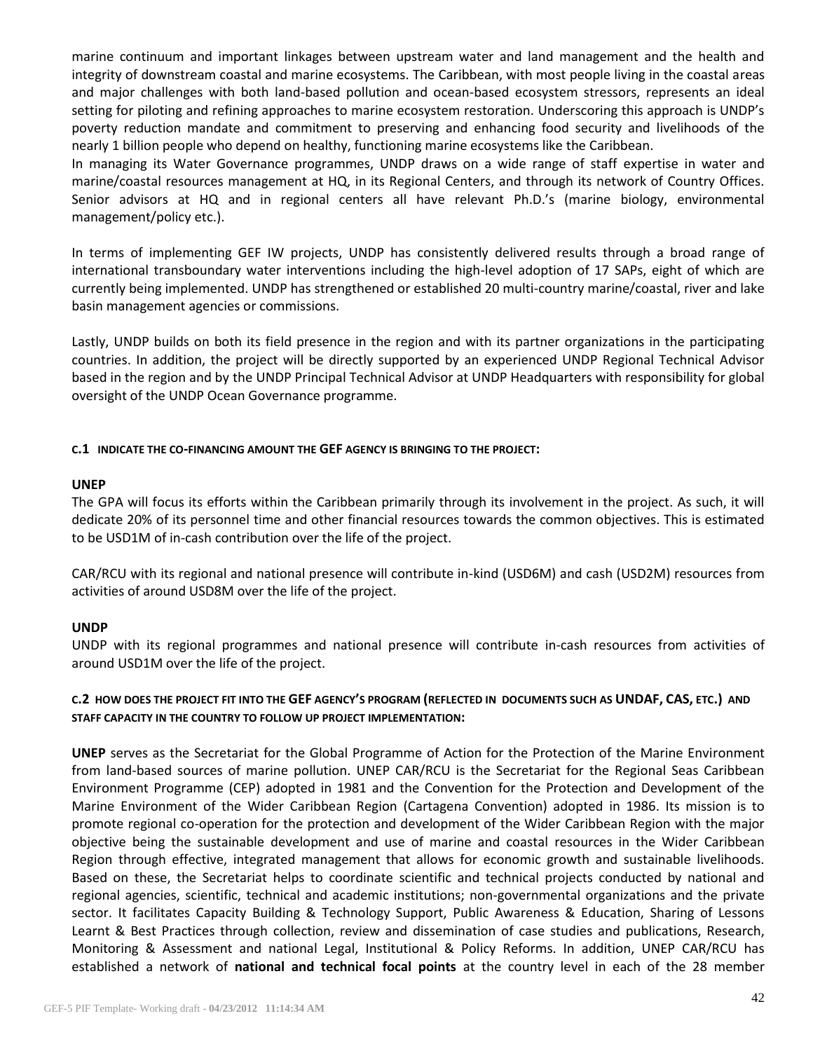marine continuum and important linkages between upstream water and land management and the health and integrity of downstream coastal and marine ecosystems. The Caribbean, with most people living in the coastal areas and major challenges with both land-based pollution and ocean-based ecosystem stressors, represents an ideal setting for piloting and refining approaches to marine ecosystem restoration. Underscoring this approach is UNDP's poverty reduction mandate and commitment to preserving and enhancing food security and livelihoods of the nearly 1 billion people who depend on healthy, functioning marine ecosystems like the Caribbean.

In managing its Water Governance programmes, UNDP draws on a wide range of staff expertise in water and marine/coastal resources management at HQ, in its Regional Centers, and through its network of Country Offices. Senior advisors at HQ and in regional centers all have relevant Ph.D.'s (marine biology, environmental management/policy etc.).

In terms of implementing GEF IW projects, UNDP has consistently delivered results through a broad range of international transboundary water interventions including the high-level adoption of 17 SAPs, eight of which are currently being implemented. UNDP has strengthened or established 20 multi-country marine/coastal, river and lake basin management agencies or commissions.

Lastly, UNDP builds on both its field presence in the region and with its partner organizations in the participating countries. In addition, the project will be directly supported by an experienced UNDP Regional Technical Advisor based in the region and by the UNDP Principal Technical Advisor at UNDP Headquarters with responsibility for global oversight of the UNDP Ocean Governance programme.

### **C.1 INDICATE THE CO-FINANCING AMOUNT THE GEF AGENCY IS BRINGING TO THE PROJECT:**

### **UNEP**

The GPA will focus its efforts within the Caribbean primarily through its involvement in the project. As such, it will dedicate 20% of its personnel time and other financial resources towards the common objectives. This is estimated to be USD1M of in-cash contribution over the life of the project.

CAR/RCU with its regional and national presence will contribute in-kind (USD6M) and cash (USD2M) resources from activities of around USD8M over the life of the project.

## **UNDP**

UNDP with its regional programmes and national presence will contribute in-cash resources from activities of around USD1M over the life of the project.

## **C.2 HOW DOES THE PROJECT FIT INTO THE GEF AGENCY'S PROGRAM (REFLECTED IN DOCUMENTS SUCH AS UNDAF, CAS, ETC.) AND STAFF CAPACITY IN THE COUNTRY TO FOLLOW UP PROJECT IMPLEMENTATION:**

**UNEP** serves as the Secretariat for the Global Programme of Action for the Protection of the Marine Environment from land-based sources of marine pollution. UNEP CAR/RCU is the Secretariat for the Regional Seas Caribbean Environment Programme (CEP) adopted in 1981 and the Convention for the Protection and Development of the Marine Environment of the Wider Caribbean Region (Cartagena Convention) adopted in 1986. Its mission is to promote regional co-operation for the protection and development of the Wider Caribbean Region with the major objective being the sustainable development and use of marine and coastal resources in the Wider Caribbean Region through effective, integrated management that allows for economic growth and sustainable livelihoods. Based on these, the Secretariat helps to coordinate scientific and technical projects conducted by national and regional agencies, scientific, technical and academic institutions; non-governmental organizations and the private sector. It facilitates Capacity Building & Technology Support, Public Awareness & Education, Sharing of Lessons Learnt & Best Practices through collection, review and dissemination of case studies and publications, Research, Monitoring & Assessment and national Legal, Institutional & Policy Reforms. In addition, UNEP CAR/RCU has established a network of **national and technical focal points** at the country level in each of the 28 member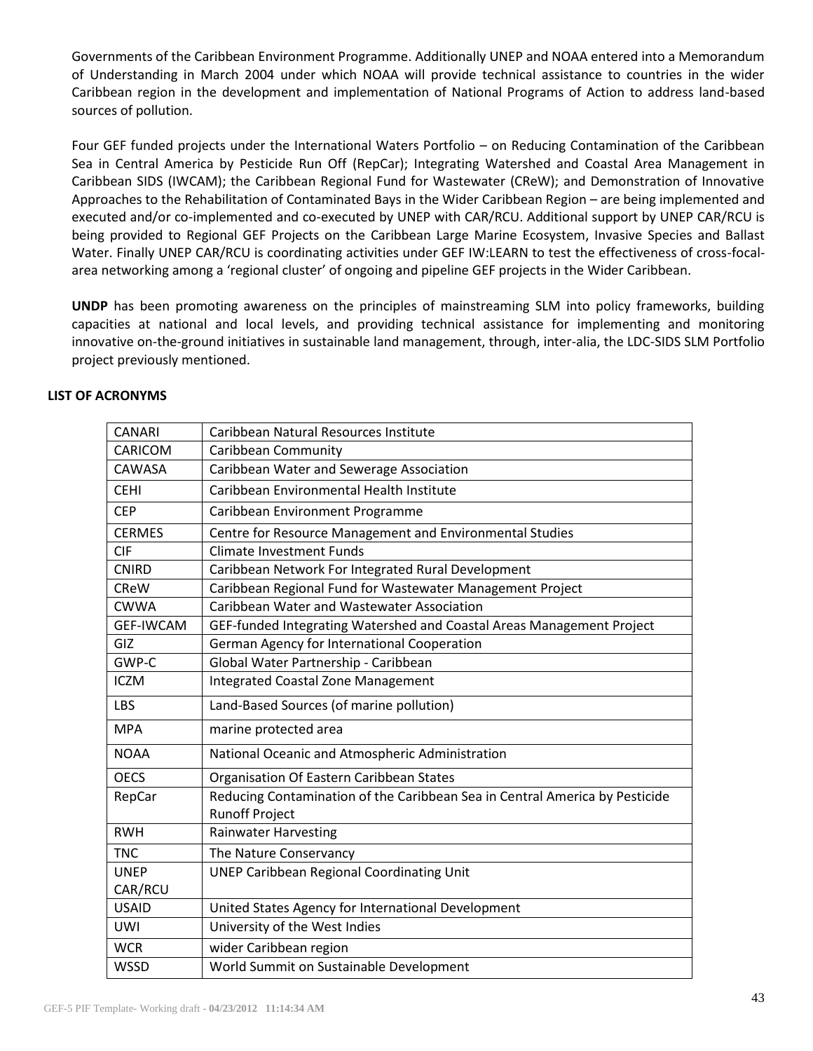Governments of the Caribbean Environment Programme. Additionally UNEP and NOAA entered into a Memorandum of Understanding in March 2004 under which NOAA will provide technical assistance to countries in the wider Caribbean region in the development and implementation of National Programs of Action to address land-based sources of pollution.

Four GEF funded projects under the International Waters Portfolio – on Reducing Contamination of the Caribbean Sea in Central America by Pesticide Run Off (RepCar); Integrating Watershed and Coastal Area Management in Caribbean SIDS (IWCAM); the Caribbean Regional Fund for Wastewater (CReW); and Demonstration of Innovative Approaches to the Rehabilitation of Contaminated Bays in the Wider Caribbean Region – are being implemented and executed and/or co-implemented and co-executed by UNEP with CAR/RCU. Additional support by UNEP CAR/RCU is being provided to Regional GEF Projects on the Caribbean Large Marine Ecosystem, Invasive Species and Ballast Water. Finally UNEP CAR/RCU is coordinating activities under GEF IW:LEARN to test the effectiveness of cross-focalarea networking among a 'regional cluster' of ongoing and pipeline GEF projects in the Wider Caribbean.

**UNDP** has been promoting awareness on the principles of mainstreaming SLM into policy frameworks, building capacities at national and local levels, and providing technical assistance for implementing and monitoring innovative on-the-ground initiatives in sustainable land management, through, inter-alia, the LDC-SIDS SLM Portfolio project previously mentioned.

| <b>CANARI</b>    | Caribbean Natural Resources Institute                                       |
|------------------|-----------------------------------------------------------------------------|
| CARICOM          | Caribbean Community                                                         |
| CAWASA           | Caribbean Water and Sewerage Association                                    |
| <b>CEHI</b>      | Caribbean Environmental Health Institute                                    |
| <b>CEP</b>       | Caribbean Environment Programme                                             |
| <b>CERMES</b>    | Centre for Resource Management and Environmental Studies                    |
| <b>CIF</b>       | <b>Climate Investment Funds</b>                                             |
| <b>CNIRD</b>     | Caribbean Network For Integrated Rural Development                          |
| <b>CReW</b>      | Caribbean Regional Fund for Wastewater Management Project                   |
| <b>CWWA</b>      | Caribbean Water and Wastewater Association                                  |
| <b>GEF-IWCAM</b> | GEF-funded Integrating Watershed and Coastal Areas Management Project       |
| GIZ              | German Agency for International Cooperation                                 |
| GWP-C            | Global Water Partnership - Caribbean                                        |
| <b>ICZM</b>      | <b>Integrated Coastal Zone Management</b>                                   |
| LBS              | Land-Based Sources (of marine pollution)                                    |
| <b>MPA</b>       | marine protected area                                                       |
| <b>NOAA</b>      | National Oceanic and Atmospheric Administration                             |
| <b>OECS</b>      | Organisation Of Eastern Caribbean States                                    |
| RepCar           | Reducing Contamination of the Caribbean Sea in Central America by Pesticide |
|                  | <b>Runoff Project</b>                                                       |
| <b>RWH</b>       | <b>Rainwater Harvesting</b>                                                 |
| <b>TNC</b>       | The Nature Conservancy                                                      |
| <b>UNEP</b>      | <b>UNEP Caribbean Regional Coordinating Unit</b>                            |
| CAR/RCU          |                                                                             |
| <b>USAID</b>     | United States Agency for International Development                          |
| <b>UWI</b>       | University of the West Indies                                               |
| <b>WCR</b>       | wider Caribbean region                                                      |
| <b>WSSD</b>      | World Summit on Sustainable Development                                     |

### **LIST OF ACRONYMS**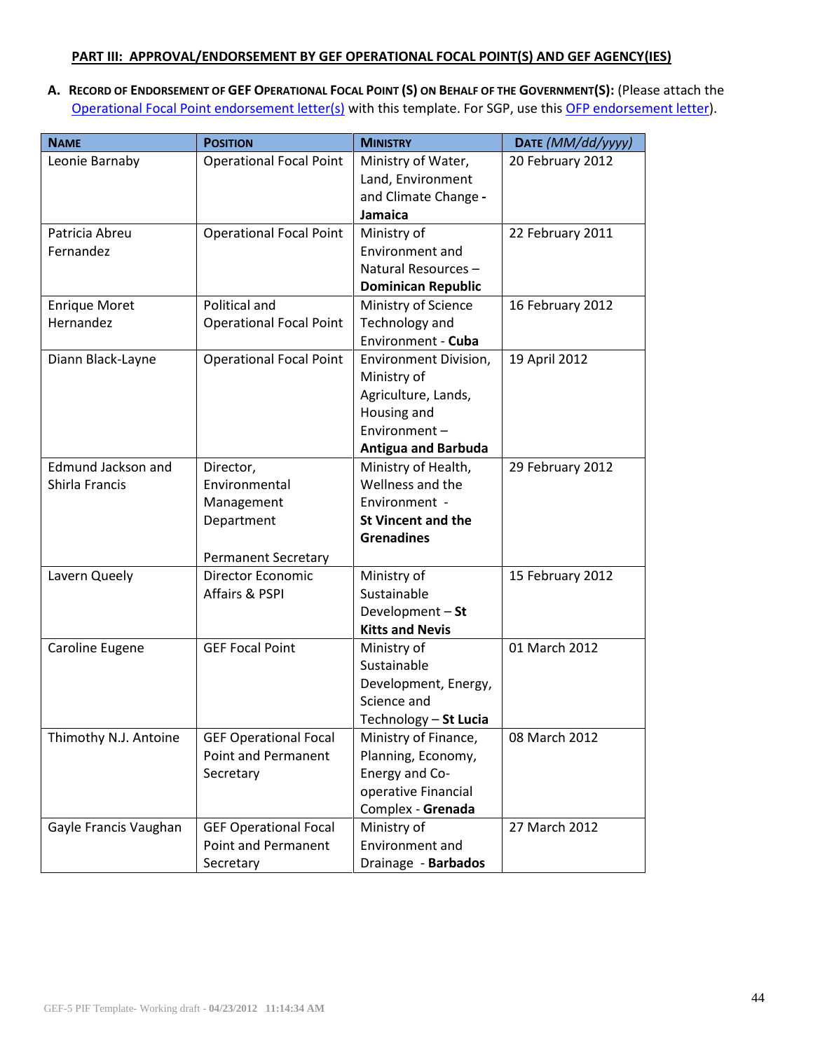### **PART III: APPROVAL/ENDORSEMENT BY GEF OPERATIONAL FOCAL POINT(S) AND GEF AGENCY(IES)**

A. RECORD OF ENDORSEMENT OF GEF OPERATIONAL FOCAL POINT (S) ON BEHALF OF THE GOVERNMENT(S): (Please attach the [Operational Focal Point endorsement letter\(s\)](http://www.thegef.org/gef/guidelines) with this template. For SGP, use this [OFP endorsement letter](http://www.thegef.org/gef/guidelines)).

| <b>NAME</b>               | <b>POSITION</b>                | <b>MINISTRY</b>            | DATE (MM/dd/yyyy) |
|---------------------------|--------------------------------|----------------------------|-------------------|
| Leonie Barnaby            | <b>Operational Focal Point</b> | Ministry of Water,         | 20 February 2012  |
|                           |                                | Land, Environment          |                   |
|                           |                                | and Climate Change -       |                   |
|                           |                                | <b>Jamaica</b>             |                   |
| Patricia Abreu            | <b>Operational Focal Point</b> | Ministry of                | 22 February 2011  |
| Fernandez                 |                                | Environment and            |                   |
|                           |                                | Natural Resources-         |                   |
|                           |                                | <b>Dominican Republic</b>  |                   |
| <b>Enrique Moret</b>      | Political and                  | Ministry of Science        | 16 February 2012  |
| Hernandez                 | <b>Operational Focal Point</b> | Technology and             |                   |
|                           |                                | Environment - Cuba         |                   |
| Diann Black-Layne         | <b>Operational Focal Point</b> | Environment Division,      | 19 April 2012     |
|                           |                                | Ministry of                |                   |
|                           |                                | Agriculture, Lands,        |                   |
|                           |                                | Housing and                |                   |
|                           |                                | Environment-               |                   |
|                           |                                | <b>Antigua and Barbuda</b> |                   |
| <b>Edmund Jackson and</b> | Director,                      | Ministry of Health,        | 29 February 2012  |
| Shirla Francis            | Environmental                  | Wellness and the           |                   |
|                           | Management                     | Environment -              |                   |
|                           | Department                     | <b>St Vincent and the</b>  |                   |
|                           |                                | <b>Grenadines</b>          |                   |
|                           | <b>Permanent Secretary</b>     |                            |                   |
| Lavern Queely             | <b>Director Economic</b>       | Ministry of                | 15 February 2012  |
|                           | Affairs & PSPI                 | Sustainable                |                   |
|                           |                                | Development - St           |                   |
|                           |                                | <b>Kitts and Nevis</b>     |                   |
| Caroline Eugene           | <b>GEF Focal Point</b>         | Ministry of                | 01 March 2012     |
|                           |                                | Sustainable                |                   |
|                           |                                | Development, Energy,       |                   |
|                           |                                | Science and                |                   |
|                           |                                | Technology - St Lucia      |                   |
| Thimothy N.J. Antoine     | <b>GEF Operational Focal</b>   | Ministry of Finance,       | 08 March 2012     |
|                           | <b>Point and Permanent</b>     | Planning, Economy,         |                   |
|                           | Secretary                      | Energy and Co-             |                   |
|                           |                                | operative Financial        |                   |
|                           |                                | Complex - Grenada          |                   |
| Gayle Francis Vaughan     | <b>GEF Operational Focal</b>   | Ministry of                | 27 March 2012     |
|                           | <b>Point and Permanent</b>     | Environment and            |                   |
|                           | Secretary                      | Drainage - Barbados        |                   |